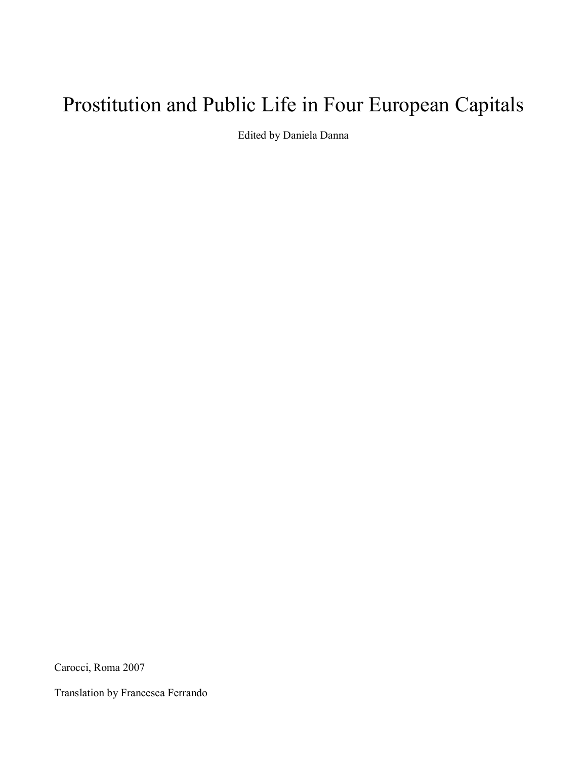# Prostitution and Public Life in Four European Capitals

Edited by Daniela Danna

Carocci, Roma 2007

Translation by Francesca Ferrando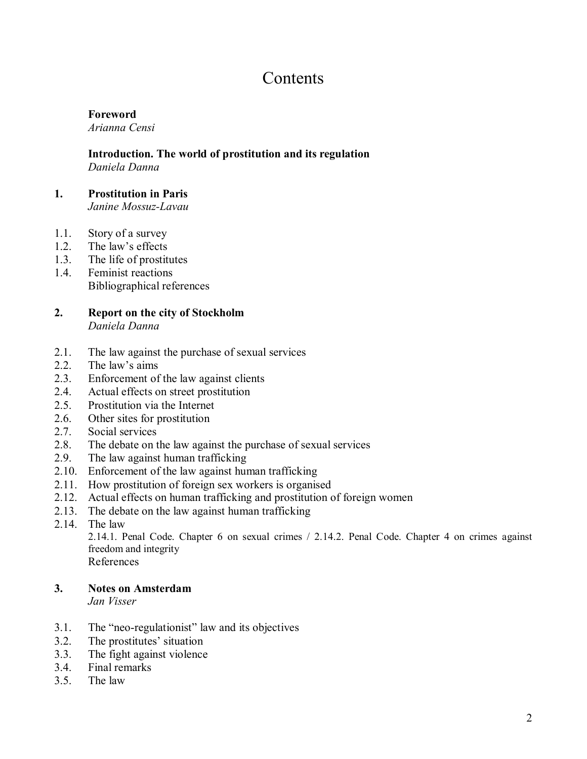# **Contents**

### **Foreword**

*Arianna Censi*

#### **Introduction. The world of prostitution and its regulation**  *Daniela Danna*

# **1. Prostitution in Paris**

*Janine Mossuz-Lavau*

- 1.1. Story of a survey
- 1.2. The law's effects
- 1.3. The life of prostitutes
- 1.4. Feminist reactions Bibliographical references

### **2. Report on the city of Stockholm**  *Daniela Danna*

- 2.1. The law against the purchase of sexual services
- 2.2. The law's aims
- 2.3. Enforcement of the law against clients
- 2.4. Actual effects on street prostitution
- 2.5. Prostitution via the Internet
- 2.6. Other sites for prostitution
- 2.7. Social services
- 2.8. The debate on the law against the purchase of sexual services
- 2.9. The law against human trafficking
- 2.10. Enforcement of the law against human trafficking
- 2.11. How prostitution of foreign sex workers is organised
- 2.12. Actual effects on human trafficking and prostitution of foreign women
- 2.13. The debate on the law against human trafficking
- 2.14. The law

2.14.1. Penal Code. Chapter 6 on sexual crimes / 2.14.2. Penal Code. Chapter 4 on crimes against freedom and integrity

References

### **3. Notes on Amsterdam**

*Jan Visser*

- $3.1.$  The "neo-regulationist" law and its objectives
- 3.2. The prostitutes' situation
- 3.3. The fight against violence
- 3.4. Final remarks
- 3.5. The law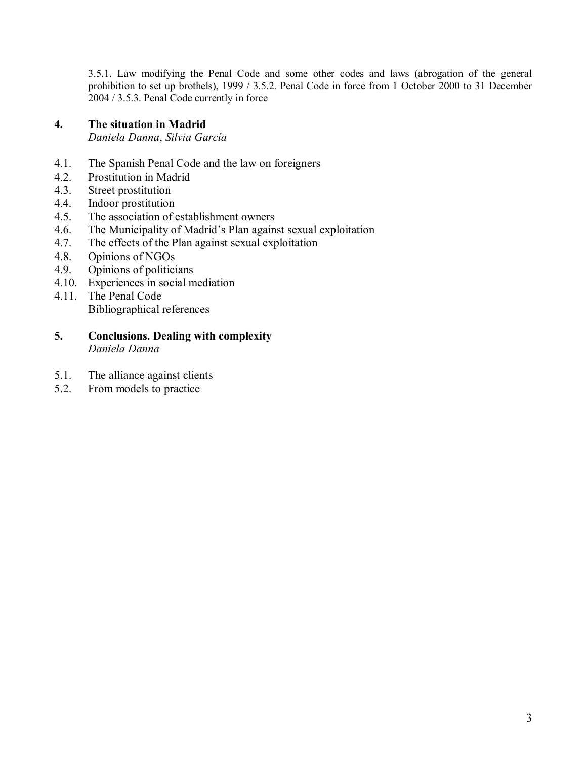3.5.1. Law modifying the Penal Code and some other codes and laws (abrogation of the general prohibition to set up brothels), 1999 / 3.5.2. Penal Code in force from 1 October 2000 to 31 December 2004 / 3.5.3. Penal Code currently in force

#### **4. The situation in Madrid**  *Daniela Danna*, *Silvia GarcÌa*

- 4.1. The Spanish Penal Code and the law on foreigners
- 4.2. Prostitution in Madrid
- 4.3. Street prostitution
- 4.4. Indoor prostitution
- 4.5. The association of establishment owners
- 4.6. The Municipality of Madrid's Plan against sexual exploitation
- 4.7. The effects of the Plan against sexual exploitation
- 4.8. Opinions of NGOs
- 4.9. Opinions of politicians
- 4.10. Experiences in social mediation
- 4.11. The Penal Code Bibliographical references
- **5. Conclusions. Dealing with complexity**  *Daniela Danna*
- 5.1. The alliance against clients
- 5.2. From models to practice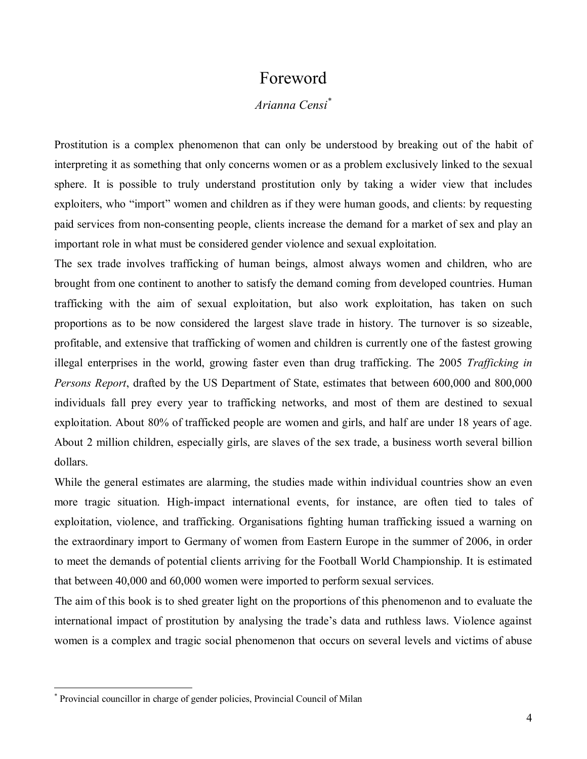### Foreword

### *Arianna Censi\**

Prostitution is a complex phenomenon that can only be understood by breaking out of the habit of interpreting it as something that only concerns women or as a problem exclusively linked to the sexual sphere. It is possible to truly understand prostitution only by taking a wider view that includes exploiters, who "import" women and children as if they were human goods, and clients: by requesting paid services from non-consenting people, clients increase the demand for a market of sex and play an important role in what must be considered gender violence and sexual exploitation.

The sex trade involves trafficking of human beings, almost always women and children, who are brought from one continent to another to satisfy the demand coming from developed countries. Human trafficking with the aim of sexual exploitation, but also work exploitation, has taken on such proportions as to be now considered the largest slave trade in history. The turnover is so sizeable, profitable, and extensive that trafficking of women and children is currently one of the fastest growing illegal enterprises in the world, growing faster even than drug trafficking. The 2005 *Trafficking in Persons Report*, drafted by the US Department of State, estimates that between 600,000 and 800,000 individuals fall prey every year to trafficking networks, and most of them are destined to sexual exploitation. About 80% of trafficked people are women and girls, and half are under 18 years of age. About 2 million children, especially girls, are slaves of the sex trade, a business worth several billion dollars.

While the general estimates are alarming, the studies made within individual countries show an even more tragic situation. High-impact international events, for instance, are often tied to tales of exploitation, violence, and trafficking. Organisations fighting human trafficking issued a warning on the extraordinary import to Germany of women from Eastern Europe in the summer of 2006, in order to meet the demands of potential clients arriving for the Football World Championship. It is estimated that between 40,000 and 60,000 women were imported to perform sexual services.

The aim of this book is to shed greater light on the proportions of this phenomenon and to evaluate the international impact of prostitution by analysing the trade's data and ruthless laws. Violence against women is a complex and tragic social phenomenon that occurs on several levels and victims of abuse

<sup>\*</sup> Provincial councillor in charge of gender policies, Provincial Council of Milan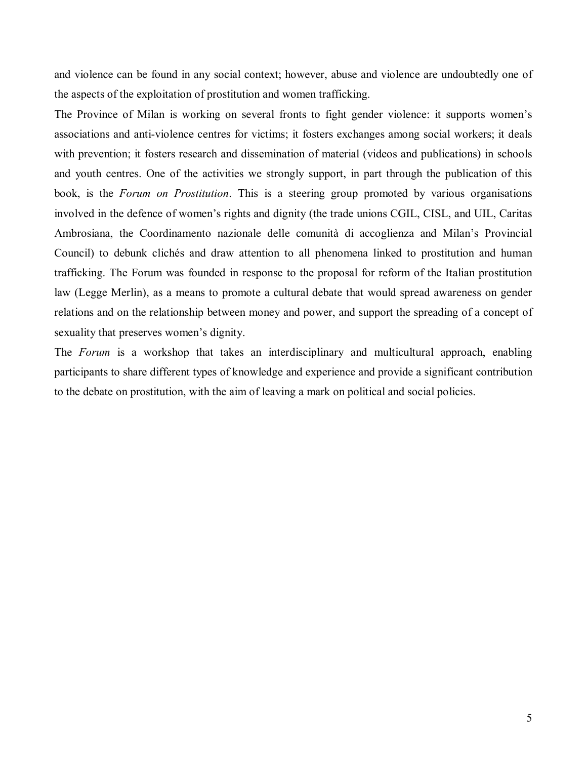and violence can be found in any social context; however, abuse and violence are undoubtedly one of the aspects of the exploitation of prostitution and women trafficking.

The Province of Milan is working on several fronts to fight gender violence: it supports women's associations and anti-violence centres for victims; it fosters exchanges among social workers; it deals with prevention; it fosters research and dissemination of material (videos and publications) in schools and youth centres. One of the activities we strongly support, in part through the publication of this book, is the *Forum on Prostitution*. This is a steering group promoted by various organisations involved in the defence of women's rights and dignity (the trade unions CGIL, CISL, and UIL, Caritas Ambrosiana, the Coordinamento nazionale delle comunità di accoglienza and Milan's Provincial Council) to debunk clichés and draw attention to all phenomena linked to prostitution and human trafficking. The Forum was founded in response to the proposal for reform of the Italian prostitution law (Legge Merlin), as a means to promote a cultural debate that would spread awareness on gender relations and on the relationship between money and power, and support the spreading of a concept of sexuality that preserves women's dignity.

The *Forum* is a workshop that takes an interdisciplinary and multicultural approach, enabling participants to share different types of knowledge and experience and provide a significant contribution to the debate on prostitution, with the aim of leaving a mark on political and social policies.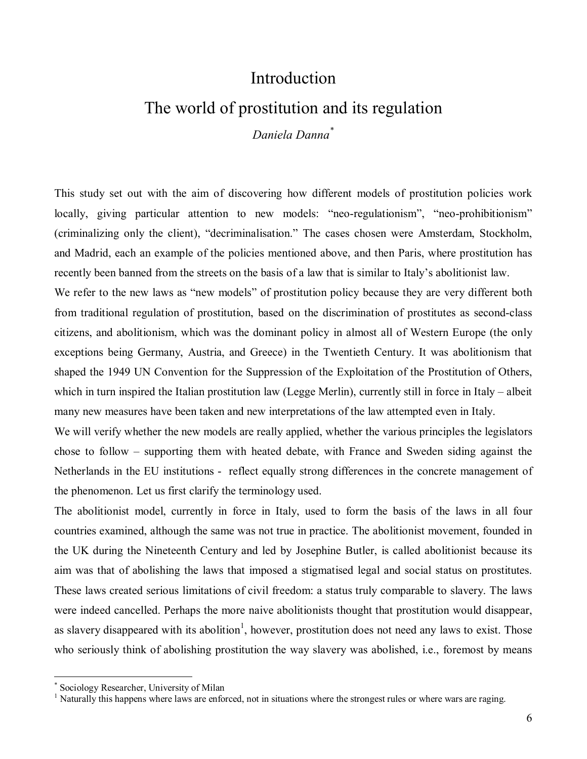# Introduction

# The world of prostitution and its regulation

*Daniela Danna\**

This study set out with the aim of discovering how different models of prostitution policies work locally, giving particular attention to new models: "neo-regulationism", "neo-prohibitionism" (criminalizing only the client), "decriminalisation." The cases chosen were Amsterdam, Stockholm, and Madrid, each an example of the policies mentioned above, and then Paris, where prostitution has recently been banned from the streets on the basis of a law that is similar to Italy's abolitionist law.

We refer to the new laws as "new models" of prostitution policy because they are very different both from traditional regulation of prostitution, based on the discrimination of prostitutes as second-class citizens, and abolitionism, which was the dominant policy in almost all of Western Europe (the only exceptions being Germany, Austria, and Greece) in the Twentieth Century. It was abolitionism that shaped the 1949 UN Convention for the Suppression of the Exploitation of the Prostitution of Others, which in turn inspired the Italian prostitution law (Legge Merlin), currently still in force in Italy  $-$  albeit many new measures have been taken and new interpretations of the law attempted even in Italy.

We will verify whether the new models are really applied, whether the various principles the legislators chose to follow  $-$  supporting them with heated debate, with France and Sweden siding against the Netherlands in the EU institutions - reflect equally strong differences in the concrete management of the phenomenon. Let us first clarify the terminology used.

The abolitionist model, currently in force in Italy, used to form the basis of the laws in all four countries examined, although the same was not true in practice. The abolitionist movement, founded in the UK during the Nineteenth Century and led by Josephine Butler, is called abolitionist because its aim was that of abolishing the laws that imposed a stigmatised legal and social status on prostitutes. These laws created serious limitations of civil freedom: a status truly comparable to slavery. The laws were indeed cancelled. Perhaps the more naive abolitionists thought that prostitution would disappear, as slavery disappeared with its abolition<sup>1</sup>, however, prostitution does not need any laws to exist. Those who seriously think of abolishing prostitution the way slavery was abolished, i.e., foremost by means

<sup>\*</sup> Sociology Researcher, University of Milan

<sup>&</sup>lt;sup>1</sup> Naturally this happens where laws are enforced, not in situations where the strongest rules or where wars are raging.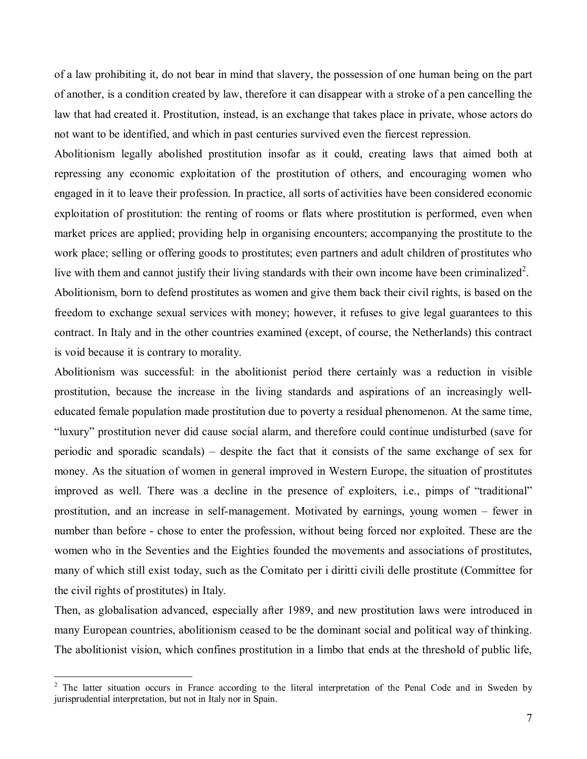of a law prohibiting it, do not bear in mind that slavery, the possession of one human being on the part of another, is a condition created by law, therefore it can disappear with a stroke of a pen cancelling the law that had created it. Prostitution, instead, is an exchange that takes place in private, whose actors do not want to be identified, and which in past centuries survived even the fiercest repression.

Abolitionism legally abolished prostitution insofar as it could, creating laws that aimed both at repressing any economic exploitation of the prostitution of others, and encouraging women who engaged in it to leave their profession. In practice, all sorts of activities have been considered economic exploitation of prostitution: the renting of rooms or flats where prostitution is performed, even when market prices are applied; providing help in organising encounters; accompanying the prostitute to the work place; selling or offering goods to prostitutes; even partners and adult children of prostitutes who live with them and cannot justify their living standards with their own income have been criminalized<sup>2</sup>. Abolitionism, born to defend prostitutes as women and give them back their civil rights, is based on the freedom to exchange sexual services with money; however, it refuses to give legal guarantees to this contract. In Italy and in the other countries examined (except, of course, the Netherlands) this contract is void because it is contrary to morality.

Abolitionism was successful: in the abolitionist period there certainly was a reduction in visible prostitution, because the increase in the living standards and aspirations of an increasingly welleducated female population made prostitution due to poverty a residual phenomenon. At the same time, ìluxuryî prostitution never did cause social alarm, and therefore could continue undisturbed (save for periodic and sporadic scandals)  $-$  despite the fact that it consists of the same exchange of sex for money. As the situation of women in general improved in Western Europe, the situation of prostitutes improved as well. There was a decline in the presence of exploiters, i.e., pimps of "traditional" prostitution, and an increase in self-management. Motivated by earnings, young women  $-$  fewer in number than before - chose to enter the profession, without being forced nor exploited. These are the women who in the Seventies and the Eighties founded the movements and associations of prostitutes, many of which still exist today, such as the Comitato per i diritti civili delle prostitute (Committee for the civil rights of prostitutes) in Italy.

Then, as globalisation advanced, especially after 1989, and new prostitution laws were introduced in many European countries, abolitionism ceased to be the dominant social and political way of thinking. The abolitionist vision, which confines prostitution in a limbo that ends at the threshold of public life,

<sup>&</sup>lt;sup>2</sup> The latter situation occurs in France according to the literal interpretation of the Penal Code and in Sweden by jurisprudential interpretation, but not in Italy nor in Spain.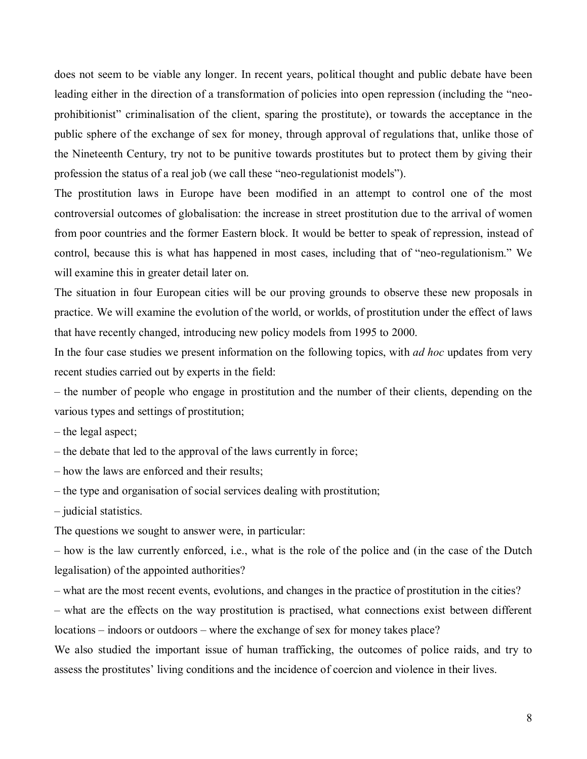does not seem to be viable any longer. In recent years, political thought and public debate have been leading either in the direction of a transformation of policies into open repression (including the "neoprohibitionist" criminalisation of the client, sparing the prostitute), or towards the acceptance in the public sphere of the exchange of sex for money, through approval of regulations that, unlike those of the Nineteenth Century, try not to be punitive towards prostitutes but to protect them by giving their profession the status of a real job (we call these "neo-regulationist models").

The prostitution laws in Europe have been modified in an attempt to control one of the most controversial outcomes of globalisation: the increase in street prostitution due to the arrival of women from poor countries and the former Eastern block. It would be better to speak of repression, instead of control, because this is what has happened in most cases, including that of "neo-regulationism." We will examine this in greater detail later on.

The situation in four European cities will be our proving grounds to observe these new proposals in practice. We will examine the evolution of the world, or worlds, of prostitution under the effect of laws that have recently changed, introducing new policy models from 1995 to 2000.

In the four case studies we present information on the following topics, with *ad hoc* updates from very recent studies carried out by experts in the field:

– the number of people who engage in prostitution and the number of their clients, depending on the various types and settings of prostitution;

 $-$  the legal aspect;

 $h$  – the debate that led to the approval of the laws currently in force;

– how the laws are enforced and their results;

 $h$  - the type and organisation of social services dealing with prostitution;

 $-$  judicial statistics.

The questions we sought to answer were, in particular:

how is the law currently enforced, i.e., what is the role of the police and (in the case of the Dutch legalisation) of the appointed authorities?

– what are the most recent events, evolutions, and changes in the practice of prostitution in the cities?

– what are the effects on the way prostitution is practised, what connections exist between different locations – indoors or outdoors – where the exchange of sex for money takes place?

We also studied the important issue of human trafficking, the outcomes of police raids, and try to assess the prostitutes' living conditions and the incidence of coercion and violence in their lives.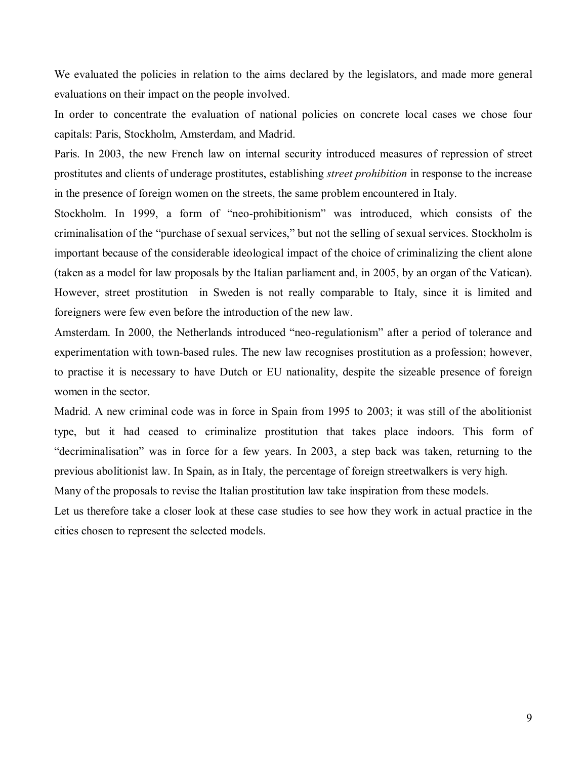We evaluated the policies in relation to the aims declared by the legislators, and made more general evaluations on their impact on the people involved.

In order to concentrate the evaluation of national policies on concrete local cases we chose four capitals: Paris, Stockholm, Amsterdam, and Madrid.

Paris. In 2003, the new French law on internal security introduced measures of repression of street prostitutes and clients of underage prostitutes, establishing *street prohibition* in response to the increase in the presence of foreign women on the streets, the same problem encountered in Italy.

Stockholm. In 1999, a form of "neo-prohibitionism" was introduced, which consists of the criminalisation of the "purchase of sexual services," but not the selling of sexual services. Stockholm is important because of the considerable ideological impact of the choice of criminalizing the client alone (taken as a model for law proposals by the Italian parliament and, in 2005, by an organ of the Vatican). However, street prostitution in Sweden is not really comparable to Italy, since it is limited and foreigners were few even before the introduction of the new law.

Amsterdam. In 2000, the Netherlands introduced "neo-regulationism" after a period of tolerance and experimentation with town-based rules. The new law recognises prostitution as a profession; however, to practise it is necessary to have Dutch or EU nationality, despite the sizeable presence of foreign women in the sector.

Madrid. A new criminal code was in force in Spain from 1995 to 2003; it was still of the abolitionist type, but it had ceased to criminalize prostitution that takes place indoors. This form of "decriminalisation" was in force for a few years. In 2003, a step back was taken, returning to the previous abolitionist law. In Spain, as in Italy, the percentage of foreign streetwalkers is very high.

Many of the proposals to revise the Italian prostitution law take inspiration from these models.

Let us therefore take a closer look at these case studies to see how they work in actual practice in the cities chosen to represent the selected models.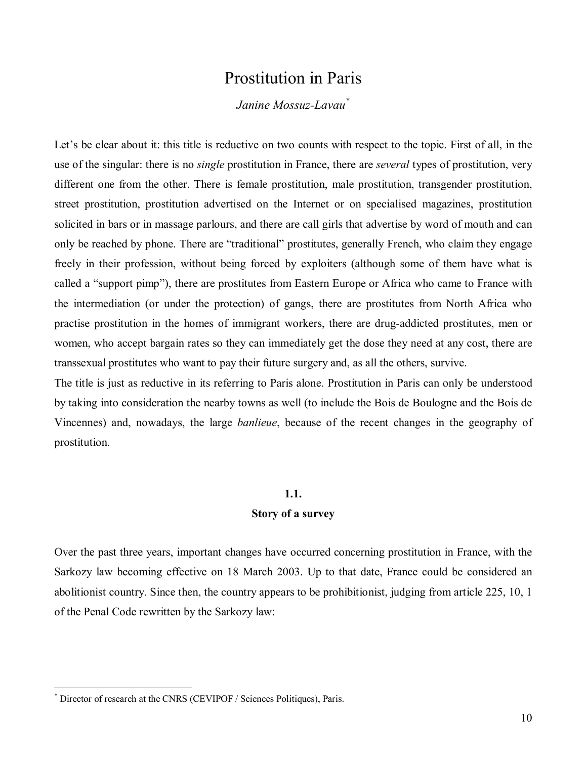# Prostitution in Paris

### *Janine Mossuz-Lavau\**

Let's be clear about it: this title is reductive on two counts with respect to the topic. First of all, in the use of the singular: there is no *single* prostitution in France, there are *several* types of prostitution, very different one from the other. There is female prostitution, male prostitution, transgender prostitution, street prostitution, prostitution advertised on the Internet or on specialised magazines, prostitution solicited in bars or in massage parlours, and there are call girls that advertise by word of mouth and can only be reached by phone. There are "traditional" prostitutes, generally French, who claim they engage freely in their profession, without being forced by exploiters (although some of them have what is called a "support pimp"), there are prostitutes from Eastern Europe or Africa who came to France with the intermediation (or under the protection) of gangs, there are prostitutes from North Africa who practise prostitution in the homes of immigrant workers, there are drug-addicted prostitutes, men or women, who accept bargain rates so they can immediately get the dose they need at any cost, there are transsexual prostitutes who want to pay their future surgery and, as all the others, survive.

The title is just as reductive in its referring to Paris alone. Prostitution in Paris can only be understood by taking into consideration the nearby towns as well (to include the Bois de Boulogne and the Bois de Vincennes) and, nowadays, the large *banlieue*, because of the recent changes in the geography of prostitution.

#### **1.1.**

#### **Story of a survey**

Over the past three years, important changes have occurred concerning prostitution in France, with the Sarkozy law becoming effective on 18 March 2003. Up to that date, France could be considered an abolitionist country. Since then, the country appears to be prohibitionist, judging from article 225, 10, 1 of the Penal Code rewritten by the Sarkozy law:

<sup>\*</sup> Director of research at the CNRS (CEVIPOF / Sciences Politiques), Paris.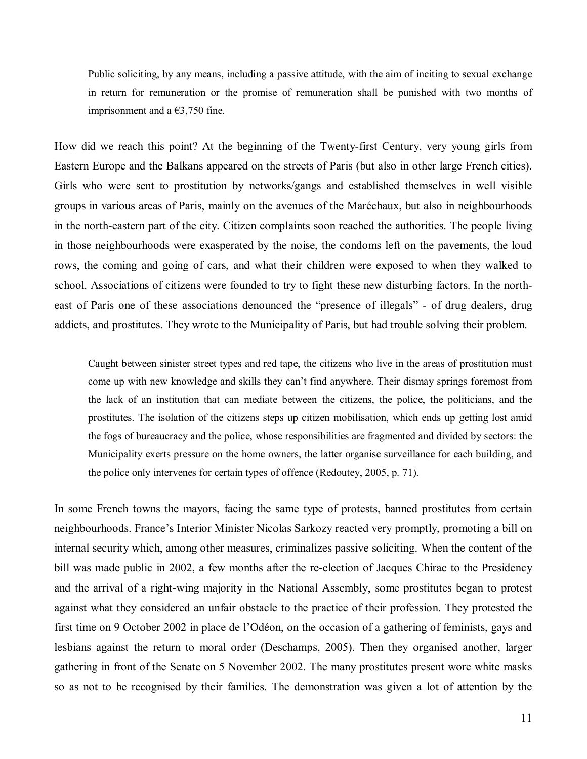Public soliciting, by any means, including a passive attitude, with the aim of inciting to sexual exchange in return for remuneration or the promise of remuneration shall be punished with two months of imprisonment and a  $\epsilon$ 3,750 fine.

How did we reach this point? At the beginning of the Twenty-first Century, very young girls from Eastern Europe and the Balkans appeared on the streets of Paris (but also in other large French cities). Girls who were sent to prostitution by networks/gangs and established themselves in well visible groups in various areas of Paris, mainly on the avenues of the Maréchaux, but also in neighbourhoods in the north-eastern part of the city. Citizen complaints soon reached the authorities. The people living in those neighbourhoods were exasperated by the noise, the condoms left on the pavements, the loud rows, the coming and going of cars, and what their children were exposed to when they walked to school. Associations of citizens were founded to try to fight these new disturbing factors. In the northeast of Paris one of these associations denounced the "presence of illegals" - of drug dealers, drug addicts, and prostitutes. They wrote to the Municipality of Paris, but had trouble solving their problem.

Caught between sinister street types and red tape, the citizens who live in the areas of prostitution must come up with new knowledge and skills they canít find anywhere. Their dismay springs foremost from the lack of an institution that can mediate between the citizens, the police, the politicians, and the prostitutes. The isolation of the citizens steps up citizen mobilisation, which ends up getting lost amid the fogs of bureaucracy and the police, whose responsibilities are fragmented and divided by sectors: the Municipality exerts pressure on the home owners, the latter organise surveillance for each building, and the police only intervenes for certain types of offence (Redoutey, 2005, p. 71).

In some French towns the mayors, facing the same type of protests, banned prostitutes from certain neighbourhoods. France's Interior Minister Nicolas Sarkozy reacted very promptly, promoting a bill on internal security which, among other measures, criminalizes passive soliciting. When the content of the bill was made public in 2002, a few months after the re-election of Jacques Chirac to the Presidency and the arrival of a right-wing majority in the National Assembly, some prostitutes began to protest against what they considered an unfair obstacle to the practice of their profession. They protested the first time on 9 October 2002 in place de l'Odéon, on the occasion of a gathering of feminists, gays and lesbians against the return to moral order (Deschamps, 2005). Then they organised another, larger gathering in front of the Senate on 5 November 2002. The many prostitutes present wore white masks so as not to be recognised by their families. The demonstration was given a lot of attention by the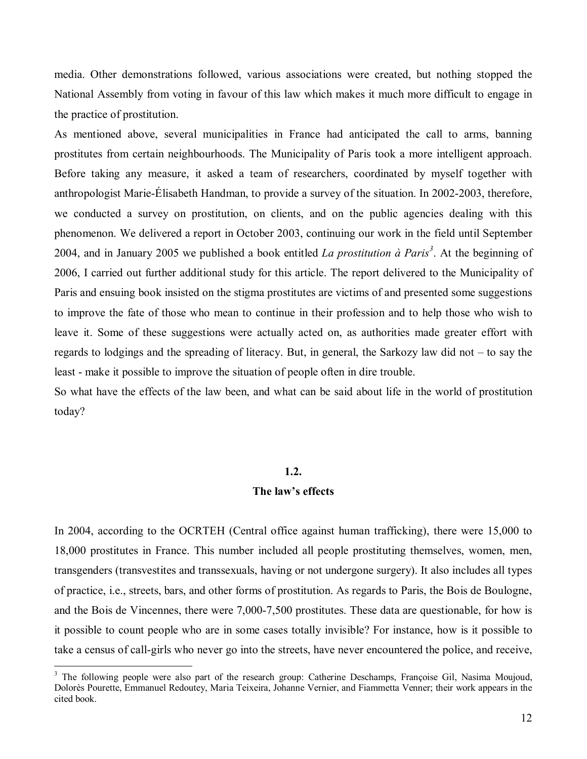media. Other demonstrations followed, various associations were created, but nothing stopped the National Assembly from voting in favour of this law which makes it much more difficult to engage in the practice of prostitution.

As mentioned above, several municipalities in France had anticipated the call to arms, banning prostitutes from certain neighbourhoods. The Municipality of Paris took a more intelligent approach. Before taking any measure, it asked a team of researchers, coordinated by myself together with anthropologist Marie-Élisabeth Handman, to provide a survey of the situation. In 2002-2003, therefore, we conducted a survey on prostitution, on clients, and on the public agencies dealing with this phenomenon. We delivered a report in October 2003, continuing our work in the field until September 2004, and in January 2005 we published a book entitled *La prostitution à Paris<sup>3</sup>*. At the beginning of 2006, I carried out further additional study for this article. The report delivered to the Municipality of Paris and ensuing book insisted on the stigma prostitutes are victims of and presented some suggestions to improve the fate of those who mean to continue in their profession and to help those who wish to leave it. Some of these suggestions were actually acted on, as authorities made greater effort with regards to lodgings and the spreading of literacy. But, in general, the Sarkozy law did not  $-$  to say the least - make it possible to improve the situation of people often in dire trouble.

So what have the effects of the law been, and what can be said about life in the world of prostitution today?

#### **1.2.**

#### The law's effects

In 2004, according to the OCRTEH (Central office against human trafficking), there were 15,000 to 18,000 prostitutes in France. This number included all people prostituting themselves, women, men, transgenders (transvestites and transsexuals, having or not undergone surgery). It also includes all types of practice, i.e., streets, bars, and other forms of prostitution. As regards to Paris, the Bois de Boulogne, and the Bois de Vincennes, there were 7,000-7,500 prostitutes. These data are questionable, for how is it possible to count people who are in some cases totally invisible? For instance, how is it possible to take a census of call-girls who never go into the streets, have never encountered the police, and receive,

<sup>&</sup>lt;sup>3</sup> The following people were also part of the research group: Catherine Deschamps, Françoise Gil, Nasima Moujoud, DolorËs Pourette, Emmanuel Redoutey, Maria Teixeira, Johanne Vernier, and Fiammetta Venner; their work appears in the cited book.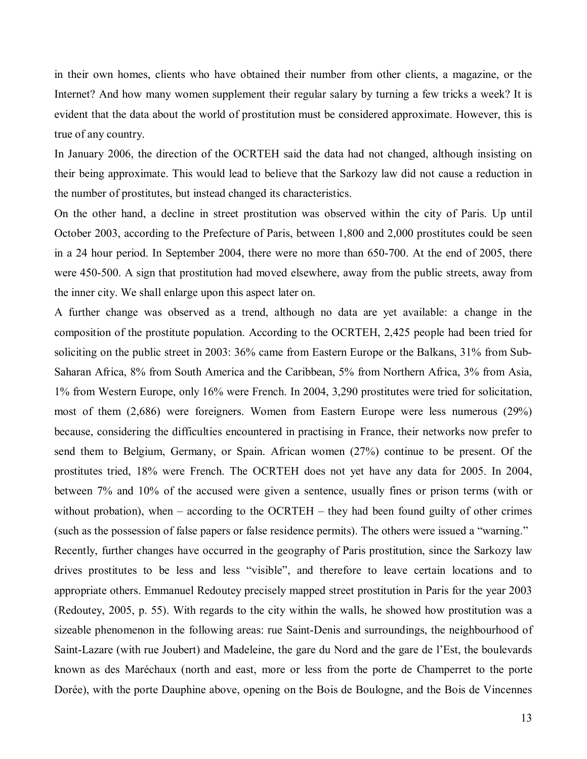in their own homes, clients who have obtained their number from other clients, a magazine, or the Internet? And how many women supplement their regular salary by turning a few tricks a week? It is evident that the data about the world of prostitution must be considered approximate. However, this is true of any country.

In January 2006, the direction of the OCRTEH said the data had not changed, although insisting on their being approximate. This would lead to believe that the Sarkozy law did not cause a reduction in the number of prostitutes, but instead changed its characteristics.

On the other hand, a decline in street prostitution was observed within the city of Paris. Up until October 2003, according to the Prefecture of Paris, between 1,800 and 2,000 prostitutes could be seen in a 24 hour period. In September 2004, there were no more than 650-700. At the end of 2005, there were 450-500. A sign that prostitution had moved elsewhere, away from the public streets, away from the inner city. We shall enlarge upon this aspect later on.

A further change was observed as a trend, although no data are yet available: a change in the composition of the prostitute population. According to the OCRTEH, 2,425 people had been tried for soliciting on the public street in 2003: 36% came from Eastern Europe or the Balkans, 31% from Sub-Saharan Africa, 8% from South America and the Caribbean, 5% from Northern Africa, 3% from Asia, 1% from Western Europe, only 16% were French. In 2004, 3,290 prostitutes were tried for solicitation, most of them (2,686) were foreigners. Women from Eastern Europe were less numerous (29%) because, considering the difficulties encountered in practising in France, their networks now prefer to send them to Belgium, Germany, or Spain. African women (27%) continue to be present. Of the prostitutes tried, 18% were French. The OCRTEH does not yet have any data for 2005. In 2004, between 7% and 10% of the accused were given a sentence, usually fines or prison terms (with or without probation), when  $-$  according to the OCRTEH  $-$  they had been found guilty of other crimes (such as the possession of false papers or false residence permits). The others were issued a "warning." Recently, further changes have occurred in the geography of Paris prostitution, since the Sarkozy law drives prostitutes to be less and less "visible", and therefore to leave certain locations and to appropriate others. Emmanuel Redoutey precisely mapped street prostitution in Paris for the year 2003 (Redoutey, 2005, p. 55). With regards to the city within the walls, he showed how prostitution was a sizeable phenomenon in the following areas: rue Saint-Denis and surroundings, the neighbourhood of Saint-Lazare (with rue Joubert) and Madeleine, the gare du Nord and the gare de l'Est, the boulevards known as des Maréchaux (north and east, more or less from the porte de Champerret to the porte Dorée), with the porte Dauphine above, opening on the Bois de Boulogne, and the Bois de Vincennes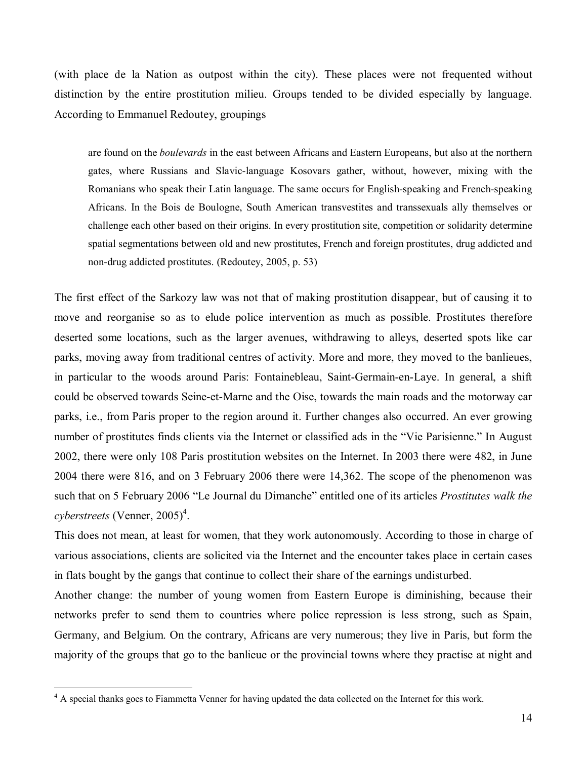(with place de la Nation as outpost within the city). These places were not frequented without distinction by the entire prostitution milieu. Groups tended to be divided especially by language. According to Emmanuel Redoutey, groupings

are found on the *boulevards* in the east between Africans and Eastern Europeans, but also at the northern gates, where Russians and Slavic-language Kosovars gather, without, however, mixing with the Romanians who speak their Latin language. The same occurs for English-speaking and French-speaking Africans. In the Bois de Boulogne, South American transvestites and transsexuals ally themselves or challenge each other based on their origins. In every prostitution site, competition or solidarity determine spatial segmentations between old and new prostitutes, French and foreign prostitutes, drug addicted and non-drug addicted prostitutes. (Redoutey, 2005, p. 53)

The first effect of the Sarkozy law was not that of making prostitution disappear, but of causing it to move and reorganise so as to elude police intervention as much as possible. Prostitutes therefore deserted some locations, such as the larger avenues, withdrawing to alleys, deserted spots like car parks, moving away from traditional centres of activity. More and more, they moved to the banlieues, in particular to the woods around Paris: Fontainebleau, Saint-Germain-en-Laye. In general, a shift could be observed towards Seine-et-Marne and the Oise, towards the main roads and the motorway car parks, i.e., from Paris proper to the region around it. Further changes also occurred. An ever growing number of prostitutes finds clients via the Internet or classified ads in the "Vie Parisienne." In August 2002, there were only 108 Paris prostitution websites on the Internet. In 2003 there were 482, in June 2004 there were 816, and on 3 February 2006 there were 14,362. The scope of the phenomenon was such that on 5 February 2006 "Le Journal du Dimanche" entitled one of its articles *Prostitutes walk the cyberstreets* (Venner, 2005)<sup>4</sup>.

This does not mean, at least for women, that they work autonomously. According to those in charge of various associations, clients are solicited via the Internet and the encounter takes place in certain cases in flats bought by the gangs that continue to collect their share of the earnings undisturbed.

Another change: the number of young women from Eastern Europe is diminishing, because their networks prefer to send them to countries where police repression is less strong, such as Spain, Germany, and Belgium. On the contrary, Africans are very numerous; they live in Paris, but form the majority of the groups that go to the banlieue or the provincial towns where they practise at night and

<sup>&</sup>lt;sup>4</sup> A special thanks goes to Fiammetta Venner for having updated the data collected on the Internet for this work.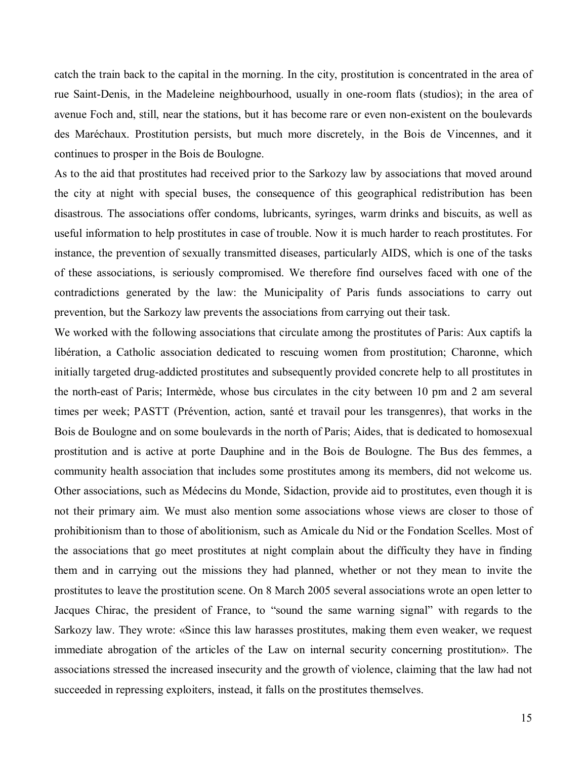catch the train back to the capital in the morning. In the city, prostitution is concentrated in the area of rue Saint-Denis, in the Madeleine neighbourhood, usually in one-room flats (studios); in the area of avenue Foch and, still, near the stations, but it has become rare or even non-existent on the boulevards des MarÈchaux. Prostitution persists, but much more discretely, in the Bois de Vincennes, and it continues to prosper in the Bois de Boulogne.

As to the aid that prostitutes had received prior to the Sarkozy law by associations that moved around the city at night with special buses, the consequence of this geographical redistribution has been disastrous. The associations offer condoms, lubricants, syringes, warm drinks and biscuits, as well as useful information to help prostitutes in case of trouble. Now it is much harder to reach prostitutes. For instance, the prevention of sexually transmitted diseases, particularly AIDS, which is one of the tasks of these associations, is seriously compromised. We therefore find ourselves faced with one of the contradictions generated by the law: the Municipality of Paris funds associations to carry out prevention, but the Sarkozy law prevents the associations from carrying out their task.

We worked with the following associations that circulate among the prostitutes of Paris: Aux captifs la libération, a Catholic association dedicated to rescuing women from prostitution; Charonne, which initially targeted drug-addicted prostitutes and subsequently provided concrete help to all prostitutes in the north-east of Paris; Intermède, whose bus circulates in the city between 10 pm and 2 am several times per week; PASTT (Prévention, action, santé et travail pour les transgenres), that works in the Bois de Boulogne and on some boulevards in the north of Paris; Aides, that is dedicated to homosexual prostitution and is active at porte Dauphine and in the Bois de Boulogne. The Bus des femmes, a community health association that includes some prostitutes among its members, did not welcome us. Other associations, such as MÈdecins du Monde, Sidaction, provide aid to prostitutes, even though it is not their primary aim. We must also mention some associations whose views are closer to those of prohibitionism than to those of abolitionism, such as Amicale du Nid or the Fondation Scelles. Most of the associations that go meet prostitutes at night complain about the difficulty they have in finding them and in carrying out the missions they had planned, whether or not they mean to invite the prostitutes to leave the prostitution scene. On 8 March 2005 several associations wrote an open letter to Jacques Chirac, the president of France, to "sound the same warning signal" with regards to the Sarkozy law. They wrote: «Since this law harasses prostitutes, making them even weaker, we request immediate abrogation of the articles of the Law on internal security concerning prostitution». The associations stressed the increased insecurity and the growth of violence, claiming that the law had not succeeded in repressing exploiters, instead, it falls on the prostitutes themselves.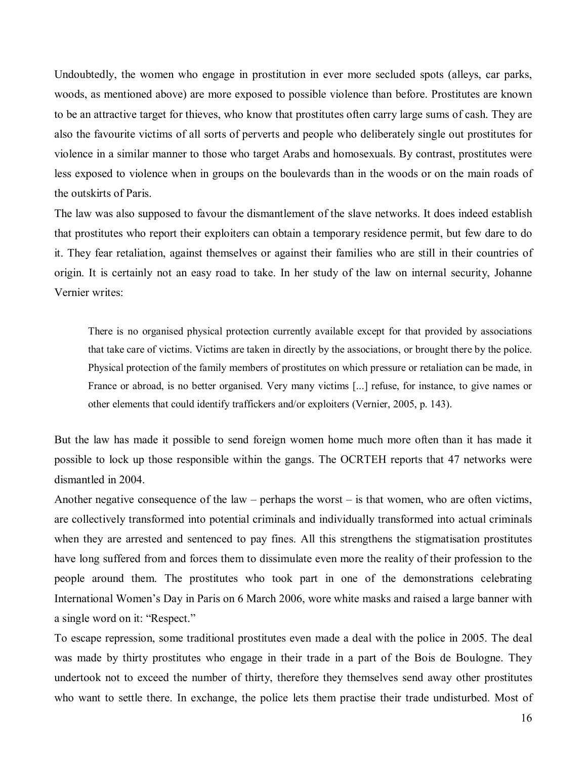Undoubtedly, the women who engage in prostitution in ever more secluded spots (alleys, car parks, woods, as mentioned above) are more exposed to possible violence than before. Prostitutes are known to be an attractive target for thieves, who know that prostitutes often carry large sums of cash. They are also the favourite victims of all sorts of perverts and people who deliberately single out prostitutes for violence in a similar manner to those who target Arabs and homosexuals. By contrast, prostitutes were less exposed to violence when in groups on the boulevards than in the woods or on the main roads of the outskirts of Paris.

The law was also supposed to favour the dismantlement of the slave networks. It does indeed establish that prostitutes who report their exploiters can obtain a temporary residence permit, but few dare to do it. They fear retaliation, against themselves or against their families who are still in their countries of origin. It is certainly not an easy road to take. In her study of the law on internal security, Johanne Vernier writes:

There is no organised physical protection currently available except for that provided by associations that take care of victims. Victims are taken in directly by the associations, or brought there by the police. Physical protection of the family members of prostitutes on which pressure or retaliation can be made, in France or abroad, is no better organised. Very many victims [...] refuse, for instance, to give names or other elements that could identify traffickers and/or exploiters (Vernier, 2005, p. 143).

But the law has made it possible to send foreign women home much more often than it has made it possible to lock up those responsible within the gangs. The OCRTEH reports that 47 networks were dismantled in 2004.

Another negative consequence of the law – perhaps the worst  $-$  is that women, who are often victims, are collectively transformed into potential criminals and individually transformed into actual criminals when they are arrested and sentenced to pay fines. All this strengthens the stigmatisation prostitutes have long suffered from and forces them to dissimulate even more the reality of their profession to the people around them. The prostitutes who took part in one of the demonstrations celebrating International Women's Day in Paris on 6 March 2006, wore white masks and raised a large banner with a single word on it: "Respect."

To escape repression, some traditional prostitutes even made a deal with the police in 2005. The deal was made by thirty prostitutes who engage in their trade in a part of the Bois de Boulogne. They undertook not to exceed the number of thirty, therefore they themselves send away other prostitutes who want to settle there. In exchange, the police lets them practise their trade undisturbed. Most of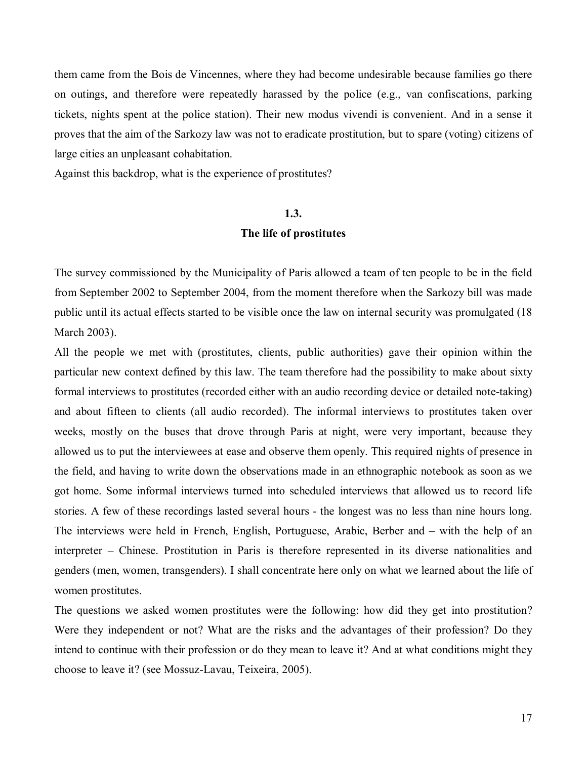them came from the Bois de Vincennes, where they had become undesirable because families go there on outings, and therefore were repeatedly harassed by the police (e.g., van confiscations, parking tickets, nights spent at the police station). Their new modus vivendi is convenient. And in a sense it proves that the aim of the Sarkozy law was not to eradicate prostitution, but to spare (voting) citizens of large cities an unpleasant cohabitation.

Against this backdrop, what is the experience of prostitutes?

#### **1.3.**

#### **The life of prostitutes**

The survey commissioned by the Municipality of Paris allowed a team of ten people to be in the field from September 2002 to September 2004, from the moment therefore when the Sarkozy bill was made public until its actual effects started to be visible once the law on internal security was promulgated (18 March 2003).

All the people we met with (prostitutes, clients, public authorities) gave their opinion within the particular new context defined by this law. The team therefore had the possibility to make about sixty formal interviews to prostitutes (recorded either with an audio recording device or detailed note-taking) and about fifteen to clients (all audio recorded). The informal interviews to prostitutes taken over weeks, mostly on the buses that drove through Paris at night, were very important, because they allowed us to put the interviewees at ease and observe them openly. This required nights of presence in the field, and having to write down the observations made in an ethnographic notebook as soon as we got home. Some informal interviews turned into scheduled interviews that allowed us to record life stories. A few of these recordings lasted several hours - the longest was no less than nine hours long. The interviews were held in French, English, Portuguese, Arabic, Berber and  $-$  with the help of an interpreter – Chinese. Prostitution in Paris is therefore represented in its diverse nationalities and genders (men, women, transgenders). I shall concentrate here only on what we learned about the life of women prostitutes.

The questions we asked women prostitutes were the following: how did they get into prostitution? Were they independent or not? What are the risks and the advantages of their profession? Do they intend to continue with their profession or do they mean to leave it? And at what conditions might they choose to leave it? (see Mossuz-Lavau, Teixeira, 2005).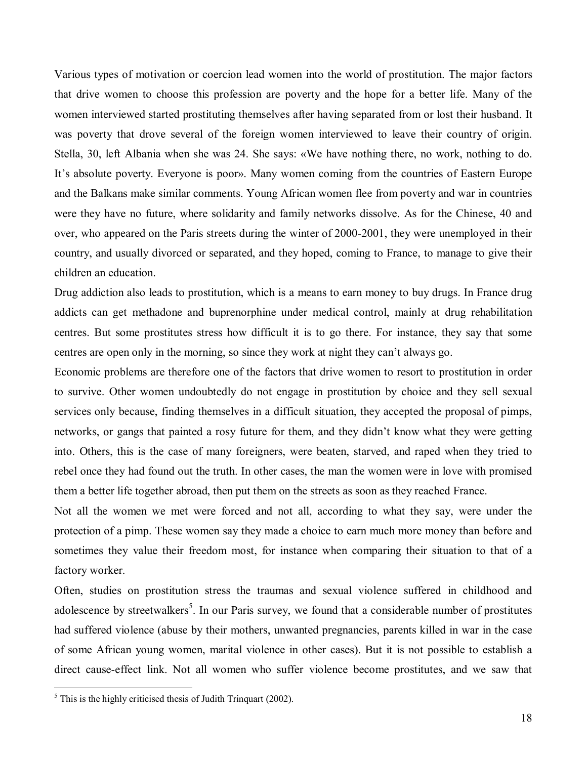Various types of motivation or coercion lead women into the world of prostitution. The major factors that drive women to choose this profession are poverty and the hope for a better life. Many of the women interviewed started prostituting themselves after having separated from or lost their husband. It was poverty that drove several of the foreign women interviewed to leave their country of origin. Stella, 30, left Albania when she was 24. She says:  $\langle$ We have nothing there, no work, nothing to do. It's absolute poverty. Everyone is poor». Many women coming from the countries of Eastern Europe and the Balkans make similar comments. Young African women flee from poverty and war in countries were they have no future, where solidarity and family networks dissolve. As for the Chinese, 40 and over, who appeared on the Paris streets during the winter of 2000-2001, they were unemployed in their country, and usually divorced or separated, and they hoped, coming to France, to manage to give their children an education.

Drug addiction also leads to prostitution, which is a means to earn money to buy drugs. In France drug addicts can get methadone and buprenorphine under medical control, mainly at drug rehabilitation centres. But some prostitutes stress how difficult it is to go there. For instance, they say that some centres are open only in the morning, so since they work at night they can't always go.

Economic problems are therefore one of the factors that drive women to resort to prostitution in order to survive. Other women undoubtedly do not engage in prostitution by choice and they sell sexual services only because, finding themselves in a difficult situation, they accepted the proposal of pimps, networks, or gangs that painted a rosy future for them, and they didn't know what they were getting into. Others, this is the case of many foreigners, were beaten, starved, and raped when they tried to rebel once they had found out the truth. In other cases, the man the women were in love with promised them a better life together abroad, then put them on the streets as soon as they reached France.

Not all the women we met were forced and not all, according to what they say, were under the protection of a pimp. These women say they made a choice to earn much more money than before and sometimes they value their freedom most, for instance when comparing their situation to that of a factory worker.

Often, studies on prostitution stress the traumas and sexual violence suffered in childhood and adolescence by streetwalkers<sup>5</sup>. In our Paris survey, we found that a considerable number of prostitutes had suffered violence (abuse by their mothers, unwanted pregnancies, parents killed in war in the case of some African young women, marital violence in other cases). But it is not possible to establish a direct cause-effect link. Not all women who suffer violence become prostitutes, and we saw that

 $<sup>5</sup>$  This is the highly criticised thesis of Judith Trinquart (2002).</sup>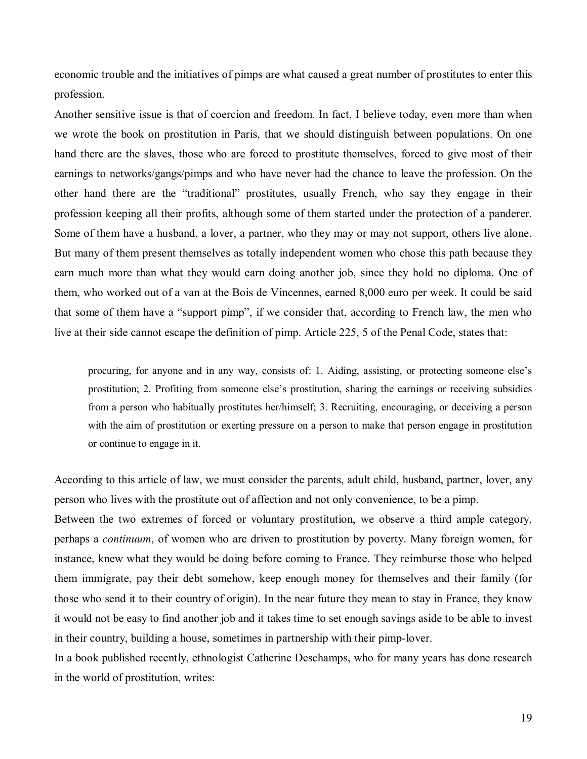economic trouble and the initiatives of pimps are what caused a great number of prostitutes to enter this profession.

Another sensitive issue is that of coercion and freedom. In fact, I believe today, even more than when we wrote the book on prostitution in Paris, that we should distinguish between populations. On one hand there are the slaves, those who are forced to prostitute themselves, forced to give most of their earnings to networks/gangs/pimps and who have never had the chance to leave the profession. On the other hand there are the "traditional" prostitutes, usually French, who say they engage in their profession keeping all their profits, although some of them started under the protection of a panderer. Some of them have a husband, a lover, a partner, who they may or may not support, others live alone. But many of them present themselves as totally independent women who chose this path because they earn much more than what they would earn doing another job, since they hold no diploma. One of them, who worked out of a van at the Bois de Vincennes, earned 8,000 euro per week. It could be said that some of them have a "support pimp", if we consider that, according to French law, the men who live at their side cannot escape the definition of pimp. Article 225, 5 of the Penal Code, states that:

procuring, for anyone and in any way, consists of: 1. Aiding, assisting, or protecting someone else's prostitution; 2. Profiting from someone else's prostitution, sharing the earnings or receiving subsidies from a person who habitually prostitutes her/himself; 3. Recruiting, encouraging, or deceiving a person with the aim of prostitution or exerting pressure on a person to make that person engage in prostitution or continue to engage in it.

According to this article of law, we must consider the parents, adult child, husband, partner, lover, any person who lives with the prostitute out of affection and not only convenience, to be a pimp.

Between the two extremes of forced or voluntary prostitution, we observe a third ample category, perhaps a *continuum*, of women who are driven to prostitution by poverty. Many foreign women, for instance, knew what they would be doing before coming to France. They reimburse those who helped them immigrate, pay their debt somehow, keep enough money for themselves and their family (for those who send it to their country of origin). In the near future they mean to stay in France, they know it would not be easy to find another job and it takes time to set enough savings aside to be able to invest in their country, building a house, sometimes in partnership with their pimp-lover.

In a book published recently, ethnologist Catherine Deschamps, who for many years has done research in the world of prostitution, writes: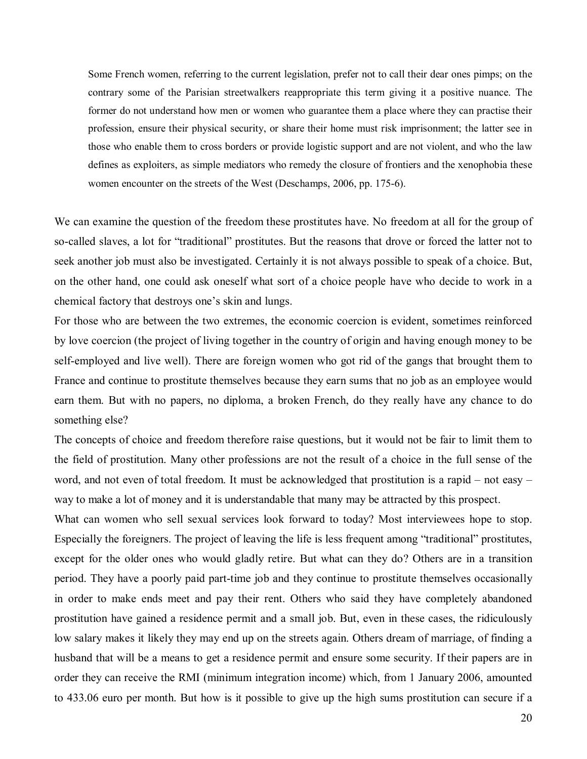Some French women, referring to the current legislation, prefer not to call their dear ones pimps; on the contrary some of the Parisian streetwalkers reappropriate this term giving it a positive nuance. The former do not understand how men or women who guarantee them a place where they can practise their profession, ensure their physical security, or share their home must risk imprisonment; the latter see in those who enable them to cross borders or provide logistic support and are not violent, and who the law defines as exploiters, as simple mediators who remedy the closure of frontiers and the xenophobia these women encounter on the streets of the West (Deschamps, 2006, pp. 175-6).

We can examine the question of the freedom these prostitutes have. No freedom at all for the group of so-called slaves, a lot for "traditional" prostitutes. But the reasons that drove or forced the latter not to seek another job must also be investigated. Certainly it is not always possible to speak of a choice. But, on the other hand, one could ask oneself what sort of a choice people have who decide to work in a chemical factory that destroys one's skin and lungs.

For those who are between the two extremes, the economic coercion is evident, sometimes reinforced by love coercion (the project of living together in the country of origin and having enough money to be self-employed and live well). There are foreign women who got rid of the gangs that brought them to France and continue to prostitute themselves because they earn sums that no job as an employee would earn them. But with no papers, no diploma, a broken French, do they really have any chance to do something else?

The concepts of choice and freedom therefore raise questions, but it would not be fair to limit them to the field of prostitution. Many other professions are not the result of a choice in the full sense of the word, and not even of total freedom. It must be acknowledged that prostitution is a rapid – not easy – way to make a lot of money and it is understandable that many may be attracted by this prospect.

What can women who sell sexual services look forward to today? Most interviewees hope to stop. Especially the foreigners. The project of leaving the life is less frequent among "traditional" prostitutes, except for the older ones who would gladly retire. But what can they do? Others are in a transition period. They have a poorly paid part-time job and they continue to prostitute themselves occasionally in order to make ends meet and pay their rent. Others who said they have completely abandoned prostitution have gained a residence permit and a small job. But, even in these cases, the ridiculously low salary makes it likely they may end up on the streets again. Others dream of marriage, of finding a husband that will be a means to get a residence permit and ensure some security. If their papers are in order they can receive the RMI (minimum integration income) which, from 1 January 2006, amounted to 433.06 euro per month. But how is it possible to give up the high sums prostitution can secure if a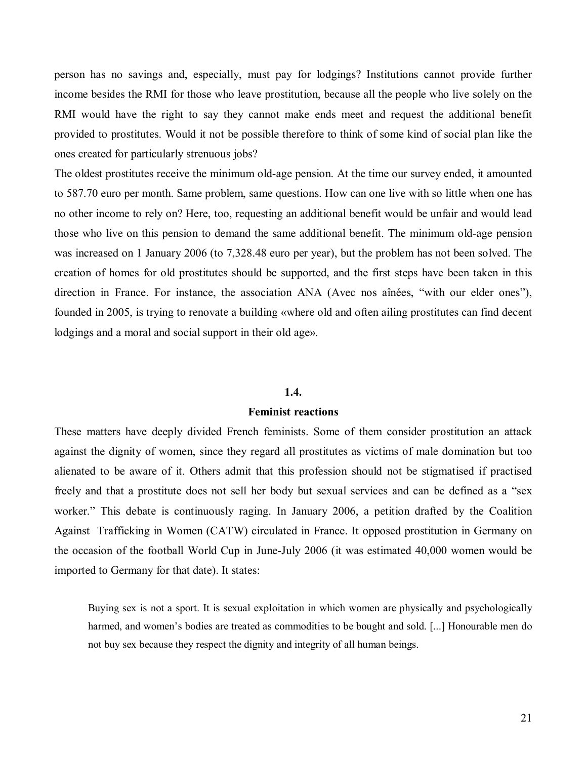person has no savings and, especially, must pay for lodgings? Institutions cannot provide further income besides the RMI for those who leave prostitution, because all the people who live solely on the RMI would have the right to say they cannot make ends meet and request the additional benefit provided to prostitutes. Would it not be possible therefore to think of some kind of social plan like the ones created for particularly strenuous jobs?

The oldest prostitutes receive the minimum old-age pension. At the time our survey ended, it amounted to 587.70 euro per month. Same problem, same questions. How can one live with so little when one has no other income to rely on? Here, too, requesting an additional benefit would be unfair and would lead those who live on this pension to demand the same additional benefit. The minimum old-age pension was increased on 1 January 2006 (to 7,328.48 euro per year), but the problem has not been solved. The creation of homes for old prostitutes should be supported, and the first steps have been taken in this direction in France. For instance, the association ANA (Avec nos aînées, "with our elder ones"), founded in 2005, is trying to renovate a building «where old and often ailing prostitutes can find decent lodgings and a moral and social support in their old age».

#### **1.4.**

#### **Feminist reactions**

These matters have deeply divided French feminists. Some of them consider prostitution an attack against the dignity of women, since they regard all prostitutes as victims of male domination but too alienated to be aware of it. Others admit that this profession should not be stigmatised if practised freely and that a prostitute does not sell her body but sexual services and can be defined as a "sex worker." This debate is continuously raging. In January 2006, a petition drafted by the Coalition Against Trafficking in Women (CATW) circulated in France. It opposed prostitution in Germany on the occasion of the football World Cup in June-July 2006 (it was estimated 40,000 women would be imported to Germany for that date). It states:

Buying sex is not a sport. It is sexual exploitation in which women are physically and psychologically harmed, and women's bodies are treated as commodities to be bought and sold. [...] Honourable men do not buy sex because they respect the dignity and integrity of all human beings.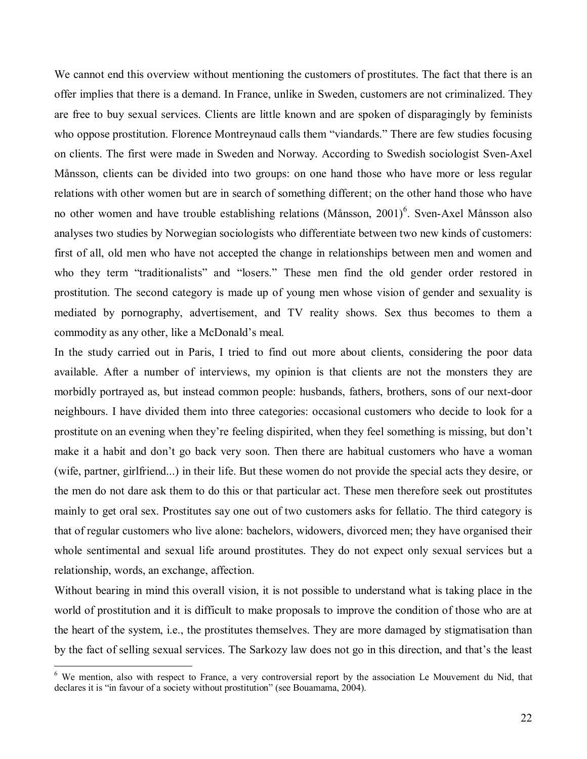We cannot end this overview without mentioning the customers of prostitutes. The fact that there is an offer implies that there is a demand. In France, unlike in Sweden, customers are not criminalized. They are free to buy sexual services. Clients are little known and are spoken of disparagingly by feminists who oppose prostitution. Florence Montreynaud calls them "viandards." There are few studies focusing on clients. The first were made in Sweden and Norway. According to Swedish sociologist Sven-Axel MÂnsson, clients can be divided into two groups: on one hand those who have more or less regular relations with other women but are in search of something different; on the other hand those who have no other women and have trouble establishing relations (Månsson, 2001)<sup>6</sup>. Sven-Axel Månsson also analyses two studies by Norwegian sociologists who differentiate between two new kinds of customers: first of all, old men who have not accepted the change in relationships between men and women and who they term "traditionalists" and "losers." These men find the old gender order restored in prostitution. The second category is made up of young men whose vision of gender and sexuality is mediated by pornography, advertisement, and TV reality shows. Sex thus becomes to them a commodity as any other, like a McDonald's meal.

In the study carried out in Paris, I tried to find out more about clients, considering the poor data available. After a number of interviews, my opinion is that clients are not the monsters they are morbidly portrayed as, but instead common people: husbands, fathers, brothers, sons of our next-door neighbours. I have divided them into three categories: occasional customers who decide to look for a prostitute on an evening when they're feeling dispirited, when they feel something is missing, but don't make it a habit and don't go back very soon. Then there are habitual customers who have a woman (wife, partner, girlfriend...) in their life. But these women do not provide the special acts they desire, or the men do not dare ask them to do this or that particular act. These men therefore seek out prostitutes mainly to get oral sex. Prostitutes say one out of two customers asks for fellatio. The third category is that of regular customers who live alone: bachelors, widowers, divorced men; they have organised their whole sentimental and sexual life around prostitutes. They do not expect only sexual services but a relationship, words, an exchange, affection.

Without bearing in mind this overall vision, it is not possible to understand what is taking place in the world of prostitution and it is difficult to make proposals to improve the condition of those who are at the heart of the system, i.e., the prostitutes themselves. They are more damaged by stigmatisation than by the fact of selling sexual services. The Sarkozy law does not go in this direction, and that's the least

<sup>&</sup>lt;sup>6</sup> We mention, also with respect to France, a very controversial report by the association Le Mouvement du Nid, that declares it is "in favour of a society without prostitution" (see Bouamama, 2004).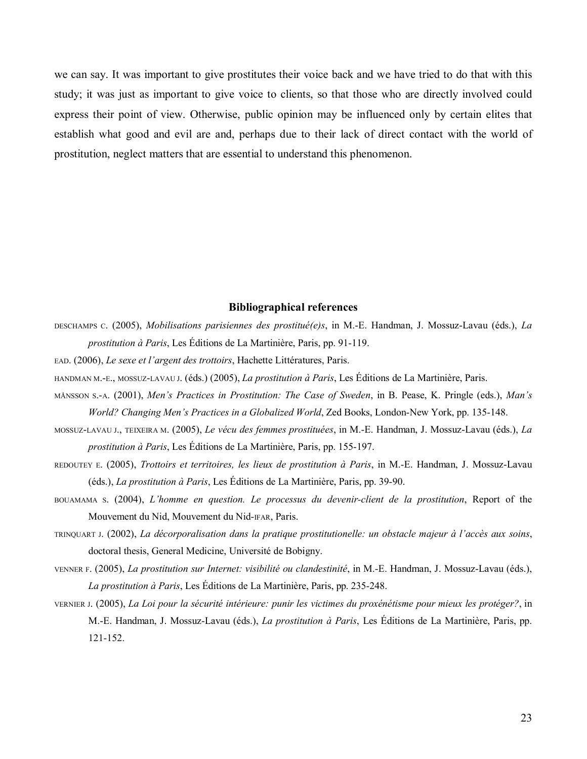we can say. It was important to give prostitutes their voice back and we have tried to do that with this study; it was just as important to give voice to clients, so that those who are directly involved could express their point of view. Otherwise, public opinion may be influenced only by certain elites that establish what good and evil are and, perhaps due to their lack of direct contact with the world of prostitution, neglect matters that are essential to understand this phenomenon.

#### **Bibliographical references**

- DESCHAMPS C. (2005), *Mobilisations parisiennes des prostituÈ(e)s*, in M.-E. Handman, J. Mossuz-Lavau (Èds.), *La prostitution à Paris*, Les Éditions de La Martinière, Paris, pp. 91-119.
- EAD. (2006), *Le sexe et l'argent des trottoirs*, Hachette Littératures, Paris.
- HANDMAN M.-E., MOSSUZ-LAVAU J. (éds.) (2005), *La prostitution à Paris*, Les Éditions de La Martinière, Paris.
- MÅNSSON S.-A. (2001), *Menís Practices in Prostitution: The Case of Sweden*, in B. Pease, K. Pringle (eds.), *Manís World? Changing Menís Practices in a Globalized World*, Zed Books, London-New York, pp. 135-148.
- MOSSUZ-LAVAU J., TEIXEIRA M. (2005), *Le vÈcu des femmes prostituÈes*, in M.-E. Handman, J. Mossuz-Lavau (Èds.), *La prostitution à Paris*, Les Éditions de La Martinière, Paris, pp. 155-197.
- REDOUTEY E. (2005), *Trottoirs et territoires, les lieux de prostitution ‡ Paris*, in M.-E. Handman, J. Mossuz-Lavau (éds.), *La prostitution à Paris*, Les Éditions de La Martinière, Paris, pp. 39-90.
- BOUAMAMA S. (2004), *Líhomme en question. Le processus du devenir-client de la prostitution*, Report of the Mouvement du Nid, Mouvement du Nid-FAR, Paris.
- TRINQUART J. (2002), *La décorporalisation dans la pratique prostitutionelle: un obstacle majeur à l'accès aux soins*, doctoral thesis, General Medicine, Université de Bobigny.
- VENNER F. (2005), *La prostitution sur Internet: visibilitÈ ou clandestinitÈ*, in M.-E. Handman, J. Mossuz-Lavau (Èds.), *La prostitution à Paris*, Les Éditions de La Martinière, Paris, pp. 235-248.
- VERNIER J. (2005), *La Loi pour la sÈcuritÈ intÈrieure: punir les victimes du proxÈnÈtisme pour mieux les protÈger?*, in M.-E. Handman, J. Mossuz-Lavau (éds.), *La prostitution à Paris*, Les Éditions de La Martinière, Paris, pp. 121-152.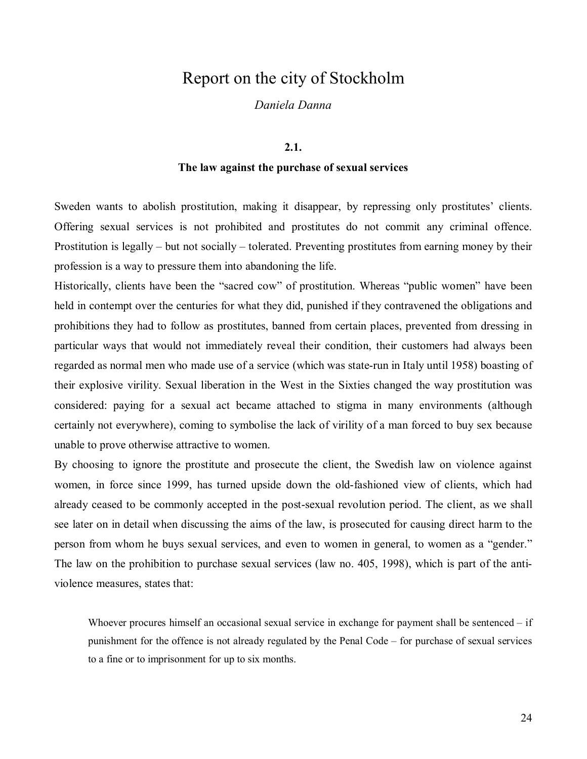### Report on the city of Stockholm

*Daniela Danna* 

#### **2.1.**

#### **The law against the purchase of sexual services**

Sweden wants to abolish prostitution, making it disappear, by repressing only prostitutes' clients. Offering sexual services is not prohibited and prostitutes do not commit any criminal offence. Prostitution is legally  $-$  but not socially  $-$  tolerated. Preventing prostitutes from earning money by their profession is a way to pressure them into abandoning the life.

Historically, clients have been the "sacred cow" of prostitution. Whereas "public women" have been held in contempt over the centuries for what they did, punished if they contravened the obligations and prohibitions they had to follow as prostitutes, banned from certain places, prevented from dressing in particular ways that would not immediately reveal their condition, their customers had always been regarded as normal men who made use of a service (which was state-run in Italy until 1958) boasting of their explosive virility. Sexual liberation in the West in the Sixties changed the way prostitution was considered: paying for a sexual act became attached to stigma in many environments (although certainly not everywhere), coming to symbolise the lack of virility of a man forced to buy sex because unable to prove otherwise attractive to women.

By choosing to ignore the prostitute and prosecute the client, the Swedish law on violence against women, in force since 1999, has turned upside down the old-fashioned view of clients, which had already ceased to be commonly accepted in the post-sexual revolution period. The client, as we shall see later on in detail when discussing the aims of the law, is prosecuted for causing direct harm to the person from whom he buys sexual services, and even to women in general, to women as a "gender." The law on the prohibition to purchase sexual services (law no. 405, 1998), which is part of the antiviolence measures, states that:

Whoever procures himself an occasional sexual service in exchange for payment shall be sentenced  $\overline{\phantom{a}}$  if punishment for the offence is not already regulated by the Penal Code – for purchase of sexual services to a fine or to imprisonment for up to six months.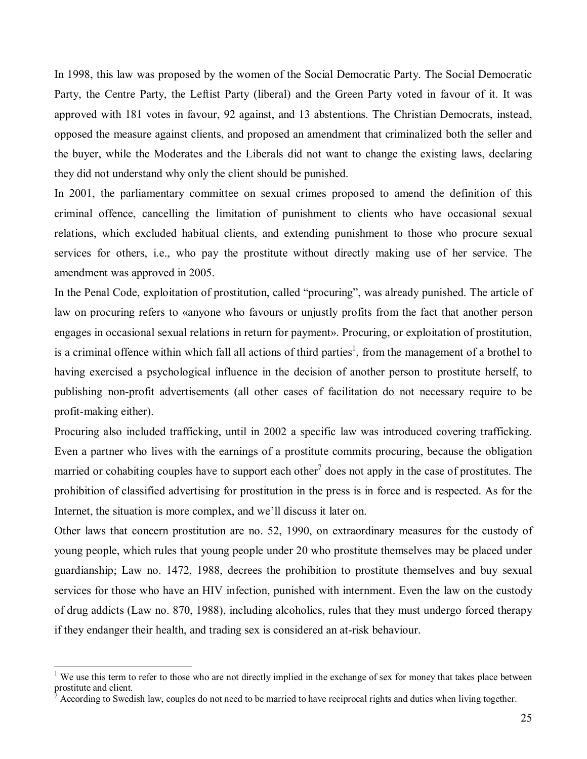In 1998, this law was proposed by the women of the Social Democratic Party. The Social Democratic Party, the Centre Party, the Leftist Party (liberal) and the Green Party voted in favour of it. It was approved with 181 votes in favour, 92 against, and 13 abstentions. The Christian Democrats, instead, opposed the measure against clients, and proposed an amendment that criminalized both the seller and the buyer, while the Moderates and the Liberals did not want to change the existing laws, declaring they did not understand why only the client should be punished.

In 2001, the parliamentary committee on sexual crimes proposed to amend the definition of this criminal offence, cancelling the limitation of punishment to clients who have occasional sexual relations, which excluded habitual clients, and extending punishment to those who procure sexual services for others, i.e., who pay the prostitute without directly making use of her service. The amendment was approved in 2005.

In the Penal Code, exploitation of prostitution, called "procuring", was already punished. The article of law on procuring refers to «anyone who favours or unjustly profits from the fact that another person engages in occasional sexual relations in return for payment». Procuring, or exploitation of prostitution, is a criminal offence within which fall all actions of third parties<sup>1</sup>, from the management of a brothel to having exercised a psychological influence in the decision of another person to prostitute herself, to publishing non-profit advertisements (all other cases of facilitation do not necessary require to be profit-making either).

Procuring also included trafficking, until in 2002 a specific law was introduced covering trafficking. Even a partner who lives with the earnings of a prostitute commits procuring, because the obligation married or cohabiting couples have to support each other<sup>7</sup> does not apply in the case of prostitutes. The prohibition of classified advertising for prostitution in the press is in force and is respected. As for the Internet, the situation is more complex, and we'll discuss it later on.

Other laws that concern prostitution are no. 52, 1990, on extraordinary measures for the custody of young people, which rules that young people under 20 who prostitute themselves may be placed under guardianship; Law no. 1472, 1988, decrees the prohibition to prostitute themselves and buy sexual services for those who have an HIV infection, punished with internment. Even the law on the custody of drug addicts (Law no. 870, 1988), including alcoholics, rules that they must undergo forced therapy if they endanger their health, and trading sex is considered an at-risk behaviour.

<sup>&</sup>lt;sup>1</sup> We use this term to refer to those who are not directly implied in the exchange of sex for money that takes place between prostitute and client.

<sup>7</sup> According to Swedish law, couples do not need to be married to have reciprocal rights and duties when living together.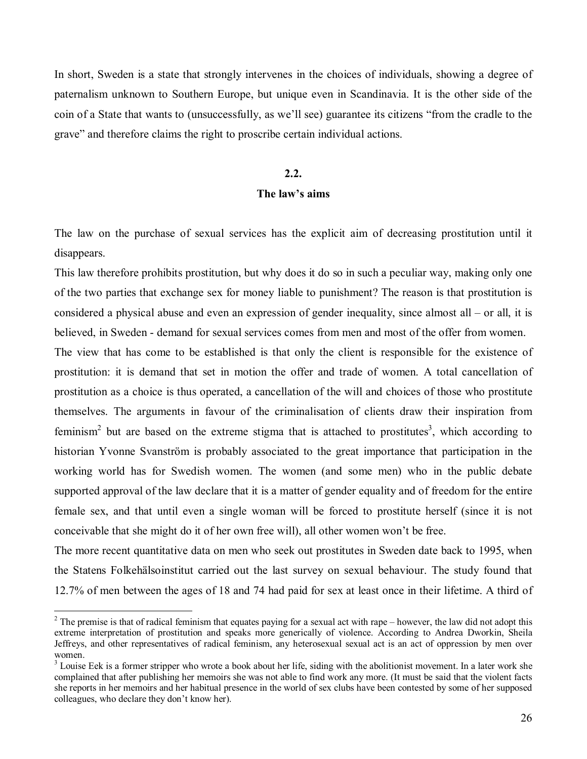In short, Sweden is a state that strongly intervenes in the choices of individuals, showing a degree of paternalism unknown to Southern Europe, but unique even in Scandinavia. It is the other side of the coin of a State that wants to (unsuccessfully, as we'll see) guarantee its citizens "from the cradle to the grave" and therefore claims the right to proscribe certain individual actions.

#### **2.2.**

#### The law's aims

The law on the purchase of sexual services has the explicit aim of decreasing prostitution until it disappears.

This law therefore prohibits prostitution, but why does it do so in such a peculiar way, making only one of the two parties that exchange sex for money liable to punishment? The reason is that prostitution is considered a physical abuse and even an expression of gender inequality, since almost all  $-$  or all, it is believed, in Sweden - demand for sexual services comes from men and most of the offer from women.

The view that has come to be established is that only the client is responsible for the existence of prostitution: it is demand that set in motion the offer and trade of women. A total cancellation of prostitution as a choice is thus operated, a cancellation of the will and choices of those who prostitute themselves. The arguments in favour of the criminalisation of clients draw their inspiration from feminism<sup>2</sup> but are based on the extreme stigma that is attached to prostitutes<sup>3</sup>, which according to historian Yvonne Svanström is probably associated to the great importance that participation in the working world has for Swedish women. The women (and some men) who in the public debate supported approval of the law declare that it is a matter of gender equality and of freedom for the entire female sex, and that until even a single woman will be forced to prostitute herself (since it is not conceivable that she might do it of her own free will), all other women wonít be free.

The more recent quantitative data on men who seek out prostitutes in Sweden date back to 1995, when the Statens Folkehålsoinstitut carried out the last survey on sexual behaviour. The study found that 12.7% of men between the ages of 18 and 74 had paid for sex at least once in their lifetime. A third of

<sup>&</sup>lt;sup>2</sup> The premise is that of radical feminism that equates paying for a sexual act with rape – however, the law did not adopt this extreme interpretation of prostitution and speaks more generically of violence. According to Andrea Dworkin, Sheila Jeffreys, and other representatives of radical feminism, any heterosexual sexual act is an act of oppression by men over women.

 $3$  Louise Eek is a former stripper who wrote a book about her life, siding with the abolitionist movement. In a later work she complained that after publishing her memoirs she was not able to find work any more. (It must be said that the violent facts she reports in her memoirs and her habitual presence in the world of sex clubs have been contested by some of her supposed colleagues, who declare they don't know her).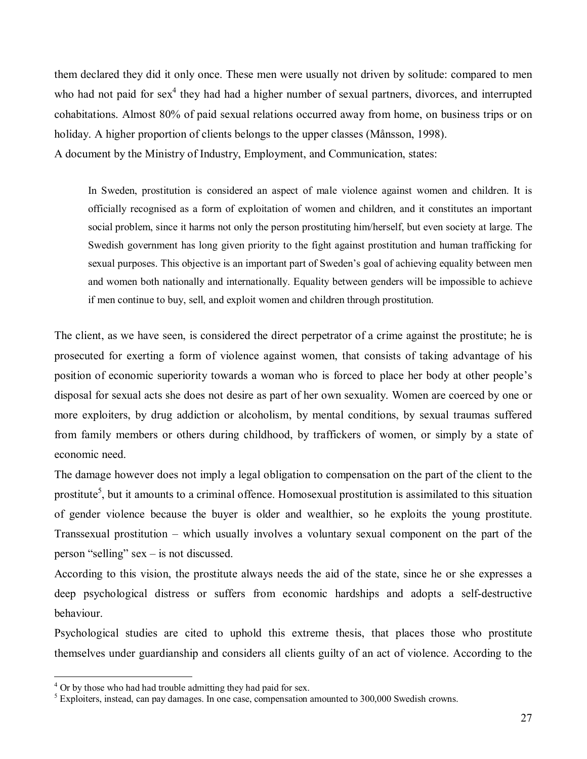them declared they did it only once. These men were usually not driven by solitude: compared to men who had not paid for sex<sup>4</sup> they had had a higher number of sexual partners, divorces, and interrupted cohabitations. Almost 80% of paid sexual relations occurred away from home, on business trips or on holiday. A higher proportion of clients belongs to the upper classes (Månsson, 1998). A document by the Ministry of Industry, Employment, and Communication, states:

In Sweden, prostitution is considered an aspect of male violence against women and children. It is officially recognised as a form of exploitation of women and children, and it constitutes an important social problem, since it harms not only the person prostituting him/herself, but even society at large. The Swedish government has long given priority to the fight against prostitution and human trafficking for sexual purposes. This objective is an important part of Sweden's goal of achieving equality between men and women both nationally and internationally. Equality between genders will be impossible to achieve if men continue to buy, sell, and exploit women and children through prostitution.

The client, as we have seen, is considered the direct perpetrator of a crime against the prostitute; he is prosecuted for exerting a form of violence against women, that consists of taking advantage of his position of economic superiority towards a woman who is forced to place her body at other people's disposal for sexual acts she does not desire as part of her own sexuality. Women are coerced by one or more exploiters, by drug addiction or alcoholism, by mental conditions, by sexual traumas suffered from family members or others during childhood, by traffickers of women, or simply by a state of economic need.

The damage however does not imply a legal obligation to compensation on the part of the client to the prostitute<sup>5</sup>, but it amounts to a criminal offence. Homosexual prostitution is assimilated to this situation of gender violence because the buyer is older and wealthier, so he exploits the young prostitute. Transsexual prostitution  $-$  which usually involves a voluntary sexual component on the part of the person "selling" sex  $-$  is not discussed.

According to this vision, the prostitute always needs the aid of the state, since he or she expresses a deep psychological distress or suffers from economic hardships and adopts a self-destructive behaviour.

Psychological studies are cited to uphold this extreme thesis, that places those who prostitute themselves under guardianship and considers all clients guilty of an act of violence. According to the

<sup>&</sup>lt;sup>4</sup> Or by those who had had trouble admitting they had paid for sex.

<sup>&</sup>lt;sup>5</sup> Exploiters, instead, can pay damages. In one case, compensation amounted to 300,000 Swedish crowns.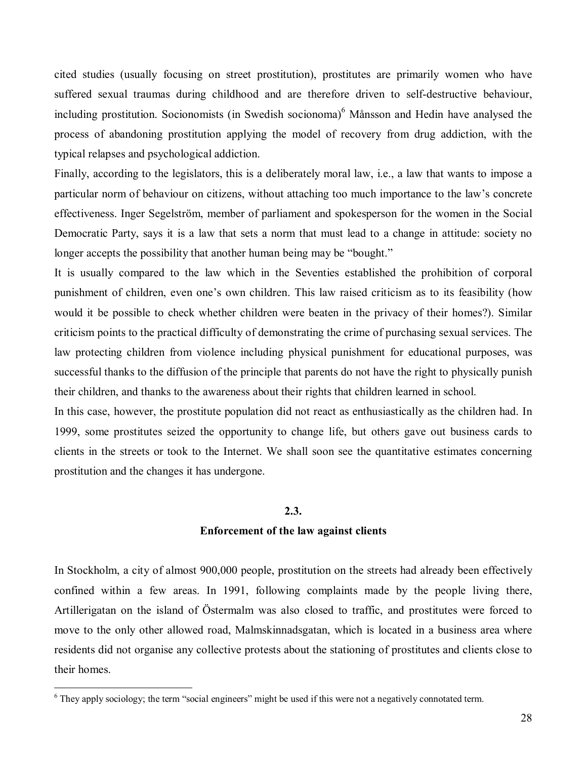cited studies (usually focusing on street prostitution), prostitutes are primarily women who have suffered sexual traumas during childhood and are therefore driven to self-destructive behaviour, including prostitution. Socionomists (in Swedish socionoma)<sup>6</sup> Månsson and Hedin have analysed the process of abandoning prostitution applying the model of recovery from drug addiction, with the typical relapses and psychological addiction.

Finally, according to the legislators, this is a deliberately moral law, i.e., a law that wants to impose a particular norm of behaviour on citizens, without attaching too much importance to the law's concrete effectiveness. Inger Segelström, member of parliament and spokesperson for the women in the Social Democratic Party, says it is a law that sets a norm that must lead to a change in attitude: society no longer accepts the possibility that another human being may be "bought."

It is usually compared to the law which in the Seventies established the prohibition of corporal punishment of children, even one's own children. This law raised criticism as to its feasibility (how would it be possible to check whether children were beaten in the privacy of their homes?). Similar criticism points to the practical difficulty of demonstrating the crime of purchasing sexual services. The law protecting children from violence including physical punishment for educational purposes, was successful thanks to the diffusion of the principle that parents do not have the right to physically punish their children, and thanks to the awareness about their rights that children learned in school.

In this case, however, the prostitute population did not react as enthusiastically as the children had. In 1999, some prostitutes seized the opportunity to change life, but others gave out business cards to clients in the streets or took to the Internet. We shall soon see the quantitative estimates concerning prostitution and the changes it has undergone.

#### **2.3.**

#### **Enforcement of the law against clients**

In Stockholm, a city of almost 900,000 people, prostitution on the streets had already been effectively confined within a few areas. In 1991, following complaints made by the people living there, Artillerigatan on the island of Östermalm was also closed to traffic, and prostitutes were forced to move to the only other allowed road, Malmskinnadsgatan, which is located in a business area where residents did not organise any collective protests about the stationing of prostitutes and clients close to their homes.

 $6$  They apply sociology; the term "social engineers" might be used if this were not a negatively connotated term.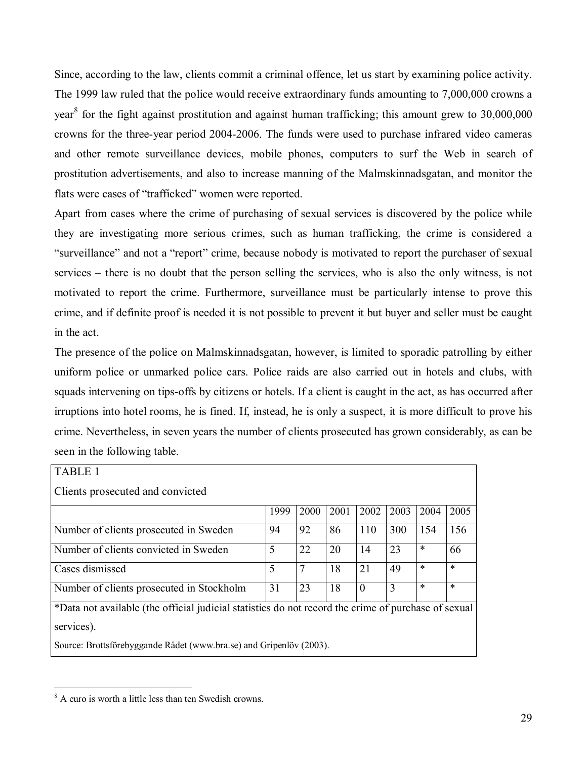Since, according to the law, clients commit a criminal offence, let us start by examining police activity. The 1999 law ruled that the police would receive extraordinary funds amounting to 7,000,000 crowns a year<sup>8</sup> for the fight against prostitution and against human trafficking; this amount grew to 30,000,000 crowns for the three-year period 2004-2006. The funds were used to purchase infrared video cameras and other remote surveillance devices, mobile phones, computers to surf the Web in search of prostitution advertisements, and also to increase manning of the Malmskinnadsgatan, and monitor the flats were cases of "trafficked" women were reported.

Apart from cases where the crime of purchasing of sexual services is discovered by the police while they are investigating more serious crimes, such as human trafficking, the crime is considered a "surveillance" and not a "report" crime, because nobody is motivated to report the purchaser of sexual services – there is no doubt that the person selling the services, who is also the only witness, is not motivated to report the crime. Furthermore, surveillance must be particularly intense to prove this crime, and if definite proof is needed it is not possible to prevent it but buyer and seller must be caught in the act.

The presence of the police on Malmskinnadsgatan, however, is limited to sporadic patrolling by either uniform police or unmarked police cars. Police raids are also carried out in hotels and clubs, with squads intervening on tips-offs by citizens or hotels. If a client is caught in the act, as has occurred after irruptions into hotel rooms, he is fined. If, instead, he is only a suspect, it is more difficult to prove his crime. Nevertheless, in seven years the number of clients prosecuted has grown considerably, as can be seen in the following table.

| <b>TABLE 1</b>                                                                                      |      |      |      |          |      |        |        |  |  |  |  |
|-----------------------------------------------------------------------------------------------------|------|------|------|----------|------|--------|--------|--|--|--|--|
| Clients prosecuted and convicted                                                                    |      |      |      |          |      |        |        |  |  |  |  |
|                                                                                                     | 1999 | 2000 | 2001 | 2002     | 2003 | 2004   | 2005   |  |  |  |  |
| Number of clients prosecuted in Sweden                                                              | 94   | 92   | 86   | 110      | 300  | 154    | 156    |  |  |  |  |
| Number of clients convicted in Sweden                                                               | 5    | 22   | 20   | 14       | 23   | $\ast$ | 66     |  |  |  |  |
| Cases dismissed                                                                                     | 5    | 7    | 18   | 21       | 49   | $\ast$ | $\ast$ |  |  |  |  |
| Number of clients prosecuted in Stockholm                                                           | 31   | 23   | 18   | $\theta$ | 3    | $\ast$ | $\ast$ |  |  |  |  |
| *Data not available (the official judicial statistics do not record the crime of purchase of sexual |      |      |      |          |      |        |        |  |  |  |  |
| services).                                                                                          |      |      |      |          |      |        |        |  |  |  |  |
| Source: Brottsförebyggande Rådet (www.bra.se) and Gripenlöv (2003).                                 |      |      |      |          |      |        |        |  |  |  |  |

<sup>8</sup> A euro is worth a little less than ten Swedish crowns.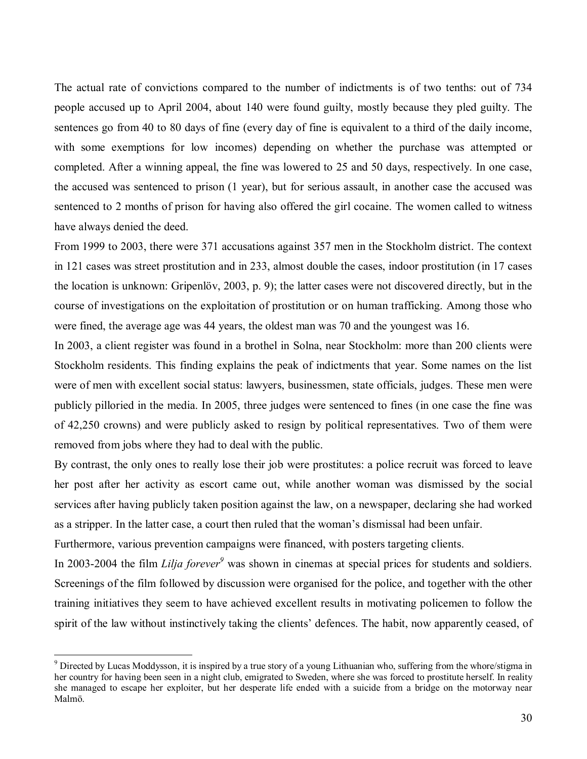The actual rate of convictions compared to the number of indictments is of two tenths: out of 734 people accused up to April 2004, about 140 were found guilty, mostly because they pled guilty. The sentences go from 40 to 80 days of fine (every day of fine is equivalent to a third of the daily income, with some exemptions for low incomes) depending on whether the purchase was attempted or completed. After a winning appeal, the fine was lowered to 25 and 50 days, respectively. In one case, the accused was sentenced to prison (1 year), but for serious assault, in another case the accused was sentenced to 2 months of prison for having also offered the girl cocaine. The women called to witness have always denied the deed.

From 1999 to 2003, there were 371 accusations against 357 men in the Stockholm district. The context in 121 cases was street prostitution and in 233, almost double the cases, indoor prostitution (in 17 cases the location is unknown: Gripenlöv, 2003, p. 9); the latter cases were not discovered directly, but in the course of investigations on the exploitation of prostitution or on human trafficking. Among those who were fined, the average age was 44 years, the oldest man was 70 and the youngest was 16.

In 2003, a client register was found in a brothel in Solna, near Stockholm: more than 200 clients were Stockholm residents. This finding explains the peak of indictments that year. Some names on the list were of men with excellent social status: lawyers, businessmen, state officials, judges. These men were publicly pilloried in the media. In 2005, three judges were sentenced to fines (in one case the fine was of 42,250 crowns) and were publicly asked to resign by political representatives. Two of them were removed from jobs where they had to deal with the public.

By contrast, the only ones to really lose their job were prostitutes: a police recruit was forced to leave her post after her activity as escort came out, while another woman was dismissed by the social services after having publicly taken position against the law, on a newspaper, declaring she had worked as a stripper. In the latter case, a court then ruled that the woman's dismissal had been unfair.

Furthermore, various prevention campaigns were financed, with posters targeting clients.

 $\overline{a}$ 

In 2003-2004 the film *Lilja forever*<sup>9</sup> was shown in cinemas at special prices for students and soldiers. Screenings of the film followed by discussion were organised for the police, and together with the other training initiatives they seem to have achieved excellent results in motivating policemen to follow the spirit of the law without instinctively taking the clients' defences. The habit, now apparently ceased, of

<sup>&</sup>lt;sup>9</sup> Directed by Lucas Moddysson, it is inspired by a true story of a young Lithuanian who, suffering from the whore/stigma in her country for having been seen in a night club, emigrated to Sweden, where she was forced to prostitute herself. In reality she managed to escape her exploiter, but her desperate life ended with a suicide from a bridge on the motorway near Malmˆ.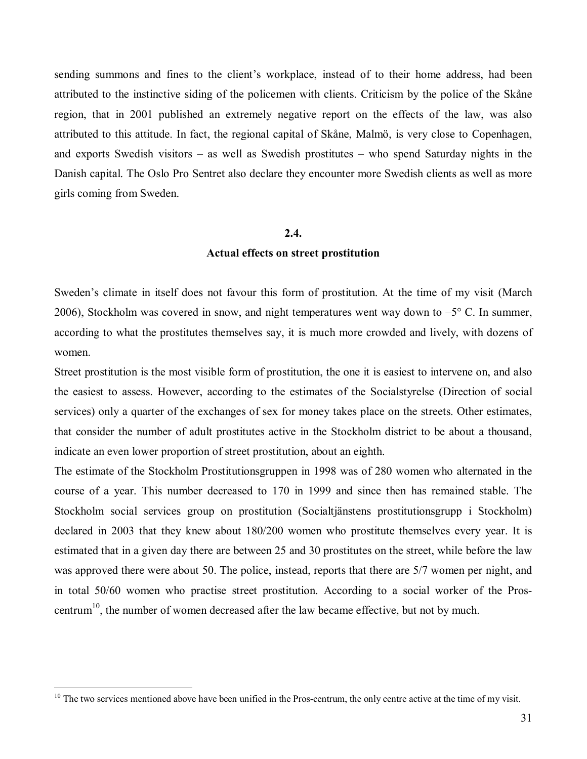sending summons and fines to the client's workplace, instead of to their home address, had been attributed to the instinctive siding of the policemen with clients. Criticism by the police of the Skåne region, that in 2001 published an extremely negative report on the effects of the law, was also attributed to this attitude. In fact, the regional capital of Skåne, Malmö, is very close to Copenhagen, and exports Swedish visitors  $-$  as well as Swedish prostitutes  $-$  who spend Saturday nights in the Danish capital. The Oslo Pro Sentret also declare they encounter more Swedish clients as well as more girls coming from Sweden.

#### **2.4.**

#### **Actual effects on street prostitution**

Sweden's climate in itself does not favour this form of prostitution. At the time of my visit (March 2006), Stockholm was covered in snow, and night temperatures went way down to  $-5^{\circ}$  C. In summer, according to what the prostitutes themselves say, it is much more crowded and lively, with dozens of women.

Street prostitution is the most visible form of prostitution, the one it is easiest to intervene on, and also the easiest to assess. However, according to the estimates of the Socialstyrelse (Direction of social services) only a quarter of the exchanges of sex for money takes place on the streets. Other estimates, that consider the number of adult prostitutes active in the Stockholm district to be about a thousand, indicate an even lower proportion of street prostitution, about an eighth.

The estimate of the Stockholm Prostitutionsgruppen in 1998 was of 280 women who alternated in the course of a year. This number decreased to 170 in 1999 and since then has remained stable. The Stockholm social services group on prostitution (Socialtjänstens prostitutionsgrupp i Stockholm) declared in 2003 that they knew about 180/200 women who prostitute themselves every year. It is estimated that in a given day there are between 25 and 30 prostitutes on the street, while before the law was approved there were about 50. The police, instead, reports that there are 5/7 women per night, and in total 50/60 women who practise street prostitution. According to a social worker of the Proscentrum<sup>10</sup>, the number of women decreased after the law became effective, but not by much.

 $10$  The two services mentioned above have been unified in the Pros-centrum, the only centre active at the time of my visit.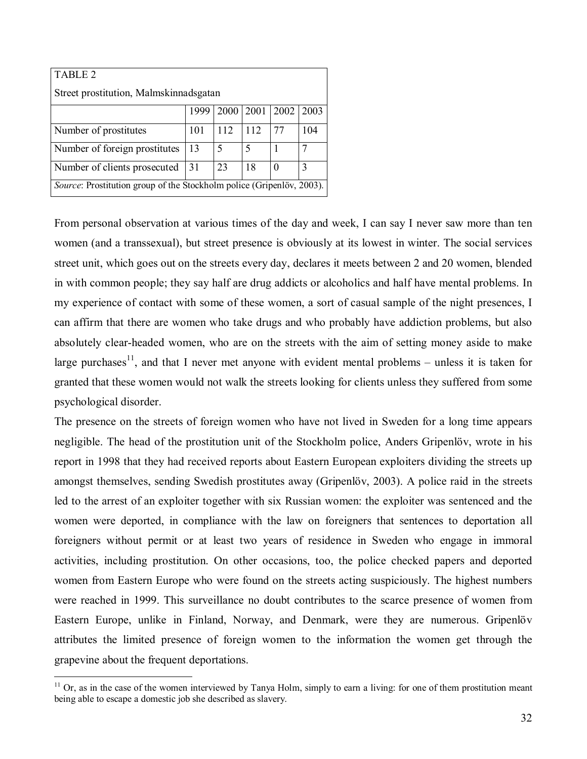| TABLE 2                                                               |      |      |      |          |      |  |  |  |  |  |
|-----------------------------------------------------------------------|------|------|------|----------|------|--|--|--|--|--|
| Street prostitution, Malmskinnadsgatan                                |      |      |      |          |      |  |  |  |  |  |
|                                                                       | 1999 | 2000 | 2001 | 2002     | 2003 |  |  |  |  |  |
| Number of prostitutes                                                 | 101  | 112  | 112  | 77       | 104  |  |  |  |  |  |
| Number of foreign prostitutes                                         | 13   | 5    |      |          |      |  |  |  |  |  |
| Number of clients prosecuted                                          | 31   | 23   | 18   | $\theta$ | 3    |  |  |  |  |  |
| Source: Prostitution group of the Stockholm police (Gripenlöv, 2003). |      |      |      |          |      |  |  |  |  |  |

From personal observation at various times of the day and week, I can say I never saw more than ten women (and a transsexual), but street presence is obviously at its lowest in winter. The social services street unit, which goes out on the streets every day, declares it meets between 2 and 20 women, blended in with common people; they say half are drug addicts or alcoholics and half have mental problems. In my experience of contact with some of these women, a sort of casual sample of the night presences, I can affirm that there are women who take drugs and who probably have addiction problems, but also absolutely clear-headed women, who are on the streets with the aim of setting money aside to make large purchases<sup>11</sup>, and that I never met anyone with evident mental problems – unless it is taken for granted that these women would not walk the streets looking for clients unless they suffered from some psychological disorder.

The presence on the streets of foreign women who have not lived in Sweden for a long time appears negligible. The head of the prostitution unit of the Stockholm police, Anders Gripenlöv, wrote in his report in 1998 that they had received reports about Eastern European exploiters dividing the streets up amongst themselves, sending Swedish prostitutes away (Gripenlöv, 2003). A police raid in the streets led to the arrest of an exploiter together with six Russian women: the exploiter was sentenced and the women were deported, in compliance with the law on foreigners that sentences to deportation all foreigners without permit or at least two years of residence in Sweden who engage in immoral activities, including prostitution. On other occasions, too, the police checked papers and deported women from Eastern Europe who were found on the streets acting suspiciously. The highest numbers were reached in 1999. This surveillance no doubt contributes to the scarce presence of women from Eastern Europe, unlike in Finland, Norway, and Denmark, were they are numerous. Gripenlöv attributes the limited presence of foreign women to the information the women get through the grapevine about the frequent deportations.

 $11$  Or, as in the case of the women interviewed by Tanya Holm, simply to earn a living: for one of them prostitution meant being able to escape a domestic job she described as slavery.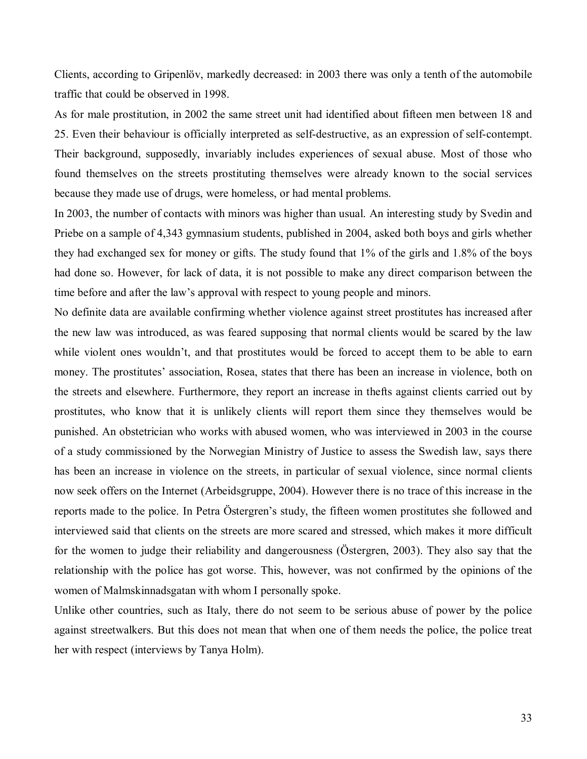Clients, according to Gripenlöv, markedly decreased: in 2003 there was only a tenth of the automobile traffic that could be observed in 1998.

As for male prostitution, in 2002 the same street unit had identified about fifteen men between 18 and 25. Even their behaviour is officially interpreted as self-destructive, as an expression of self-contempt. Their background, supposedly, invariably includes experiences of sexual abuse. Most of those who found themselves on the streets prostituting themselves were already known to the social services because they made use of drugs, were homeless, or had mental problems.

In 2003, the number of contacts with minors was higher than usual. An interesting study by Svedin and Priebe on a sample of 4,343 gymnasium students, published in 2004, asked both boys and girls whether they had exchanged sex for money or gifts. The study found that 1% of the girls and 1.8% of the boys had done so. However, for lack of data, it is not possible to make any direct comparison between the time before and after the law's approval with respect to young people and minors.

No definite data are available confirming whether violence against street prostitutes has increased after the new law was introduced, as was feared supposing that normal clients would be scared by the law while violent ones wouldn't, and that prostitutes would be forced to accept them to be able to earn money. The prostitutes' association, Rosea, states that there has been an increase in violence, both on the streets and elsewhere. Furthermore, they report an increase in thefts against clients carried out by prostitutes, who know that it is unlikely clients will report them since they themselves would be punished. An obstetrician who works with abused women, who was interviewed in 2003 in the course of a study commissioned by the Norwegian Ministry of Justice to assess the Swedish law, says there has been an increase in violence on the streets, in particular of sexual violence, since normal clients now seek offers on the Internet (Arbeidsgruppe, 2004). However there is no trace of this increase in the reports made to the police. In Petra Östergren's study, the fifteen women prostitutes she followed and interviewed said that clients on the streets are more scared and stressed, which makes it more difficult for the women to judge their reliability and dangerousness (Östergren, 2003). They also say that the relationship with the police has got worse. This, however, was not confirmed by the opinions of the women of Malmskinnadsgatan with whom I personally spoke.

Unlike other countries, such as Italy, there do not seem to be serious abuse of power by the police against streetwalkers. But this does not mean that when one of them needs the police, the police treat her with respect (interviews by Tanya Holm).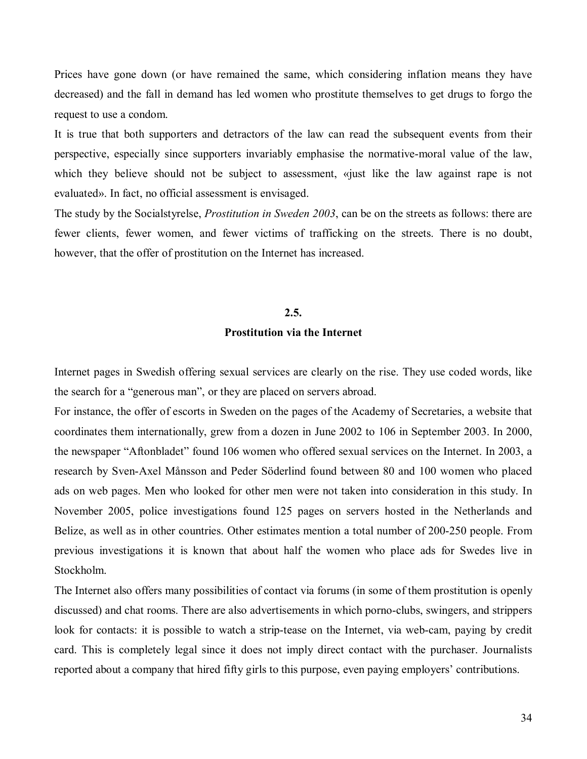Prices have gone down (or have remained the same, which considering inflation means they have decreased) and the fall in demand has led women who prostitute themselves to get drugs to forgo the request to use a condom.

It is true that both supporters and detractors of the law can read the subsequent events from their perspective, especially since supporters invariably emphasise the normative-moral value of the law, which they believe should not be subject to assessment, «just like the law against rape is not evaluated». In fact, no official assessment is envisaged.

The study by the Socialstyrelse, *Prostitution in Sweden 2003*, can be on the streets as follows: there are fewer clients, fewer women, and fewer victims of trafficking on the streets. There is no doubt, however, that the offer of prostitution on the Internet has increased.

#### **2.5.**

#### **Prostitution via the Internet**

Internet pages in Swedish offering sexual services are clearly on the rise. They use coded words, like the search for a "generous man", or they are placed on servers abroad.

For instance, the offer of escorts in Sweden on the pages of the Academy of Secretaries, a website that coordinates them internationally, grew from a dozen in June 2002 to 106 in September 2003. In 2000, the newspaper "Aftonbladet" found 106 women who offered sexual services on the Internet. In 2003, a research by Sven-Axel Månsson and Peder Söderlind found between 80 and 100 women who placed ads on web pages. Men who looked for other men were not taken into consideration in this study. In November 2005, police investigations found 125 pages on servers hosted in the Netherlands and Belize, as well as in other countries. Other estimates mention a total number of 200-250 people. From previous investigations it is known that about half the women who place ads for Swedes live in Stockholm.

The Internet also offers many possibilities of contact via forums (in some of them prostitution is openly discussed) and chat rooms. There are also advertisements in which porno-clubs, swingers, and strippers look for contacts: it is possible to watch a strip-tease on the Internet, via web-cam, paying by credit card. This is completely legal since it does not imply direct contact with the purchaser. Journalists reported about a company that hired fifty girls to this purpose, even paying employers' contributions.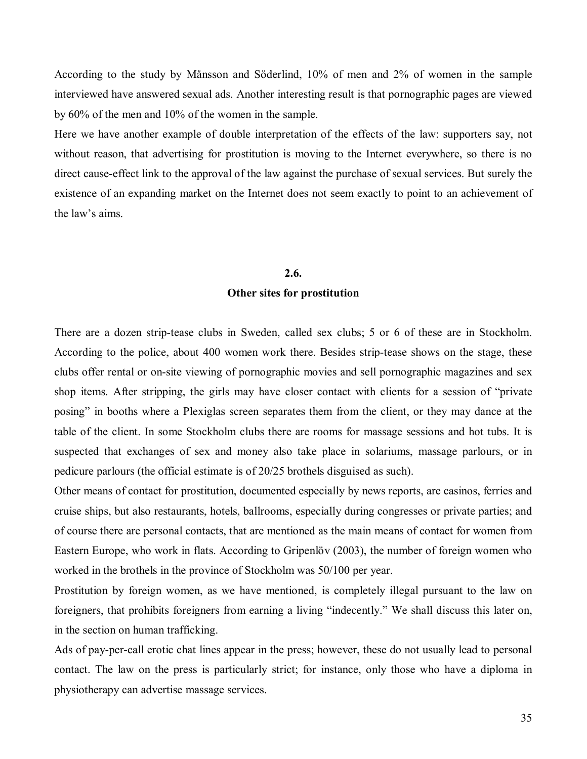According to the study by Månsson and Söderlind, 10% of men and 2% of women in the sample interviewed have answered sexual ads. Another interesting result is that pornographic pages are viewed by 60% of the men and 10% of the women in the sample.

Here we have another example of double interpretation of the effects of the law: supporters say, not without reason, that advertising for prostitution is moving to the Internet everywhere, so there is no direct cause-effect link to the approval of the law against the purchase of sexual services. But surely the existence of an expanding market on the Internet does not seem exactly to point to an achievement of the law's aims

#### **2.6.**

#### **Other sites for prostitution**

There are a dozen strip-tease clubs in Sweden, called sex clubs; 5 or 6 of these are in Stockholm. According to the police, about 400 women work there. Besides strip-tease shows on the stage, these clubs offer rental or on-site viewing of pornographic movies and sell pornographic magazines and sex shop items. After stripping, the girls may have closer contact with clients for a session of "private" posing" in booths where a Plexiglas screen separates them from the client, or they may dance at the table of the client. In some Stockholm clubs there are rooms for massage sessions and hot tubs. It is suspected that exchanges of sex and money also take place in solariums, massage parlours, or in pedicure parlours (the official estimate is of 20/25 brothels disguised as such).

Other means of contact for prostitution, documented especially by news reports, are casinos, ferries and cruise ships, but also restaurants, hotels, ballrooms, especially during congresses or private parties; and of course there are personal contacts, that are mentioned as the main means of contact for women from Eastern Europe, who work in flats. According to Gripenlöv (2003), the number of foreign women who worked in the brothels in the province of Stockholm was 50/100 per year.

Prostitution by foreign women, as we have mentioned, is completely illegal pursuant to the law on foreigners, that prohibits foreigners from earning a living "indecently." We shall discuss this later on, in the section on human trafficking.

Ads of pay-per-call erotic chat lines appear in the press; however, these do not usually lead to personal contact. The law on the press is particularly strict; for instance, only those who have a diploma in physiotherapy can advertise massage services.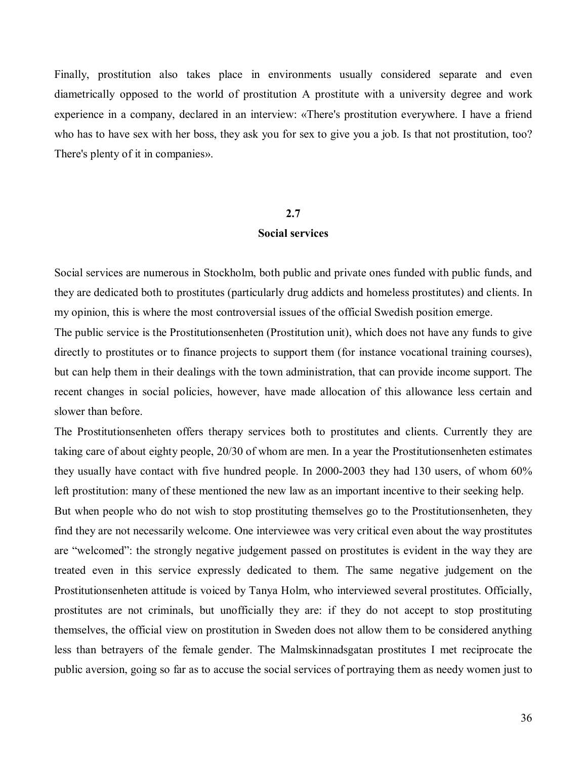Finally, prostitution also takes place in environments usually considered separate and even diametrically opposed to the world of prostitution A prostitute with a university degree and work experience in a company, declared in an interview: «There's prostitution everywhere. I have a friend who has to have sex with her boss, they ask you for sex to give you a job. Is that not prostitution, too? There's plenty of it in companies».

#### **2.7**

#### **Social services**

Social services are numerous in Stockholm, both public and private ones funded with public funds, and they are dedicated both to prostitutes (particularly drug addicts and homeless prostitutes) and clients. In my opinion, this is where the most controversial issues of the official Swedish position emerge.

The public service is the Prostitutionsenheten (Prostitution unit), which does not have any funds to give directly to prostitutes or to finance projects to support them (for instance vocational training courses), but can help them in their dealings with the town administration, that can provide income support. The recent changes in social policies, however, have made allocation of this allowance less certain and slower than before.

The Prostitutionsenheten offers therapy services both to prostitutes and clients. Currently they are taking care of about eighty people, 20/30 of whom are men. In a year the Prostitutionsenheten estimates they usually have contact with five hundred people. In 2000-2003 they had 130 users, of whom 60% left prostitution: many of these mentioned the new law as an important incentive to their seeking help. But when people who do not wish to stop prostituting themselves go to the Prostitutionsenheten, they find they are not necessarily welcome. One interviewee was very critical even about the way prostitutes are "welcomed": the strongly negative judgement passed on prostitutes is evident in the way they are treated even in this service expressly dedicated to them. The same negative judgement on the Prostitutionsenheten attitude is voiced by Tanya Holm, who interviewed several prostitutes. Officially, prostitutes are not criminals, but unofficially they are: if they do not accept to stop prostituting themselves, the official view on prostitution in Sweden does not allow them to be considered anything less than betrayers of the female gender. The Malmskinnadsgatan prostitutes I met reciprocate the public aversion, going so far as to accuse the social services of portraying them as needy women just to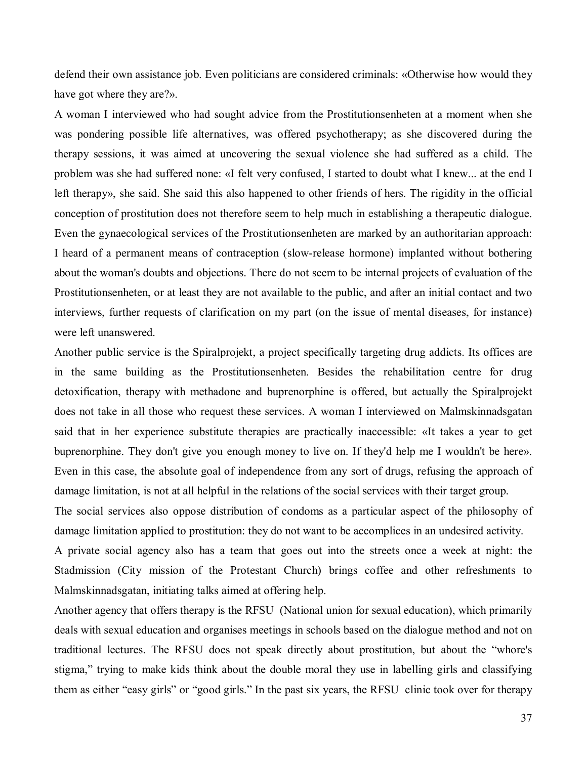defend their own assistance job. Even politicians are considered criminals: «Otherwise how would they have got where they are?».

A woman I interviewed who had sought advice from the Prostitutionsenheten at a moment when she was pondering possible life alternatives, was offered psychotherapy; as she discovered during the therapy sessions, it was aimed at uncovering the sexual violence she had suffered as a child. The problem was she had suffered none: «I felt very confused, I started to doubt what I knew... at the end I left therapy», she said. She said this also happened to other friends of hers. The rigidity in the official conception of prostitution does not therefore seem to help much in establishing a therapeutic dialogue. Even the gynaecological services of the Prostitutionsenheten are marked by an authoritarian approach: I heard of a permanent means of contraception (slow-release hormone) implanted without bothering about the woman's doubts and objections. There do not seem to be internal projects of evaluation of the Prostitutionsenheten, or at least they are not available to the public, and after an initial contact and two interviews, further requests of clarification on my part (on the issue of mental diseases, for instance) were left unanswered.

Another public service is the Spiralprojekt, a project specifically targeting drug addicts. Its offices are in the same building as the Prostitutionsenheten. Besides the rehabilitation centre for drug detoxification, therapy with methadone and buprenorphine is offered, but actually the Spiralprojekt does not take in all those who request these services. A woman I interviewed on Malmskinnadsgatan said that in her experience substitute therapies are practically inaccessible: «It takes a year to get buprenorphine. They don't give you enough money to live on. If they'd help me I wouldn't be here». Even in this case, the absolute goal of independence from any sort of drugs, refusing the approach of damage limitation, is not at all helpful in the relations of the social services with their target group.

The social services also oppose distribution of condoms as a particular aspect of the philosophy of damage limitation applied to prostitution: they do not want to be accomplices in an undesired activity.

A private social agency also has a team that goes out into the streets once a week at night: the Stadmission (City mission of the Protestant Church) brings coffee and other refreshments to Malmskinnadsgatan, initiating talks aimed at offering help.

Another agency that offers therapy is the RFSU (National union for sexual education), which primarily deals with sexual education and organises meetings in schools based on the dialogue method and not on traditional lectures. The RFSU does not speak directly about prostitution, but about the "whore's stigma," trying to make kids think about the double moral they use in labelling girls and classifying them as either "easy girls" or "good girls." In the past six years, the RFSU clinic took over for therapy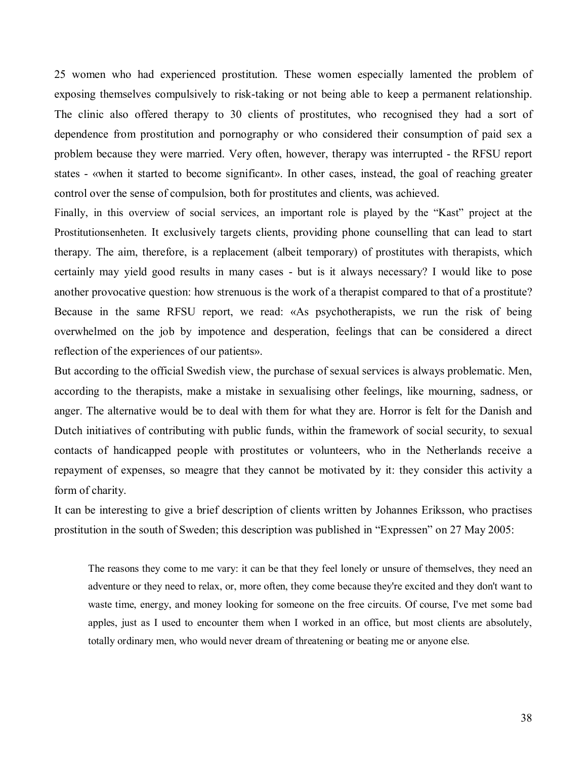25 women who had experienced prostitution. These women especially lamented the problem of exposing themselves compulsively to risk-taking or not being able to keep a permanent relationship. The clinic also offered therapy to 30 clients of prostitutes, who recognised they had a sort of dependence from prostitution and pornography or who considered their consumption of paid sex a problem because they were married. Very often, however, therapy was interrupted - the RFSU report states - «when it started to become significant». In other cases, instead, the goal of reaching greater control over the sense of compulsion, both for prostitutes and clients, was achieved.

Finally, in this overview of social services, an important role is played by the "Kast" project at the Prostitutionsenheten. It exclusively targets clients, providing phone counselling that can lead to start therapy. The aim, therefore, is a replacement (albeit temporary) of prostitutes with therapists, which certainly may yield good results in many cases - but is it always necessary? I would like to pose another provocative question: how strenuous is the work of a therapist compared to that of a prostitute? Because in the same RFSU report, we read: «As psychotherapists, we run the risk of being overwhelmed on the job by impotence and desperation, feelings that can be considered a direct reflection of the experiences of our patients».

But according to the official Swedish view, the purchase of sexual services is always problematic. Men, according to the therapists, make a mistake in sexualising other feelings, like mourning, sadness, or anger. The alternative would be to deal with them for what they are. Horror is felt for the Danish and Dutch initiatives of contributing with public funds, within the framework of social security, to sexual contacts of handicapped people with prostitutes or volunteers, who in the Netherlands receive a repayment of expenses, so meagre that they cannot be motivated by it: they consider this activity a form of charity.

It can be interesting to give a brief description of clients written by Johannes Eriksson, who practises prostitution in the south of Sweden; this description was published in "Expressen" on 27 May 2005:

The reasons they come to me vary: it can be that they feel lonely or unsure of themselves, they need an adventure or they need to relax, or, more often, they come because they're excited and they don't want to waste time, energy, and money looking for someone on the free circuits. Of course, I've met some bad apples, just as I used to encounter them when I worked in an office, but most clients are absolutely, totally ordinary men, who would never dream of threatening or beating me or anyone else.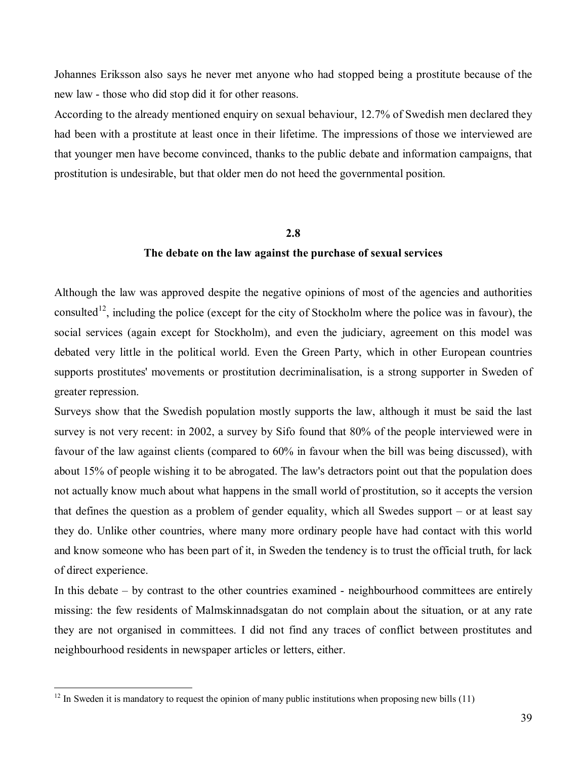Johannes Eriksson also says he never met anyone who had stopped being a prostitute because of the new law - those who did stop did it for other reasons.

According to the already mentioned enquiry on sexual behaviour, 12.7% of Swedish men declared they had been with a prostitute at least once in their lifetime. The impressions of those we interviewed are that younger men have become convinced, thanks to the public debate and information campaigns, that prostitution is undesirable, but that older men do not heed the governmental position.

## **2.8**

# **The debate on the law against the purchase of sexual services**

Although the law was approved despite the negative opinions of most of the agencies and authorities consulted<sup>12</sup>, including the police (except for the city of Stockholm where the police was in favour), the social services (again except for Stockholm), and even the judiciary, agreement on this model was debated very little in the political world. Even the Green Party, which in other European countries supports prostitutes' movements or prostitution decriminalisation, is a strong supporter in Sweden of greater repression.

Surveys show that the Swedish population mostly supports the law, although it must be said the last survey is not very recent: in 2002, a survey by Sifo found that 80% of the people interviewed were in favour of the law against clients (compared to 60% in favour when the bill was being discussed), with about 15% of people wishing it to be abrogated. The law's detractors point out that the population does not actually know much about what happens in the small world of prostitution, so it accepts the version that defines the question as a problem of gender equality, which all Swedes support  $-$  or at least say they do. Unlike other countries, where many more ordinary people have had contact with this world and know someone who has been part of it, in Sweden the tendency is to trust the official truth, for lack of direct experience.

In this debate  $-$  by contrast to the other countries examined - neighbourhood committees are entirely missing: the few residents of Malmskinnadsgatan do not complain about the situation, or at any rate they are not organised in committees. I did not find any traces of conflict between prostitutes and neighbourhood residents in newspaper articles or letters, either.

 $12$  In Sweden it is mandatory to request the opinion of many public institutions when proposing new bills (11)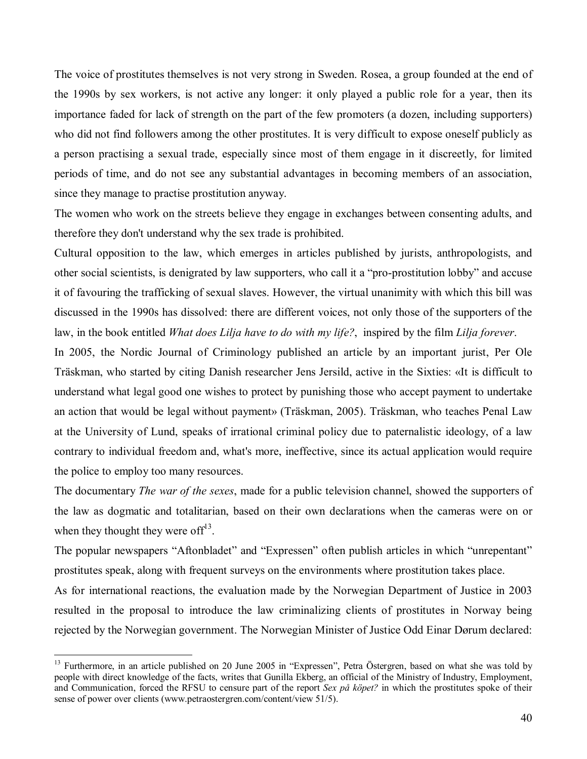The voice of prostitutes themselves is not very strong in Sweden. Rosea, a group founded at the end of the 1990s by sex workers, is not active any longer: it only played a public role for a year, then its importance faded for lack of strength on the part of the few promoters (a dozen, including supporters) who did not find followers among the other prostitutes. It is very difficult to expose oneself publicly as a person practising a sexual trade, especially since most of them engage in it discreetly, for limited periods of time, and do not see any substantial advantages in becoming members of an association, since they manage to practise prostitution anyway.

The women who work on the streets believe they engage in exchanges between consenting adults, and therefore they don't understand why the sex trade is prohibited.

Cultural opposition to the law, which emerges in articles published by jurists, anthropologists, and other social scientists, is denigrated by law supporters, who call it a "pro-prostitution lobby" and accuse it of favouring the trafficking of sexual slaves. However, the virtual unanimity with which this bill was discussed in the 1990s has dissolved: there are different voices, not only those of the supporters of the law, in the book entitled *What does Lilja have to do with my life?*, inspired by the film *Lilja forever*.

In 2005, the Nordic Journal of Criminology published an article by an important jurist, Per Ole Träskman, who started by citing Danish researcher Jens Jersild, active in the Sixties: «It is difficult to understand what legal good one wishes to protect by punishing those who accept payment to undertake an action that would be legal without payment» (Träskman, 2005). Träskman, who teaches Penal Law at the University of Lund, speaks of irrational criminal policy due to paternalistic ideology, of a law contrary to individual freedom and, what's more, ineffective, since its actual application would require the police to employ too many resources.

The documentary *The war of the sexes*, made for a public television channel, showed the supporters of the law as dogmatic and totalitarian, based on their own declarations when the cameras were on or when they thought they were of  $f^{13}$ .

The popular newspapers "Aftonbladet" and "Expressen" often publish articles in which "unrepentant" prostitutes speak, along with frequent surveys on the environments where prostitution takes place.

As for international reactions, the evaluation made by the Norwegian Department of Justice in 2003 resulted in the proposal to introduce the law criminalizing clients of prostitutes in Norway being rejected by the Norwegian government. The Norwegian Minister of Justice Odd Einar Dørum declared:

<sup>&</sup>lt;sup>13</sup> Furthermore, in an article published on 20 June 2005 in "Expressen". Petra Östergren, based on what she was told by people with direct knowledge of the facts, writes that Gunilla Ekberg, an official of the Ministry of Industry, Employment, and Communication, forced the RFSU to censure part of the report *Sex på köpet?* in which the prostitutes spoke of their sense of power over clients (www.petraostergren.com/content/view 51/5).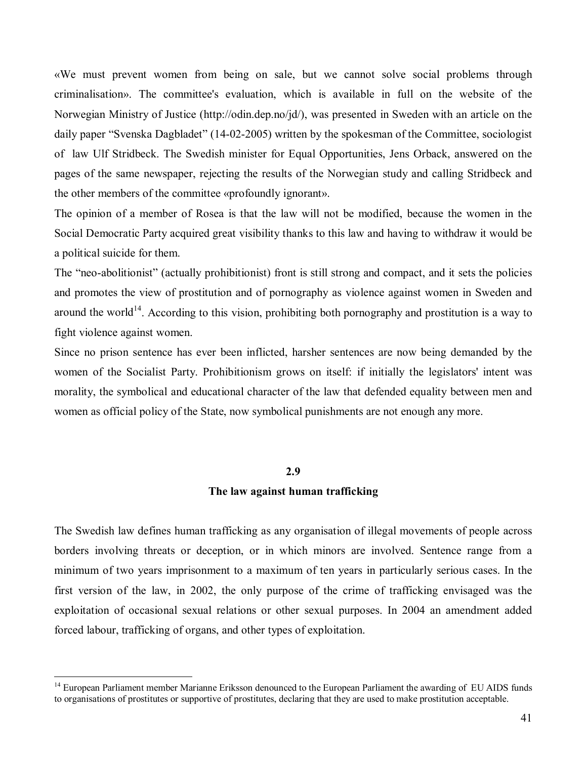´We must prevent women from being on sale, but we cannot solve social problems through criminalisation». The committee's evaluation, which is available in full on the website of the Norwegian Ministry of Justice (http://odin.dep.no/jd/), was presented in Sweden with an article on the daily paper "Svenska Dagbladet" (14-02-2005) written by the spokesman of the Committee, sociologist of law Ulf Stridbeck. The Swedish minister for Equal Opportunities, Jens Orback, answered on the pages of the same newspaper, rejecting the results of the Norwegian study and calling Stridbeck and the other members of the committee «profoundly ignorant».

The opinion of a member of Rosea is that the law will not be modified, because the women in the Social Democratic Party acquired great visibility thanks to this law and having to withdraw it would be a political suicide for them.

The "neo-abolitionist" (actually prohibitionist) front is still strong and compact, and it sets the policies and promotes the view of prostitution and of pornography as violence against women in Sweden and around the world<sup>14</sup>. According to this vision, prohibiting both pornography and prostitution is a way to fight violence against women.

Since no prison sentence has ever been inflicted, harsher sentences are now being demanded by the women of the Socialist Party. Prohibitionism grows on itself: if initially the legislators' intent was morality, the symbolical and educational character of the law that defended equality between men and women as official policy of the State, now symbolical punishments are not enough any more.

#### **2.9**

#### **The law against human trafficking**

The Swedish law defines human trafficking as any organisation of illegal movements of people across borders involving threats or deception, or in which minors are involved. Sentence range from a minimum of two years imprisonment to a maximum of ten years in particularly serious cases. In the first version of the law, in 2002, the only purpose of the crime of trafficking envisaged was the exploitation of occasional sexual relations or other sexual purposes. In 2004 an amendment added forced labour, trafficking of organs, and other types of exploitation.

<sup>&</sup>lt;sup>14</sup> European Parliament member Marianne Eriksson denounced to the European Parliament the awarding of EU AIDS funds to organisations of prostitutes or supportive of prostitutes, declaring that they are used to make prostitution acceptable.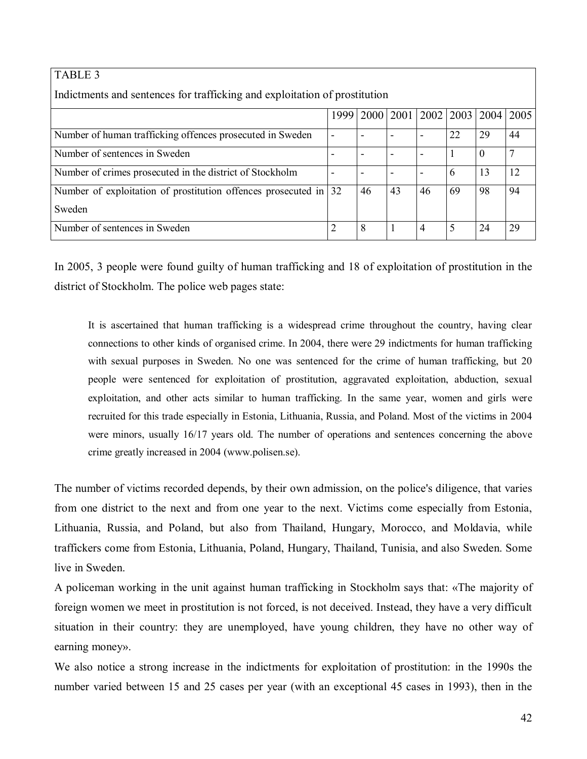| <b>TABLE 3</b>                                                             |      |    |                          |    |                                  |          |      |
|----------------------------------------------------------------------------|------|----|--------------------------|----|----------------------------------|----------|------|
| Indictments and sentences for trafficking and exploitation of prostitution |      |    |                          |    |                                  |          |      |
|                                                                            | 1999 |    |                          |    | 2000   2001   2002   2003   2004 |          | 2005 |
| Number of human trafficking offences prosecuted in Sweden                  |      |    |                          |    | 22                               | 29       | 44   |
| Number of sentences in Sweden                                              |      |    |                          |    |                                  | $\Omega$ |      |
| Number of crimes prosecuted in the district of Stockholm                   |      |    | $\overline{\phantom{0}}$ |    | 6                                | 13       | 12   |
| Number of exploitation of prostitution offences prosecuted in $ 32\rangle$ |      | 46 | 43                       | 46 | 69                               | 98       | 94   |
| Sweden                                                                     |      |    |                          |    |                                  |          |      |
| Number of sentences in Sweden                                              | 2    | 8  |                          | 4  | 5                                | 24       | 29   |

In 2005, 3 people were found guilty of human trafficking and 18 of exploitation of prostitution in the district of Stockholm. The police web pages state:

It is ascertained that human trafficking is a widespread crime throughout the country, having clear connections to other kinds of organised crime. In 2004, there were 29 indictments for human trafficking with sexual purposes in Sweden. No one was sentenced for the crime of human trafficking, but 20 people were sentenced for exploitation of prostitution, aggravated exploitation, abduction, sexual exploitation, and other acts similar to human trafficking. In the same year, women and girls were recruited for this trade especially in Estonia, Lithuania, Russia, and Poland. Most of the victims in 2004 were minors, usually 16/17 years old. The number of operations and sentences concerning the above crime greatly increased in 2004 (www.polisen.se).

The number of victims recorded depends, by their own admission, on the police's diligence, that varies from one district to the next and from one year to the next. Victims come especially from Estonia, Lithuania, Russia, and Poland, but also from Thailand, Hungary, Morocco, and Moldavia, while traffickers come from Estonia, Lithuania, Poland, Hungary, Thailand, Tunisia, and also Sweden. Some live in Sweden.

A policeman working in the unit against human trafficking in Stockholm says that: «The majority of foreign women we meet in prostitution is not forced, is not deceived. Instead, they have a very difficult situation in their country: they are unemployed, have young children, they have no other way of earning money».

We also notice a strong increase in the indictments for exploitation of prostitution: in the 1990s the number varied between 15 and 25 cases per year (with an exceptional 45 cases in 1993), then in the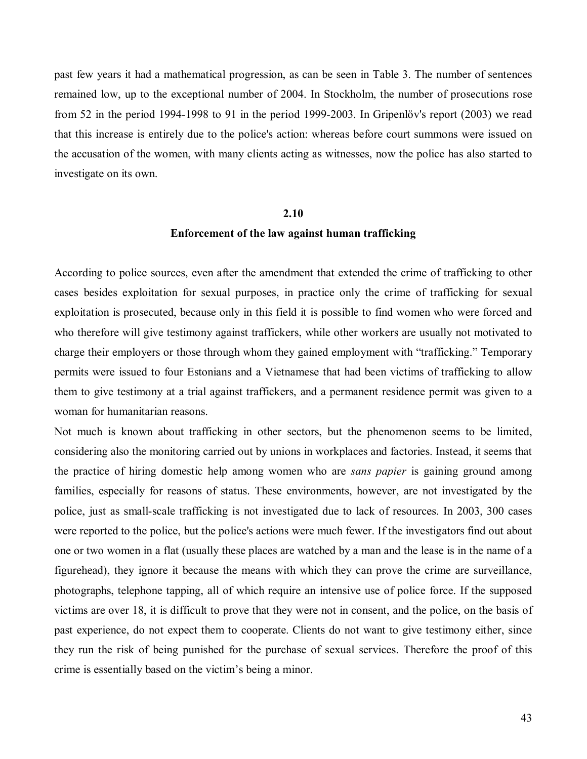past few years it had a mathematical progression, as can be seen in Table 3. The number of sentences remained low, up to the exceptional number of 2004. In Stockholm, the number of prosecutions rose from 52 in the period 1994-1998 to 91 in the period 1999-2003. In Gripenlöv's report  $(2003)$  we read that this increase is entirely due to the police's action: whereas before court summons were issued on the accusation of the women, with many clients acting as witnesses, now the police has also started to investigate on its own.

#### **2.10**

# **Enforcement of the law against human trafficking**

According to police sources, even after the amendment that extended the crime of trafficking to other cases besides exploitation for sexual purposes, in practice only the crime of trafficking for sexual exploitation is prosecuted, because only in this field it is possible to find women who were forced and who therefore will give testimony against traffickers, while other workers are usually not motivated to charge their employers or those through whom they gained employment with "trafficking." Temporary permits were issued to four Estonians and a Vietnamese that had been victims of trafficking to allow them to give testimony at a trial against traffickers, and a permanent residence permit was given to a woman for humanitarian reasons.

Not much is known about trafficking in other sectors, but the phenomenon seems to be limited, considering also the monitoring carried out by unions in workplaces and factories. Instead, it seems that the practice of hiring domestic help among women who are *sans papier* is gaining ground among families, especially for reasons of status. These environments, however, are not investigated by the police, just as small-scale trafficking is not investigated due to lack of resources. In 2003, 300 cases were reported to the police, but the police's actions were much fewer. If the investigators find out about one or two women in a flat (usually these places are watched by a man and the lease is in the name of a figurehead), they ignore it because the means with which they can prove the crime are surveillance, photographs, telephone tapping, all of which require an intensive use of police force. If the supposed victims are over 18, it is difficult to prove that they were not in consent, and the police, on the basis of past experience, do not expect them to cooperate. Clients do not want to give testimony either, since they run the risk of being punished for the purchase of sexual services. Therefore the proof of this crime is essentially based on the victim's being a minor.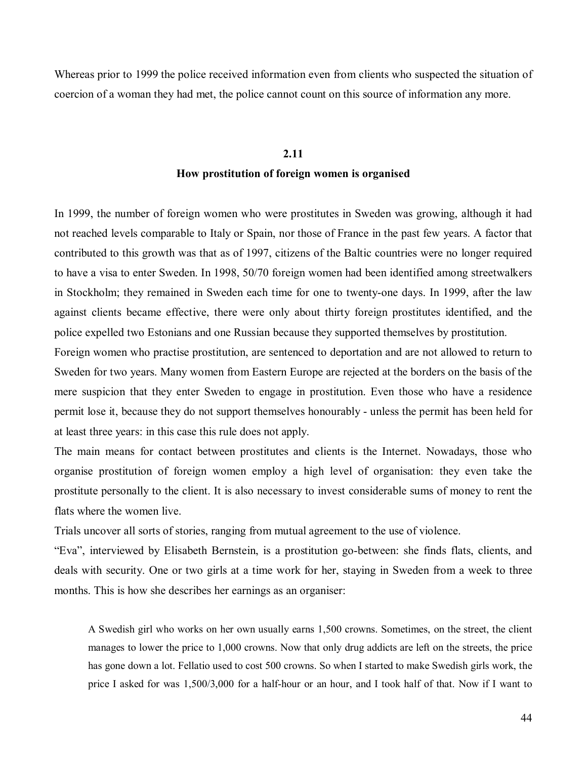Whereas prior to 1999 the police received information even from clients who suspected the situation of coercion of a woman they had met, the police cannot count on this source of information any more.

# **2.11 How prostitution of foreign women is organised**

In 1999, the number of foreign women who were prostitutes in Sweden was growing, although it had not reached levels comparable to Italy or Spain, nor those of France in the past few years. A factor that contributed to this growth was that as of 1997, citizens of the Baltic countries were no longer required to have a visa to enter Sweden. In 1998, 50/70 foreign women had been identified among streetwalkers in Stockholm; they remained in Sweden each time for one to twenty-one days. In 1999, after the law against clients became effective, there were only about thirty foreign prostitutes identified, and the police expelled two Estonians and one Russian because they supported themselves by prostitution.

Foreign women who practise prostitution, are sentenced to deportation and are not allowed to return to Sweden for two years. Many women from Eastern Europe are rejected at the borders on the basis of the mere suspicion that they enter Sweden to engage in prostitution. Even those who have a residence permit lose it, because they do not support themselves honourably - unless the permit has been held for at least three years: in this case this rule does not apply.

The main means for contact between prostitutes and clients is the Internet. Nowadays, those who organise prostitution of foreign women employ a high level of organisation: they even take the prostitute personally to the client. It is also necessary to invest considerable sums of money to rent the flats where the women live.

Trials uncover all sorts of stories, ranging from mutual agreement to the use of violence.

ìEvaî, interviewed by Elisabeth Bernstein, is a prostitution go-between: she finds flats, clients, and deals with security. One or two girls at a time work for her, staying in Sweden from a week to three months. This is how she describes her earnings as an organiser:

A Swedish girl who works on her own usually earns 1,500 crowns. Sometimes, on the street, the client manages to lower the price to 1,000 crowns. Now that only drug addicts are left on the streets, the price has gone down a lot. Fellatio used to cost 500 crowns. So when I started to make Swedish girls work, the price I asked for was 1,500/3,000 for a half-hour or an hour, and I took half of that. Now if I want to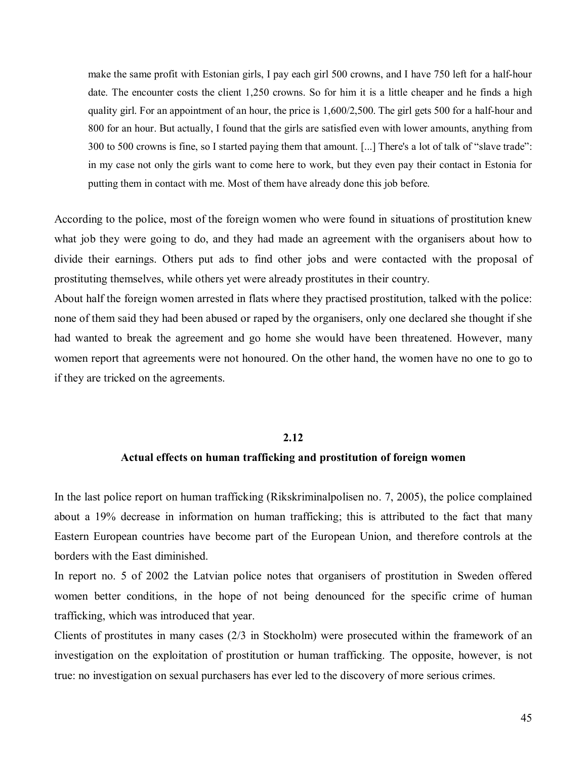make the same profit with Estonian girls, I pay each girl 500 crowns, and I have 750 left for a half-hour date. The encounter costs the client 1,250 crowns. So for him it is a little cheaper and he finds a high quality girl. For an appointment of an hour, the price is 1,600/2,500. The girl gets 500 for a half-hour and 800 for an hour. But actually, I found that the girls are satisfied even with lower amounts, anything from 300 to 500 crowns is fine, so I started paying them that amount.  $[\dots]$  There's a lot of talk of "slave trade": in my case not only the girls want to come here to work, but they even pay their contact in Estonia for putting them in contact with me. Most of them have already done this job before.

According to the police, most of the foreign women who were found in situations of prostitution knew what job they were going to do, and they had made an agreement with the organisers about how to divide their earnings. Others put ads to find other jobs and were contacted with the proposal of prostituting themselves, while others yet were already prostitutes in their country.

About half the foreign women arrested in flats where they practised prostitution, talked with the police: none of them said they had been abused or raped by the organisers, only one declared she thought if she had wanted to break the agreement and go home she would have been threatened. However, many women report that agreements were not honoured. On the other hand, the women have no one to go to if they are tricked on the agreements.

#### **2.12**

# **Actual effects on human trafficking and prostitution of foreign women**

In the last police report on human trafficking (Rikskriminalpolisen no. 7, 2005), the police complained about a 19% decrease in information on human trafficking; this is attributed to the fact that many Eastern European countries have become part of the European Union, and therefore controls at the borders with the East diminished.

In report no. 5 of 2002 the Latvian police notes that organisers of prostitution in Sweden offered women better conditions, in the hope of not being denounced for the specific crime of human trafficking, which was introduced that year.

Clients of prostitutes in many cases (2/3 in Stockholm) were prosecuted within the framework of an investigation on the exploitation of prostitution or human trafficking. The opposite, however, is not true: no investigation on sexual purchasers has ever led to the discovery of more serious crimes.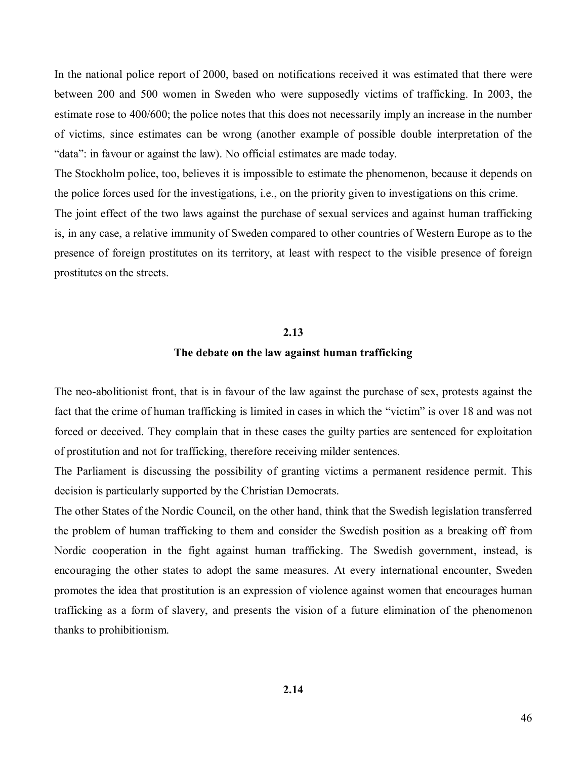In the national police report of 2000, based on notifications received it was estimated that there were between 200 and 500 women in Sweden who were supposedly victims of trafficking. In 2003, the estimate rose to 400/600; the police notes that this does not necessarily imply an increase in the number of victims, since estimates can be wrong (another example of possible double interpretation of the "data": in favour or against the law). No official estimates are made today.

The Stockholm police, too, believes it is impossible to estimate the phenomenon, because it depends on the police forces used for the investigations, i.e., on the priority given to investigations on this crime.

The joint effect of the two laws against the purchase of sexual services and against human trafficking is, in any case, a relative immunity of Sweden compared to other countries of Western Europe as to the presence of foreign prostitutes on its territory, at least with respect to the visible presence of foreign prostitutes on the streets.

# **2.13**

## **The debate on the law against human trafficking**

The neo-abolitionist front, that is in favour of the law against the purchase of sex, protests against the fact that the crime of human trafficking is limited in cases in which the "victim" is over 18 and was not forced or deceived. They complain that in these cases the guilty parties are sentenced for exploitation of prostitution and not for trafficking, therefore receiving milder sentences.

The Parliament is discussing the possibility of granting victims a permanent residence permit. This decision is particularly supported by the Christian Democrats.

The other States of the Nordic Council, on the other hand, think that the Swedish legislation transferred the problem of human trafficking to them and consider the Swedish position as a breaking off from Nordic cooperation in the fight against human trafficking. The Swedish government, instead, is encouraging the other states to adopt the same measures. At every international encounter, Sweden promotes the idea that prostitution is an expression of violence against women that encourages human trafficking as a form of slavery, and presents the vision of a future elimination of the phenomenon thanks to prohibitionism.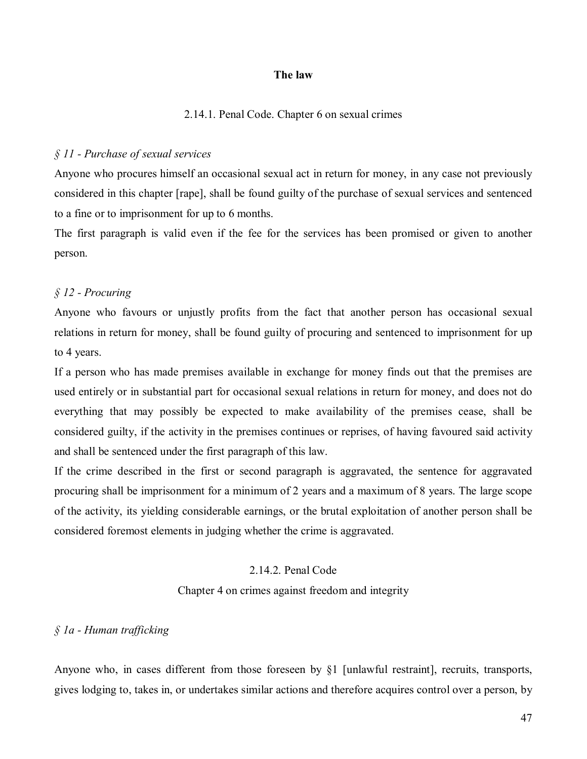# **The law**

### 2.14.1. Penal Code. Chapter 6 on sexual crimes

### *ß 11 - Purchase of sexual services*

Anyone who procures himself an occasional sexual act in return for money, in any case not previously considered in this chapter [rape], shall be found guilty of the purchase of sexual services and sentenced to a fine or to imprisonment for up to 6 months.

The first paragraph is valid even if the fee for the services has been promised or given to another person.

# *ß 12 - Procuring*

Anyone who favours or unjustly profits from the fact that another person has occasional sexual relations in return for money, shall be found guilty of procuring and sentenced to imprisonment for up to 4 years.

If a person who has made premises available in exchange for money finds out that the premises are used entirely or in substantial part for occasional sexual relations in return for money, and does not do everything that may possibly be expected to make availability of the premises cease, shall be considered guilty, if the activity in the premises continues or reprises, of having favoured said activity and shall be sentenced under the first paragraph of this law.

If the crime described in the first or second paragraph is aggravated, the sentence for aggravated procuring shall be imprisonment for a minimum of 2 years and a maximum of 8 years. The large scope of the activity, its yielding considerable earnings, or the brutal exploitation of another person shall be considered foremost elements in judging whether the crime is aggravated.

# 2.14.2. Penal Code

Chapter 4 on crimes against freedom and integrity

# *ß 1a - Human trafficking*

Anyone who, in cases different from those foreseen by ß1 [unlawful restraint], recruits, transports, gives lodging to, takes in, or undertakes similar actions and therefore acquires control over a person, by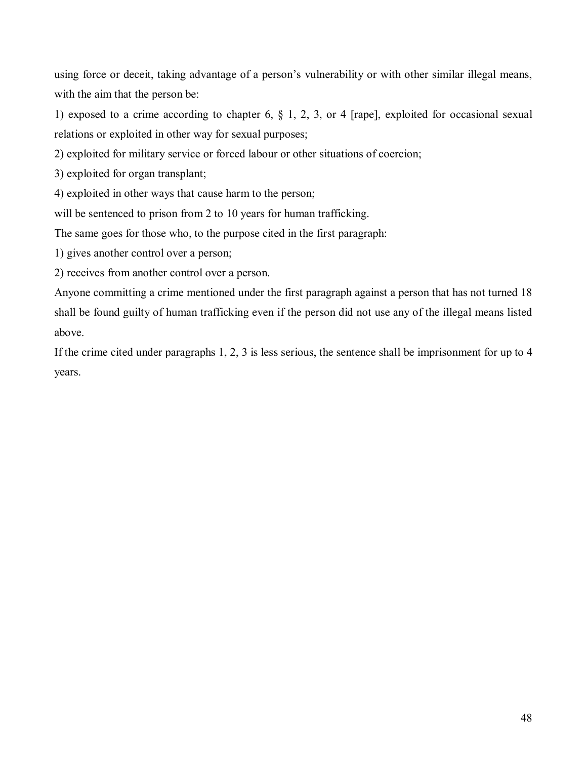using force or deceit, taking advantage of a person's vulnerability or with other similar illegal means, with the aim that the person be:

1) exposed to a crime according to chapter 6, ß 1, 2, 3, or 4 [rape], exploited for occasional sexual relations or exploited in other way for sexual purposes;

2) exploited for military service or forced labour or other situations of coercion;

3) exploited for organ transplant;

4) exploited in other ways that cause harm to the person;

will be sentenced to prison from 2 to 10 years for human trafficking.

The same goes for those who, to the purpose cited in the first paragraph:

1) gives another control over a person;

2) receives from another control over a person.

Anyone committing a crime mentioned under the first paragraph against a person that has not turned 18 shall be found guilty of human trafficking even if the person did not use any of the illegal means listed above.

If the crime cited under paragraphs 1, 2, 3 is less serious, the sentence shall be imprisonment for up to 4 years.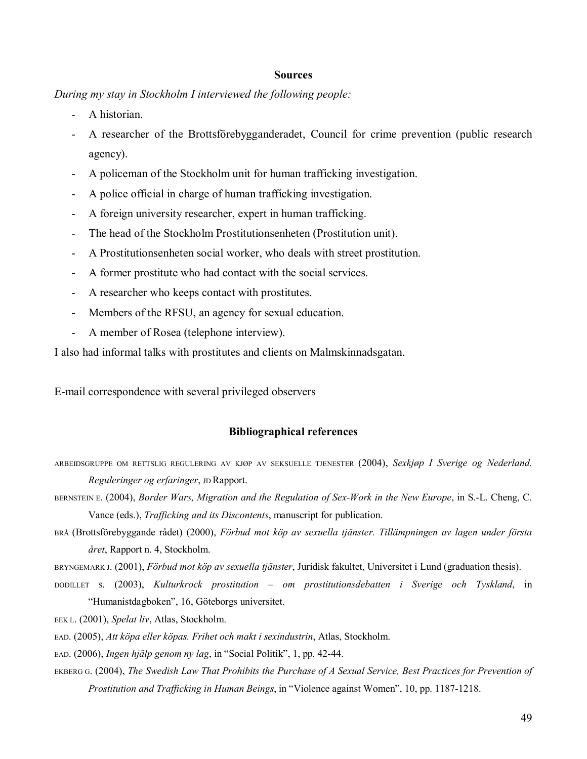#### **Sources**

*During my stay in Stockholm I interviewed the following people:* 

- A historian.
- A researcher of the Brottsförebygganderadet, Council for crime prevention (public research agency).
- A policeman of the Stockholm unit for human trafficking investigation.
- A police official in charge of human trafficking investigation.
- A foreign university researcher, expert in human trafficking.
- The head of the Stockholm Prostitutionsenheten (Prostitution unit).
- A Prostitutionsenheten social worker, who deals with street prostitution.
- A former prostitute who had contact with the social services.
- A researcher who keeps contact with prostitutes.
- Members of the RFSU, an agency for sexual education.
- A member of Rosea (telephone interview).

I also had informal talks with prostitutes and clients on Malmskinnadsgatan.

E-mail correspondence with several privileged observers

### **Bibliographical references**

- ARBEIDSGRUPPE OM RETTSLIG REGULERING AV KJØP AV SEKSUELLE TJENESTER (2004), Sexkjøp I Sverige og Nederland. *Reguleringer og erfaringer*, JD Rapport.
- BERNSTEIN E. (2004), *Border Wars, Migration and the Regulation of Sex-Work in the New Europe*, in S.-L. Cheng, C. Vance (eds.), *Trafficking and its Discontents*, manuscript for publication.
- BRÅ (Brottsförebyggande rådet) (2000), *Förbud mot köp av sexuella tjänster. Tillämpningen av lagen under första Âret*, Rapport n. 4, Stockholm.
- BRYNGEMARK J. (2001), *Förbud mot köp av sexuella tjänster*, Juridisk fakultet, Universitet i Lund (graduation thesis).
- DODILLET S. (2003), *Kulturkrock prostitution ñ om prostitutionsdebatten i Sverige och Tyskland*, in "Humanistdagboken", 16, Göteborgs universitet.
- EEK L. (2001), *Spelat liv*, Atlas, Stockholm.
- EAD. (2005), Att köpa eller köpas. Frihet och makt i sexindustrin, Atlas, Stockholm.
- EAD. (2006), *Ingen hjälp genom ny lag*, in "Social Politik", 1, pp. 42-44.
- EKBERG G. (2004), *The Swedish Law That Prohibits the Purchase of A Sexual Service, Best Practices for Prevention of Prostitution and Trafficking in Human Beings*, in "Violence against Women", 10, pp. 1187-1218.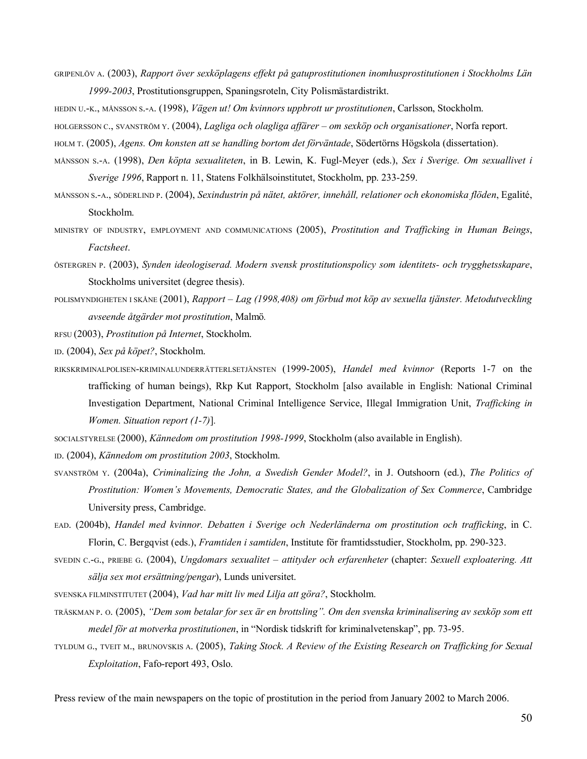- GRIPENLÖV A. (2003), *Rapport över sexköplagens effekt på gatuprostitutionen inomhusprostitutionen i Stockholms Län* 1999-2003, Prostitutionsgruppen, Spaningsroteln, City Polismästardistrikt.
- HEDIN U.-K., MÅNSSON S.-A. (1998), *Vägen ut! Om kvinnors uppbrott ur prostitutionen*, Carlsson, Stockholm.

HOLGERSSON C., SVANSTRÖM Y. (2004), *Lagliga och olagliga affärer – om sexköp och organisationer*, Norfa report.

- HOLM T. (2005), *Agens. Om konsten att se handling bortom det förväntade*, Södertörns Högskola (dissertation).
- MÅNSSON S.-A. (1998), *Den kˆpta sexualiteten*, in B. Lewin, K. Fugl-Meyer (eds.), *Sex i Sverige. Om sexuallivet i Sverige 1996*, Rapport n. 11, Statens Folkh‰lsoinstitutet, Stockholm, pp. 233-259.
- MÅNSSON S.-A., SÖDERLIND P. (2004), *Sexindustrin på nätet, aktörer, innehåll, relationer och ekonomiska flöden*, Egalité, Stockholm.
- MINISTRY OF INDUSTRY, EMPLOYMENT AND COMMUNICATIONS (2005), *Prostitution and Trafficking in Human Beings*, *Factsheet*.
- östergren P. (2003), *Synden ideologiserad. Modern svensk prostitutionspolicy som identitets- och trygghetsskapare*, Stockholms universitet (degree thesis).
- POLISMYNDIGHETEN I SKÅNE (2001), *Rapport Lag (1998,408) om förbud mot köp av sexuella tjänster. Metodutveckling avseende Âtg‰rder mot prostitution*, Malmˆ*.*
- RFSU (2003), *Prostitution på Internet*, Stockholm.
- ID. (2004), *Sex p kˆpet?*, Stockholm.
- RIKSKRIMINALPOLISEN-KRIMINALUNDERRƒTTERLSETJƒNSTEN (1999-2005), *Handel med kvinnor* (Reports 1-7 on the trafficking of human beings), Rkp Kut Rapport, Stockholm [also available in English: National Criminal Investigation Department, National Criminal Intelligence Service, Illegal Immigration Unit, *Trafficking in Women. Situation report (1-7)*]*.*
- SOCIALSTYRELSE (2000), *Kännedom om prostitution 1998-1999*, Stockholm (also available in English).
- ID. (2004), *K‰nnedom om prostitution 2003*, Stockholm.
- SVANSTRÖM Y. (2004a), *Criminalizing the John, a Swedish Gender Model?*, in J. Outshoorn (ed.), *The Politics of Prostitution: Womenís Movements, Democratic States, and the Globalization of Sex Commerce*, Cambridge University press, Cambridge.
- EAD. (2004b), *Handel med kvinnor. Debatten i Sverige och Nederländerna om prostitution och trafficking*, in C. Florin, C. Bergqvist (eds.), *Framtiden i samtiden*, Institute för framtidsstudier, Stockholm, pp. 290-323.
- SVEDIN C.-G., PRIEBE G. (2004), *Ungdomars sexualitet ñ attityder och erfarenheter* (chapter: *Sexuell exploatering. Att s‰lja sex mot ers‰ttning/pengar*), Lunds universitet.
- SVENSKA FILMINSTITUTET (2004), *Vad har mitt liv med Lilja att göra?*, Stockholm.
- TRÄSKMAN P. O. (2005), "Dem som betalar for sex är en brottsling". Om den svenska kriminalisering av sexköp som ett *medel för at motverka prostitutionen*, in "Nordisk tidskrift for kriminalvetenskap", pp. 73-95.
- TYLDUM G., TVEIT M., BRUNOVSKIS A. (2005), *Taking Stock. A Review of the Existing Research on Trafficking for Sexual Exploitation*, Fafo-report 493, Oslo.

Press review of the main newspapers on the topic of prostitution in the period from January 2002 to March 2006.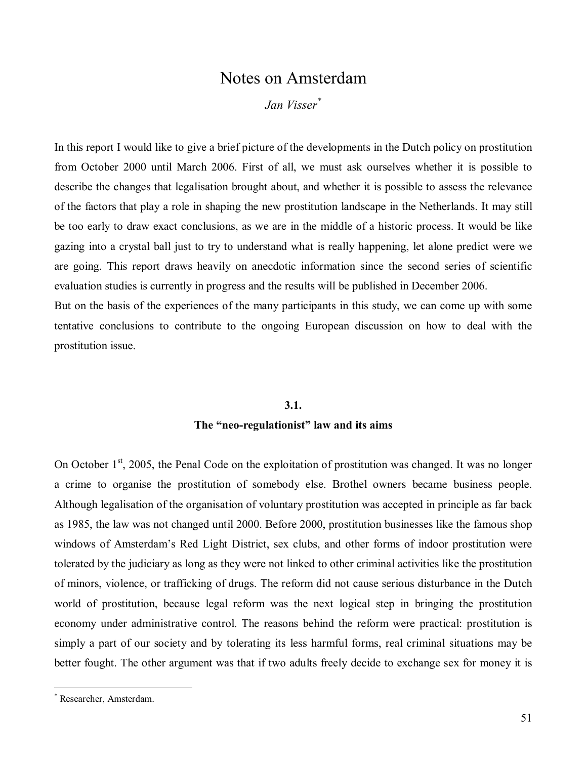# Notes on Amsterdam

# *Jan Visser\**

In this report I would like to give a brief picture of the developments in the Dutch policy on prostitution from October 2000 until March 2006. First of all, we must ask ourselves whether it is possible to describe the changes that legalisation brought about, and whether it is possible to assess the relevance of the factors that play a role in shaping the new prostitution landscape in the Netherlands. It may still be too early to draw exact conclusions, as we are in the middle of a historic process. It would be like gazing into a crystal ball just to try to understand what is really happening, let alone predict were we are going. This report draws heavily on anecdotic information since the second series of scientific evaluation studies is currently in progress and the results will be published in December 2006.

But on the basis of the experiences of the many participants in this study, we can come up with some tentative conclusions to contribute to the ongoing European discussion on how to deal with the prostitution issue.

#### **3.1.**

# The "neo-regulationist" law and its aims

On October  $1<sup>st</sup>$ , 2005, the Penal Code on the exploitation of prostitution was changed. It was no longer a crime to organise the prostitution of somebody else. Brothel owners became business people. Although legalisation of the organisation of voluntary prostitution was accepted in principle as far back as 1985, the law was not changed until 2000. Before 2000, prostitution businesses like the famous shop windows of Amsterdam's Red Light District, sex clubs, and other forms of indoor prostitution were tolerated by the judiciary as long as they were not linked to other criminal activities like the prostitution of minors, violence, or trafficking of drugs. The reform did not cause serious disturbance in the Dutch world of prostitution, because legal reform was the next logical step in bringing the prostitution economy under administrative control. The reasons behind the reform were practical: prostitution is simply a part of our society and by tolerating its less harmful forms, real criminal situations may be better fought. The other argument was that if two adults freely decide to exchange sex for money it is

<sup>\*</sup> Researcher, Amsterdam.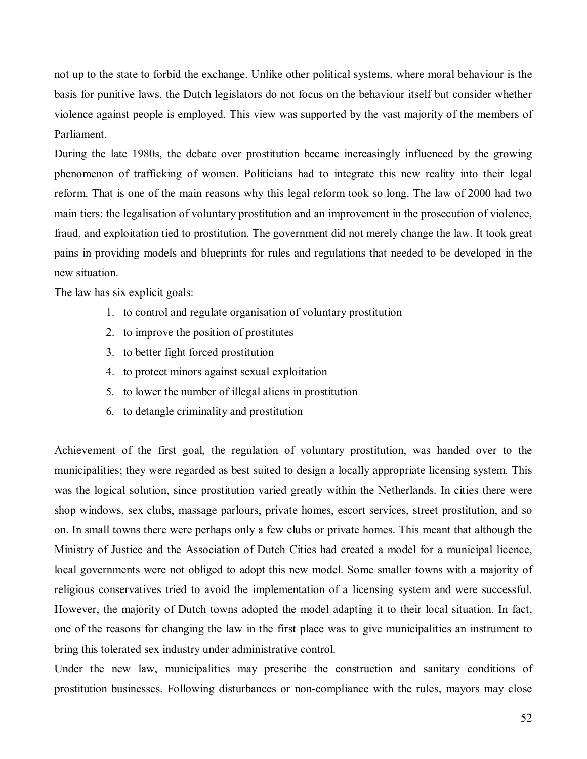not up to the state to forbid the exchange. Unlike other political systems, where moral behaviour is the basis for punitive laws, the Dutch legislators do not focus on the behaviour itself but consider whether violence against people is employed. This view was supported by the vast majority of the members of Parliament.

During the late 1980s, the debate over prostitution became increasingly influenced by the growing phenomenon of trafficking of women. Politicians had to integrate this new reality into their legal reform. That is one of the main reasons why this legal reform took so long. The law of 2000 had two main tiers: the legalisation of voluntary prostitution and an improvement in the prosecution of violence, fraud, and exploitation tied to prostitution. The government did not merely change the law. It took great pains in providing models and blueprints for rules and regulations that needed to be developed in the new situation.

The law has six explicit goals:

- 1. to control and regulate organisation of voluntary prostitution
- 2. to improve the position of prostitutes
- 3. to better fight forced prostitution
- 4. to protect minors against sexual exploitation
- 5. to lower the number of illegal aliens in prostitution
- 6. to detangle criminality and prostitution

Achievement of the first goal, the regulation of voluntary prostitution, was handed over to the municipalities; they were regarded as best suited to design a locally appropriate licensing system. This was the logical solution, since prostitution varied greatly within the Netherlands. In cities there were shop windows, sex clubs, massage parlours, private homes, escort services, street prostitution, and so on. In small towns there were perhaps only a few clubs or private homes. This meant that although the Ministry of Justice and the Association of Dutch Cities had created a model for a municipal licence, local governments were not obliged to adopt this new model. Some smaller towns with a majority of religious conservatives tried to avoid the implementation of a licensing system and were successful. However, the majority of Dutch towns adopted the model adapting it to their local situation. In fact, one of the reasons for changing the law in the first place was to give municipalities an instrument to bring this tolerated sex industry under administrative control.

Under the new law, municipalities may prescribe the construction and sanitary conditions of prostitution businesses. Following disturbances or non-compliance with the rules, mayors may close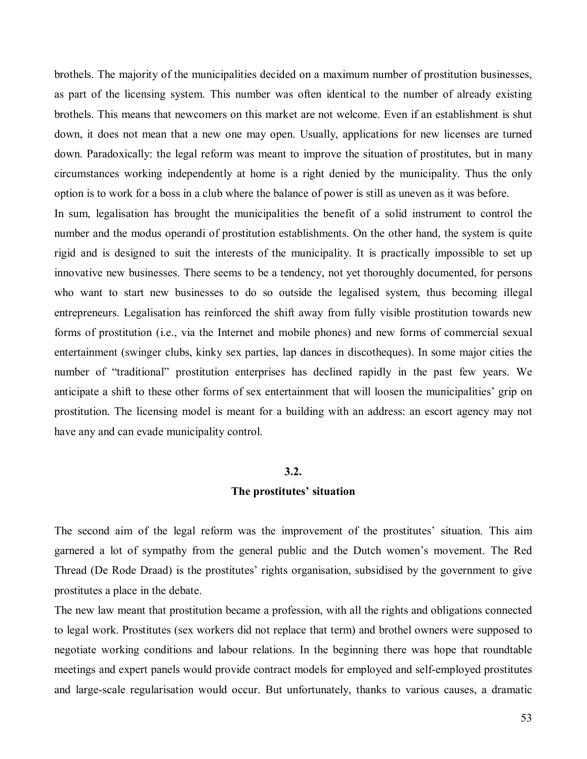brothels. The majority of the municipalities decided on a maximum number of prostitution businesses, as part of the licensing system. This number was often identical to the number of already existing brothels. This means that newcomers on this market are not welcome. Even if an establishment is shut down, it does not mean that a new one may open. Usually, applications for new licenses are turned down. Paradoxically: the legal reform was meant to improve the situation of prostitutes, but in many circumstances working independently at home is a right denied by the municipality. Thus the only option is to work for a boss in a club where the balance of power is still as uneven as it was before.

In sum, legalisation has brought the municipalities the benefit of a solid instrument to control the number and the modus operandi of prostitution establishments. On the other hand, the system is quite rigid and is designed to suit the interests of the municipality. It is practically impossible to set up innovative new businesses. There seems to be a tendency, not yet thoroughly documented, for persons who want to start new businesses to do so outside the legalised system, thus becoming illegal entrepreneurs. Legalisation has reinforced the shift away from fully visible prostitution towards new forms of prostitution (i.e., via the Internet and mobile phones) and new forms of commercial sexual entertainment (swinger clubs, kinky sex parties, lap dances in discotheques). In some major cities the number of "traditional" prostitution enterprises has declined rapidly in the past few years. We anticipate a shift to these other forms of sex entertainment that will loosen the municipalities' grip on prostitution. The licensing model is meant for a building with an address: an escort agency may not have any and can evade municipality control.

#### **3.2.**

#### **The prostitutes' situation**

The second aim of the legal reform was the improvement of the prostitutes' situation. This aim garnered a lot of sympathy from the general public and the Dutch women's movement. The Red Thread (De Rode Draad) is the prostitutes' rights organisation, subsidised by the government to give prostitutes a place in the debate.

The new law meant that prostitution became a profession, with all the rights and obligations connected to legal work. Prostitutes (sex workers did not replace that term) and brothel owners were supposed to negotiate working conditions and labour relations. In the beginning there was hope that roundtable meetings and expert panels would provide contract models for employed and self-employed prostitutes and large-scale regularisation would occur. But unfortunately, thanks to various causes, a dramatic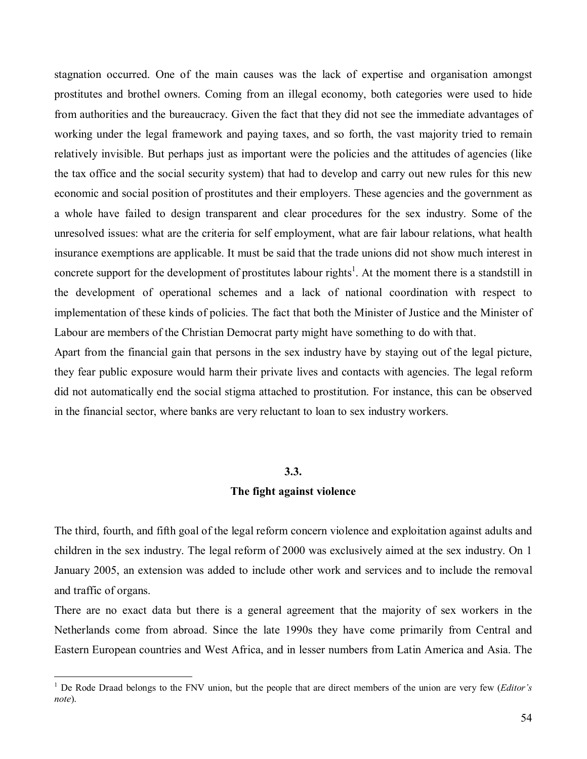stagnation occurred. One of the main causes was the lack of expertise and organisation amongst prostitutes and brothel owners. Coming from an illegal economy, both categories were used to hide from authorities and the bureaucracy. Given the fact that they did not see the immediate advantages of working under the legal framework and paying taxes, and so forth, the vast majority tried to remain relatively invisible. But perhaps just as important were the policies and the attitudes of agencies (like the tax office and the social security system) that had to develop and carry out new rules for this new economic and social position of prostitutes and their employers. These agencies and the government as a whole have failed to design transparent and clear procedures for the sex industry. Some of the unresolved issues: what are the criteria for self employment, what are fair labour relations, what health insurance exemptions are applicable. It must be said that the trade unions did not show much interest in concrete support for the development of prostitutes labour rights<sup>1</sup>. At the moment there is a standstill in the development of operational schemes and a lack of national coordination with respect to implementation of these kinds of policies. The fact that both the Minister of Justice and the Minister of Labour are members of the Christian Democrat party might have something to do with that.

Apart from the financial gain that persons in the sex industry have by staying out of the legal picture, they fear public exposure would harm their private lives and contacts with agencies. The legal reform did not automatically end the social stigma attached to prostitution. For instance, this can be observed in the financial sector, where banks are very reluctant to loan to sex industry workers.

#### **3.3.**

#### **The fight against violence**

The third, fourth, and fifth goal of the legal reform concern violence and exploitation against adults and children in the sex industry. The legal reform of 2000 was exclusively aimed at the sex industry. On 1 January 2005, an extension was added to include other work and services and to include the removal and traffic of organs.

There are no exact data but there is a general agreement that the majority of sex workers in the Netherlands come from abroad. Since the late 1990s they have come primarily from Central and Eastern European countries and West Africa, and in lesser numbers from Latin America and Asia. The

<sup>&</sup>lt;sup>1</sup> De Rode Draad belongs to the FNV union, but the people that are direct members of the union are very few (*Editor's note*).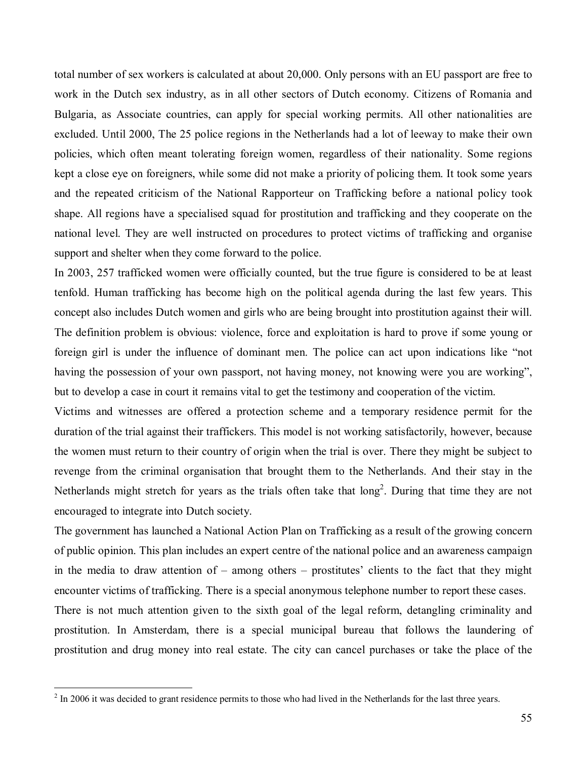total number of sex workers is calculated at about 20,000. Only persons with an EU passport are free to work in the Dutch sex industry, as in all other sectors of Dutch economy. Citizens of Romania and Bulgaria, as Associate countries, can apply for special working permits. All other nationalities are excluded. Until 2000, The 25 police regions in the Netherlands had a lot of leeway to make their own policies, which often meant tolerating foreign women, regardless of their nationality. Some regions kept a close eye on foreigners, while some did not make a priority of policing them. It took some years and the repeated criticism of the National Rapporteur on Trafficking before a national policy took shape. All regions have a specialised squad for prostitution and trafficking and they cooperate on the national level. They are well instructed on procedures to protect victims of trafficking and organise support and shelter when they come forward to the police.

In 2003, 257 trafficked women were officially counted, but the true figure is considered to be at least tenfold. Human trafficking has become high on the political agenda during the last few years. This concept also includes Dutch women and girls who are being brought into prostitution against their will. The definition problem is obvious: violence, force and exploitation is hard to prove if some young or foreign girl is under the influence of dominant men. The police can act upon indications like "not having the possession of your own passport, not having money, not knowing were you are working", but to develop a case in court it remains vital to get the testimony and cooperation of the victim.

Victims and witnesses are offered a protection scheme and a temporary residence permit for the duration of the trial against their traffickers. This model is not working satisfactorily, however, because the women must return to their country of origin when the trial is over. There they might be subject to revenge from the criminal organisation that brought them to the Netherlands. And their stay in the Netherlands might stretch for years as the trials often take that  $long<sup>2</sup>$ . During that time they are not encouraged to integrate into Dutch society.

The government has launched a National Action Plan on Trafficking as a result of the growing concern of public opinion. This plan includes an expert centre of the national police and an awareness campaign in the media to draw attention of  $-$  among others  $-$  prostitutes' clients to the fact that they might encounter victims of trafficking. There is a special anonymous telephone number to report these cases.

There is not much attention given to the sixth goal of the legal reform, detangling criminality and prostitution. In Amsterdam, there is a special municipal bureau that follows the laundering of prostitution and drug money into real estate. The city can cancel purchases or take the place of the

 $2 \text{ In } 2006$  it was decided to grant residence permits to those who had lived in the Netherlands for the last three years.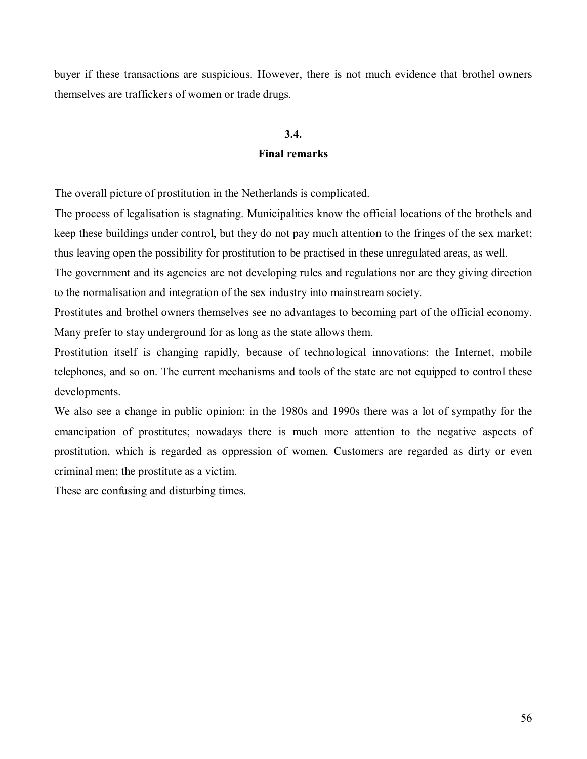buyer if these transactions are suspicious. However, there is not much evidence that brothel owners themselves are traffickers of women or trade drugs.

# **3.4.**

# **Final remarks**

The overall picture of prostitution in the Netherlands is complicated.

The process of legalisation is stagnating. Municipalities know the official locations of the brothels and keep these buildings under control, but they do not pay much attention to the fringes of the sex market; thus leaving open the possibility for prostitution to be practised in these unregulated areas, as well.

The government and its agencies are not developing rules and regulations nor are they giving direction to the normalisation and integration of the sex industry into mainstream society.

Prostitutes and brothel owners themselves see no advantages to becoming part of the official economy. Many prefer to stay underground for as long as the state allows them.

Prostitution itself is changing rapidly, because of technological innovations: the Internet, mobile telephones, and so on. The current mechanisms and tools of the state are not equipped to control these developments.

We also see a change in public opinion: in the 1980s and 1990s there was a lot of sympathy for the emancipation of prostitutes; nowadays there is much more attention to the negative aspects of prostitution, which is regarded as oppression of women. Customers are regarded as dirty or even criminal men; the prostitute as a victim.

These are confusing and disturbing times.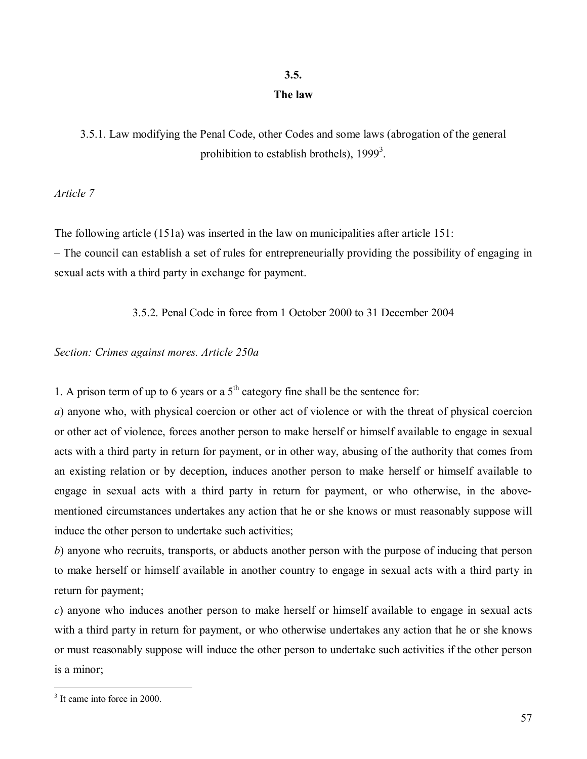# **3.5.**

# **The law**

3.5.1. Law modifying the Penal Code, other Codes and some laws (abrogation of the general prohibition to establish brothels),  $1999<sup>3</sup>$ .

*Article 7* 

The following article (151a) was inserted in the law on municipalities after article 151:

– The council can establish a set of rules for entrepreneurially providing the possibility of engaging in sexual acts with a third party in exchange for payment.

3.5.2. Penal Code in force from 1 October 2000 to 31 December 2004

# *Section: Crimes against mores. Article 250a*

1. A prison term of up to 6 years or a  $5<sup>th</sup>$  category fine shall be the sentence for:

*a*) anyone who, with physical coercion or other act of violence or with the threat of physical coercion or other act of violence, forces another person to make herself or himself available to engage in sexual acts with a third party in return for payment, or in other way, abusing of the authority that comes from an existing relation or by deception, induces another person to make herself or himself available to engage in sexual acts with a third party in return for payment, or who otherwise, in the abovementioned circumstances undertakes any action that he or she knows or must reasonably suppose will induce the other person to undertake such activities;

*b*) anyone who recruits, transports, or abducts another person with the purpose of inducing that person to make herself or himself available in another country to engage in sexual acts with a third party in return for payment;

*c*) anyone who induces another person to make herself or himself available to engage in sexual acts with a third party in return for payment, or who otherwise undertakes any action that he or she knows or must reasonably suppose will induce the other person to undertake such activities if the other person is a minor;

<sup>&</sup>lt;sup>3</sup> It came into force in 2000.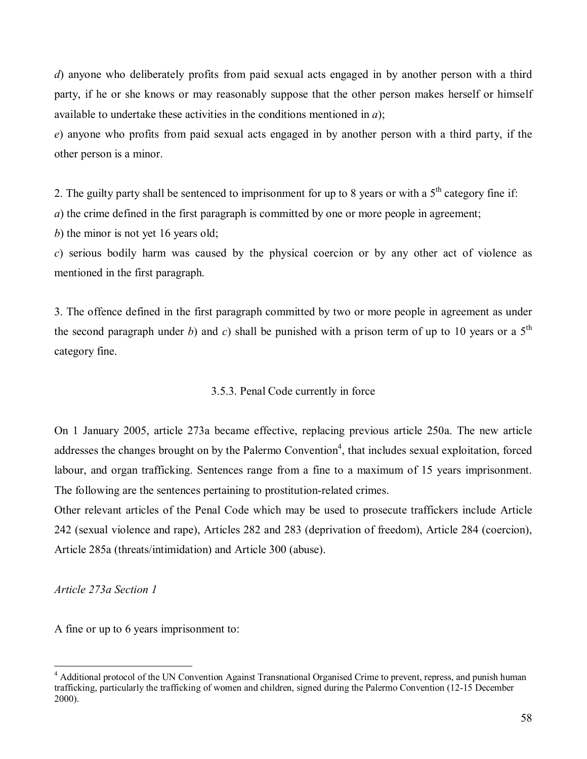*d*) anyone who deliberately profits from paid sexual acts engaged in by another person with a third party, if he or she knows or may reasonably suppose that the other person makes herself or himself available to undertake these activities in the conditions mentioned in *a*);

*e*) anyone who profits from paid sexual acts engaged in by another person with a third party, if the other person is a minor.

2. The guilty party shall be sentenced to imprisonment for up to 8 years or with a  $5<sup>th</sup>$  category fine if:

*a*) the crime defined in the first paragraph is committed by one or more people in agreement;

*b*) the minor is not yet 16 years old;

*c*) serious bodily harm was caused by the physical coercion or by any other act of violence as mentioned in the first paragraph.

3. The offence defined in the first paragraph committed by two or more people in agreement as under the second paragraph under *b*) and *c*) shall be punished with a prison term of up to 10 years or a  $5<sup>th</sup>$ category fine.

# 3.5.3. Penal Code currently in force

On 1 January 2005, article 273a became effective, replacing previous article 250a. The new article addresses the changes brought on by the Palermo Convention<sup>4</sup>, that includes sexual exploitation, forced labour, and organ trafficking. Sentences range from a fine to a maximum of 15 years imprisonment. The following are the sentences pertaining to prostitution-related crimes.

Other relevant articles of the Penal Code which may be used to prosecute traffickers include Article 242 (sexual violence and rape), Articles 282 and 283 (deprivation of freedom), Article 284 (coercion), Article 285a (threats/intimidation) and Article 300 (abuse).

*Article 273a Section 1* 

A fine or up to 6 years imprisonment to:

 $\overline{a}$ <sup>4</sup> Additional protocol of the UN Convention Against Transnational Organised Crime to prevent, repress, and punish human trafficking, particularly the trafficking of women and children, signed during the Palermo Convention (12-15 December 2000).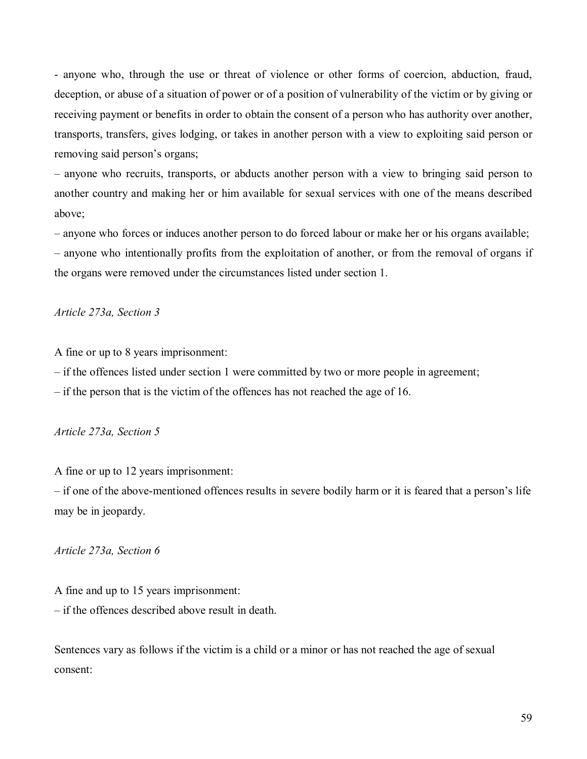- anyone who, through the use or threat of violence or other forms of coercion, abduction, fraud, deception, or abuse of a situation of power or of a position of vulnerability of the victim or by giving or receiving payment or benefits in order to obtain the consent of a person who has authority over another, transports, transfers, gives lodging, or takes in another person with a view to exploiting said person or removing said person's organs;

– anyone who recruits, transports, or abducts another person with a view to bringing said person to another country and making her or him available for sexual services with one of the means described above;

 $\alpha$  – anyone who forces or induces another person to do forced labour or make her or his organs available; – anyone who intentionally profits from the exploitation of another, or from the removal of organs if the organs were removed under the circumstances listed under section 1.

*Article 273a, Section 3* 

A fine or up to 8 years imprisonment:

 $\overline{\phantom{a}}$  if the offences listed under section 1 were committed by two or more people in agreement;

 $\overline{\phantom{a}}$  if the person that is the victim of the offences has not reached the age of 16.

# *Article 273a, Section 5*

A fine or up to 12 years imprisonment:

– if one of the above-mentioned offences results in severe bodily harm or it is feared that a person's life may be in jeopardy.

*Article 273a, Section 6* 

A fine and up to 15 years imprisonment:  $\overline{\phantom{a}}$  if the offences described above result in death.

Sentences vary as follows if the victim is a child or a minor or has not reached the age of sexual consent: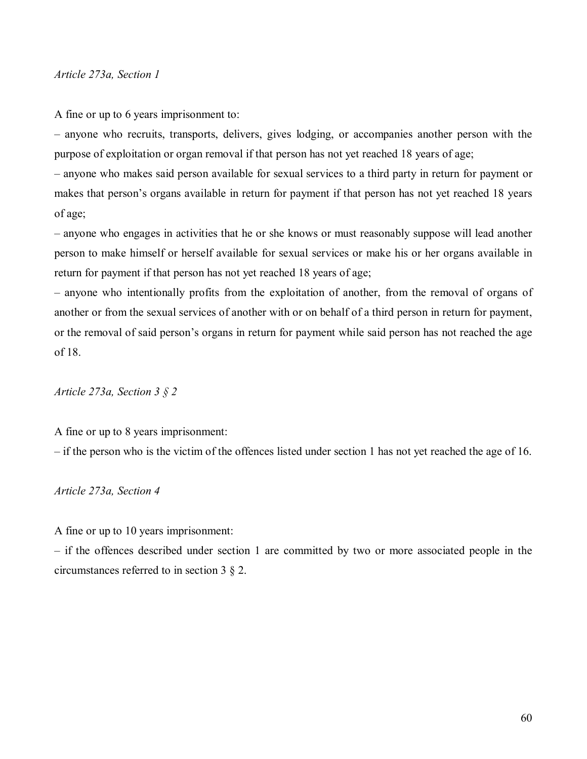## *Article 273a, Section 1*

A fine or up to 6 years imprisonment to:

– anyone who recruits, transports, delivers, gives lodging, or accompanies another person with the purpose of exploitation or organ removal if that person has not yet reached 18 years of age;

– anyone who makes said person available for sexual services to a third party in return for payment or makes that person's organs available in return for payment if that person has not yet reached 18 years of age;

– anyone who engages in activities that he or she knows or must reasonably suppose will lead another person to make himself or herself available for sexual services or make his or her organs available in return for payment if that person has not yet reached 18 years of age;

– anyone who intentionally profits from the exploitation of another, from the removal of organs of another or from the sexual services of another with or on behalf of a third person in return for payment, or the removal of said person's organs in return for payment while said person has not reached the age of 18.

*Article 273a, Section 3 ß 2* 

A fine or up to 8 years imprisonment:

 $\overline{\phantom{a}}$  if the person who is the victim of the offences listed under section 1 has not yet reached the age of 16.

*Article 273a, Section 4* 

A fine or up to 10 years imprisonment:

 $-$  if the offences described under section 1 are committed by two or more associated people in the circumstances referred to in section 3 ß 2.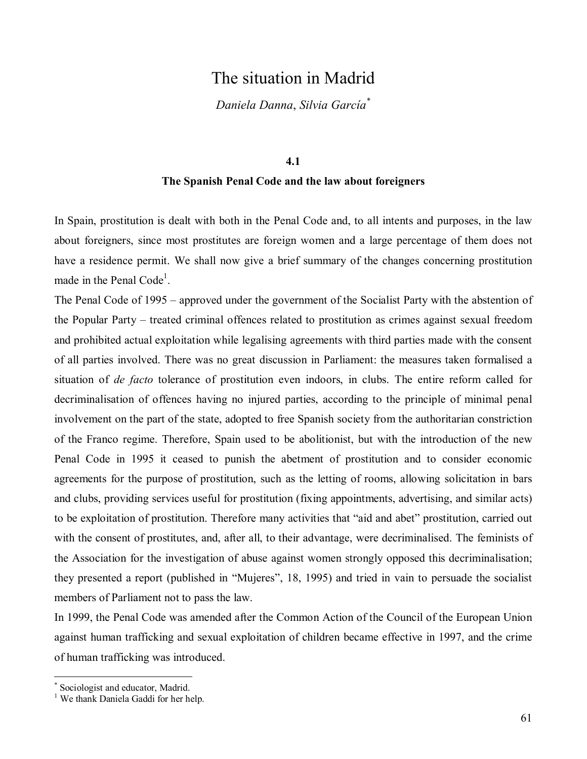# The situation in Madrid

*Daniela Danna*, *Silvia GarcÌa\**

#### **4.1**

# **The Spanish Penal Code and the law about foreigners**

In Spain, prostitution is dealt with both in the Penal Code and, to all intents and purposes, in the law about foreigners, since most prostitutes are foreign women and a large percentage of them does not have a residence permit. We shall now give a brief summary of the changes concerning prostitution made in the Penal Code<sup>1</sup>.

The Penal Code of 1995 – approved under the government of the Socialist Party with the abstention of the Popular Party – treated criminal offences related to prostitution as crimes against sexual freedom and prohibited actual exploitation while legalising agreements with third parties made with the consent of all parties involved. There was no great discussion in Parliament: the measures taken formalised a situation of *de facto* tolerance of prostitution even indoors, in clubs. The entire reform called for decriminalisation of offences having no injured parties, according to the principle of minimal penal involvement on the part of the state, adopted to free Spanish society from the authoritarian constriction of the Franco regime. Therefore, Spain used to be abolitionist, but with the introduction of the new Penal Code in 1995 it ceased to punish the abetment of prostitution and to consider economic agreements for the purpose of prostitution, such as the letting of rooms, allowing solicitation in bars and clubs, providing services useful for prostitution (fixing appointments, advertising, and similar acts) to be exploitation of prostitution. Therefore many activities that "aid and abet" prostitution, carried out with the consent of prostitutes, and, after all, to their advantage, were decriminalised. The feminists of the Association for the investigation of abuse against women strongly opposed this decriminalisation; they presented a report (published in "Mujeres", 18, 1995) and tried in vain to persuade the socialist members of Parliament not to pass the law.

In 1999, the Penal Code was amended after the Common Action of the Council of the European Union against human trafficking and sexual exploitation of children became effective in 1997, and the crime of human trafficking was introduced.

<sup>\*</sup> Sociologist and educator, Madrid.

<sup>&</sup>lt;sup>1</sup> We thank Daniela Gaddi for her help.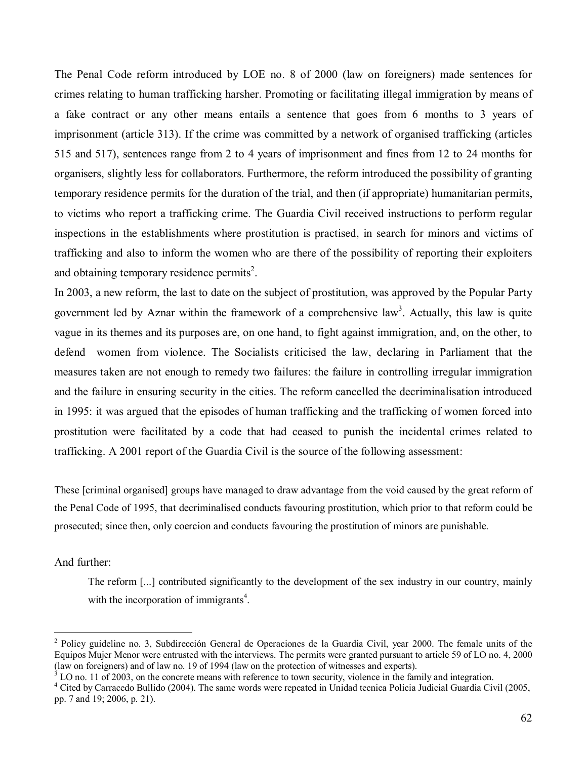The Penal Code reform introduced by LOE no. 8 of 2000 (law on foreigners) made sentences for crimes relating to human trafficking harsher. Promoting or facilitating illegal immigration by means of a fake contract or any other means entails a sentence that goes from 6 months to 3 years of imprisonment (article 313). If the crime was committed by a network of organised trafficking (articles 515 and 517), sentences range from 2 to 4 years of imprisonment and fines from 12 to 24 months for organisers, slightly less for collaborators. Furthermore, the reform introduced the possibility of granting temporary residence permits for the duration of the trial, and then (if appropriate) humanitarian permits, to victims who report a trafficking crime. The Guardia Civil received instructions to perform regular inspections in the establishments where prostitution is practised, in search for minors and victims of trafficking and also to inform the women who are there of the possibility of reporting their exploiters and obtaining temporary residence permits<sup>2</sup>.

In 2003, a new reform, the last to date on the subject of prostitution, was approved by the Popular Party government led by Aznar within the framework of a comprehensive law<sup>3</sup>. Actually, this law is quite vague in its themes and its purposes are, on one hand, to fight against immigration, and, on the other, to defend women from violence. The Socialists criticised the law, declaring in Parliament that the measures taken are not enough to remedy two failures: the failure in controlling irregular immigration and the failure in ensuring security in the cities. The reform cancelled the decriminalisation introduced in 1995: it was argued that the episodes of human trafficking and the trafficking of women forced into prostitution were facilitated by a code that had ceased to punish the incidental crimes related to trafficking. A 2001 report of the Guardia Civil is the source of the following assessment:

These [criminal organised] groups have managed to draw advantage from the void caused by the great reform of the Penal Code of 1995, that decriminalised conducts favouring prostitution, which prior to that reform could be prosecuted; since then, only coercion and conducts favouring the prostitution of minors are punishable.

## And further:

The reform [...] contributed significantly to the development of the sex industry in our country, mainly with the incorporation of immigrants<sup>4</sup>.

<sup>&</sup>lt;sup>2</sup> Policy guideline no. 3, Subdirección General de Operaciones de la Guardia Civil, year 2000. The female units of the Equipos Mujer Menor were entrusted with the interviews. The permits were granted pursuant to article 59 of LO no. 4, 2000 (law on foreigners) and of law no. 19 of 1994 (law on the protection of witnesses and experts).

<sup>3</sup> LO no. 11 of 2003, on the concrete means with reference to town security, violence in the family and integration.

<sup>&</sup>lt;sup>4</sup> Cited by Carracedo Bullido (2004). The same words were repeated in Unidad tecnica Policia Judicial Guardia Civil (2005, pp. 7 and 19; 2006, p. 21).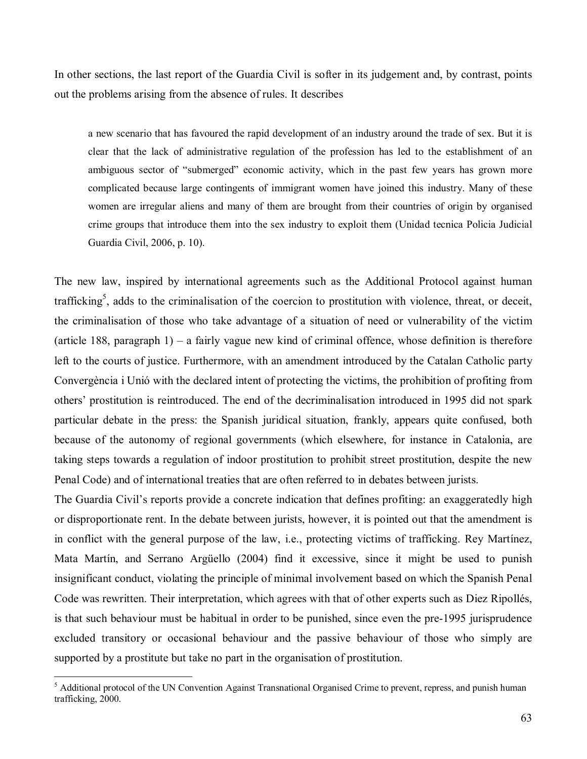In other sections, the last report of the Guardia Civil is softer in its judgement and, by contrast, points out the problems arising from the absence of rules. It describes

a new scenario that has favoured the rapid development of an industry around the trade of sex. But it is clear that the lack of administrative regulation of the profession has led to the establishment of an ambiguous sector of "submerged" economic activity, which in the past few years has grown more complicated because large contingents of immigrant women have joined this industry. Many of these women are irregular aliens and many of them are brought from their countries of origin by organised crime groups that introduce them into the sex industry to exploit them (Unidad tecnica Policia Judicial Guardia Civil, 2006, p. 10).

The new law, inspired by international agreements such as the Additional Protocol against human trafficking<sup>5</sup>, adds to the criminalisation of the coercion to prostitution with violence, threat, or deceit, the criminalisation of those who take advantage of a situation of need or vulnerability of the victim (article 188, paragraph 1) – a fairly vague new kind of criminal offence, whose definition is therefore left to the courts of justice. Furthermore, with an amendment introduced by the Catalan Catholic party Convergència i Unió with the declared intent of protecting the victims, the prohibition of profiting from others' prostitution is reintroduced. The end of the decriminalisation introduced in 1995 did not spark particular debate in the press: the Spanish juridical situation, frankly, appears quite confused, both because of the autonomy of regional governments (which elsewhere, for instance in Catalonia, are taking steps towards a regulation of indoor prostitution to prohibit street prostitution, despite the new Penal Code) and of international treaties that are often referred to in debates between jurists.

The Guardia Civil's reports provide a concrete indication that defines profiting: an exaggeratedly high or disproportionate rent. In the debate between jurists, however, it is pointed out that the amendment is in conflict with the general purpose of the law, i.e., protecting victims of trafficking. Rey Martínez, Mata Martin, and Serrano Argüello (2004) find it excessive, since it might be used to punish insignificant conduct, violating the principle of minimal involvement based on which the Spanish Penal Code was rewritten. Their interpretation, which agrees with that of other experts such as Diez Ripollés, is that such behaviour must be habitual in order to be punished, since even the pre-1995 jurisprudence excluded transitory or occasional behaviour and the passive behaviour of those who simply are supported by a prostitute but take no part in the organisation of prostitution.

<sup>&</sup>lt;sup>5</sup> Additional protocol of the UN Convention Against Transnational Organised Crime to prevent, repress, and punish human trafficking, 2000.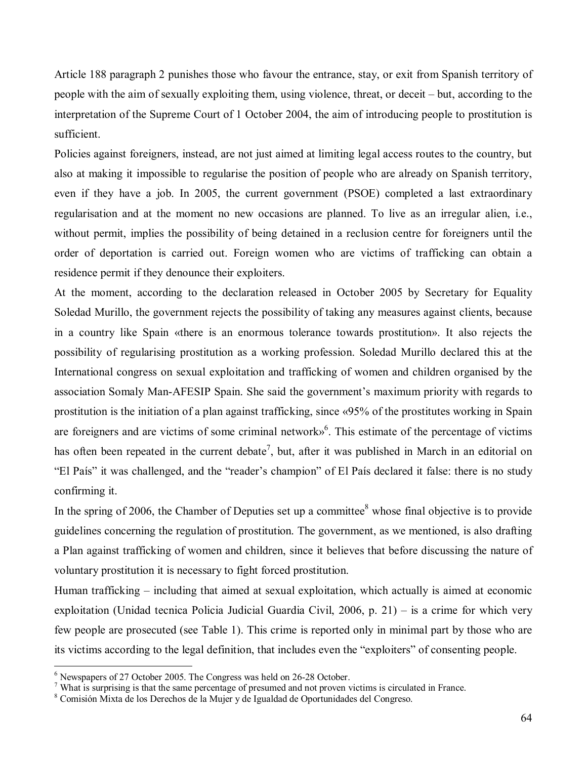Article 188 paragraph 2 punishes those who favour the entrance, stay, or exit from Spanish territory of people with the aim of sexually exploiting them, using violence, threat, or deceit  $-\text{but}$ , according to the interpretation of the Supreme Court of 1 October 2004, the aim of introducing people to prostitution is sufficient.

Policies against foreigners, instead, are not just aimed at limiting legal access routes to the country, but also at making it impossible to regularise the position of people who are already on Spanish territory, even if they have a job. In 2005, the current government (PSOE) completed a last extraordinary regularisation and at the moment no new occasions are planned. To live as an irregular alien, i.e., without permit, implies the possibility of being detained in a reclusion centre for foreigners until the order of deportation is carried out. Foreign women who are victims of trafficking can obtain a residence permit if they denounce their exploiters.

At the moment, according to the declaration released in October 2005 by Secretary for Equality Soledad Murillo, the government rejects the possibility of taking any measures against clients, because in a country like Spain «there is an enormous tolerance towards prostitution». It also rejects the possibility of regularising prostitution as a working profession. Soledad Murillo declared this at the International congress on sexual exploitation and trafficking of women and children organised by the association Somaly Man-AFESIP Spain. She said the government's maximum priority with regards to prostitution is the initiation of a plan against trafficking, since  $\langle 95\%$  of the prostitutes working in Spain are foreigners and are victims of some criminal network $\delta^6$ . This estimate of the percentage of victims has often been repeated in the current debate<sup>7</sup>, but, after it was published in March in an editorial on "El País" it was challenged, and the "reader's champion" of El País declared it false: there is no study confirming it.

In the spring of 2006, the Chamber of Deputies set up a committee $8$  whose final objective is to provide guidelines concerning the regulation of prostitution. The government, as we mentioned, is also drafting a Plan against trafficking of women and children, since it believes that before discussing the nature of voluntary prostitution it is necessary to fight forced prostitution.

Human trafficking  $-$  including that aimed at sexual exploitation, which actually is aimed at economic exploitation (Unidad tecnica Policia Judicial Guardia Civil,  $2006$ , p. 21) – is a crime for which very few people are prosecuted (see Table 1). This crime is reported only in minimal part by those who are its victims according to the legal definition, that includes even the "exploiters" of consenting people.

 6 Newspapers of 27 October 2005. The Congress was held on 26-28 October.

 $<sup>7</sup>$  What is surprising is that the same percentage of presumed and not proven victims is circulated in France.</sup>

<sup>&</sup>lt;sup>8</sup> Comisión Mixta de los Derechos de la Mujer y de Igualdad de Oportunidades del Congreso.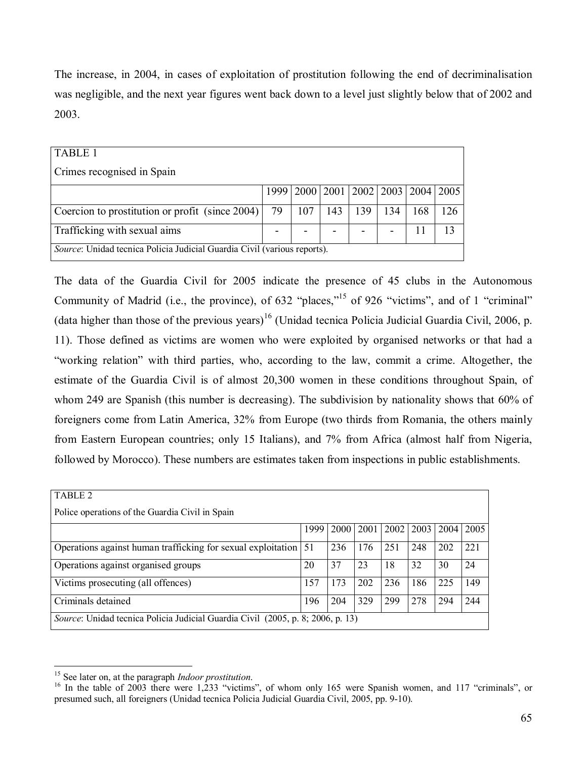The increase, in 2004, in cases of exploitation of prostitution following the end of decriminalisation was negligible, and the next year figures went back down to a level just slightly below that of 2002 and 2003.

| <b>TABLE 1</b>                                                           |    |                                                |     |     |     |     |     |
|--------------------------------------------------------------------------|----|------------------------------------------------|-----|-----|-----|-----|-----|
| Crimes recognised in Spain                                               |    |                                                |     |     |     |     |     |
|                                                                          |    | 1999   2000   2001   2002   2003   2004   2005 |     |     |     |     |     |
|                                                                          |    |                                                |     |     |     |     |     |
| Coercion to prostitution or profit (since 2004)                          | 79 | 107                                            | 143 | 139 | 134 | 168 | 126 |
| Trafficking with sexual aims                                             |    |                                                |     |     |     |     |     |
| Source: Unidad tecnica Policia Judicial Guardia Civil (various reports). |    |                                                |     |     |     |     |     |

The data of the Guardia Civil for 2005 indicate the presence of 45 clubs in the Autonomous Community of Madrid (i.e., the province), of  $632$  "places,"<sup>15</sup> of 926 "victims", and of 1 "criminal" (data higher than those of the previous years)<sup>16</sup> (Unidad tecnica Policia Judicial Guardia Civil, 2006, p. 11). Those defined as victims are women who were exploited by organised networks or that had a ìworking relationî with third parties, who, according to the law, commit a crime. Altogether, the estimate of the Guardia Civil is of almost 20,300 women in these conditions throughout Spain, of whom 249 are Spanish (this number is decreasing). The subdivision by nationality shows that 60% of foreigners come from Latin America, 32% from Europe (two thirds from Romania, the others mainly from Eastern European countries; only 15 Italians), and 7% from Africa (almost half from Nigeria, followed by Morocco). These numbers are estimates taken from inspections in public establishments.

| TABLE 2                                                                         |           |      |      |      |      |      |      |
|---------------------------------------------------------------------------------|-----------|------|------|------|------|------|------|
| Police operations of the Guardia Civil in Spain                                 |           |      |      |      |      |      |      |
|                                                                                 | 1999      | 2000 | 2001 | 2002 | 2003 | 2004 | 2005 |
| Operations against human trafficking for sexual exploitation                    | <b>51</b> | 236  | 176  | 251  | 248  | 202  | 221  |
| Operations against organised groups                                             | 20        | 37   | 23   | 18   | 32   | 30   | 24   |
| Victims prosecuting (all offences)                                              | 157       | 173  | 202  | 236  | 186  | 225  | 149  |
| Criminals detained                                                              | 196       | 204  | 329  | 299  | 278  | 294  | 244  |
| Source: Unidad tecnica Policia Judicial Guardia Civil (2005, p. 8; 2006, p. 13) |           |      |      |      |      |      |      |

<sup>&</sup>lt;sup>15</sup> See later on, at the paragraph *Indoor prostitution*.

<sup>&</sup>lt;sup>16</sup> In the table of 2003 there were 1,233 "victims", of whom only 165 were Spanish women, and 117 "criminals", or presumed such, all foreigners (Unidad tecnica Policia Judicial Guardia Civil, 2005, pp. 9-10).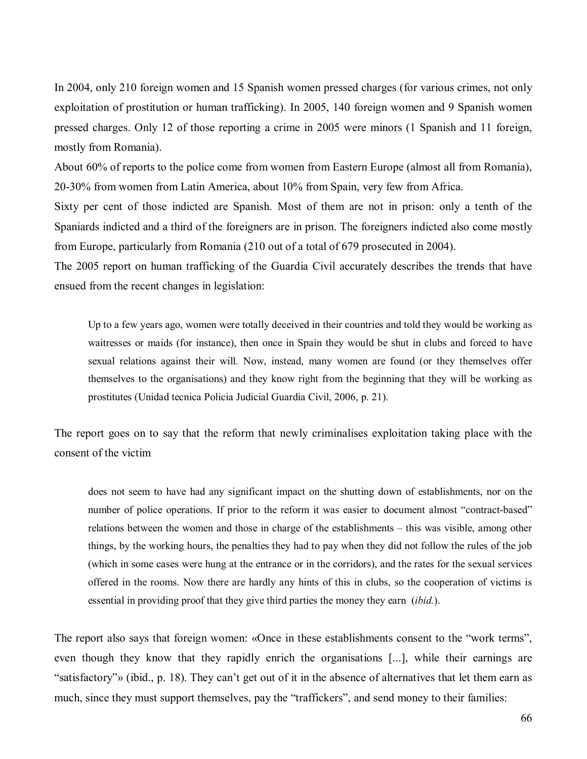In 2004, only 210 foreign women and 15 Spanish women pressed charges (for various crimes, not only exploitation of prostitution or human trafficking). In 2005, 140 foreign women and 9 Spanish women pressed charges. Only 12 of those reporting a crime in 2005 were minors (1 Spanish and 11 foreign, mostly from Romania).

About 60% of reports to the police come from women from Eastern Europe (almost all from Romania), 20-30% from women from Latin America, about 10% from Spain, very few from Africa.

Sixty per cent of those indicted are Spanish. Most of them are not in prison: only a tenth of the Spaniards indicted and a third of the foreigners are in prison. The foreigners indicted also come mostly from Europe, particularly from Romania (210 out of a total of 679 prosecuted in 2004).

The 2005 report on human trafficking of the Guardia Civil accurately describes the trends that have ensued from the recent changes in legislation:

Up to a few years ago, women were totally deceived in their countries and told they would be working as waitresses or maids (for instance), then once in Spain they would be shut in clubs and forced to have sexual relations against their will. Now, instead, many women are found (or they themselves offer themselves to the organisations) and they know right from the beginning that they will be working as prostitutes (Unidad tecnica Policia Judicial Guardia Civil, 2006, p. 21).

The report goes on to say that the reform that newly criminalises exploitation taking place with the consent of the victim

does not seem to have had any significant impact on the shutting down of establishments, nor on the number of police operations. If prior to the reform it was easier to document almost "contract-based" relations between the women and those in charge of the establishments – this was visible, among other things, by the working hours, the penalties they had to pay when they did not follow the rules of the job (which in some cases were hung at the entrance or in the corridors), and the rates for the sexual services offered in the rooms. Now there are hardly any hints of this in clubs, so the cooperation of victims is essential in providing proof that they give third parties the money they earn (*ibid.*).

The report also says that foreign women: «Once in these establishments consent to the "work terms", even though they know that they rapidly enrich the organisations [...], while their earnings are "satisfactory"» (ibid., p. 18). They can't get out of it in the absence of alternatives that let them earn as much, since they must support themselves, pay the "traffickers", and send money to their families: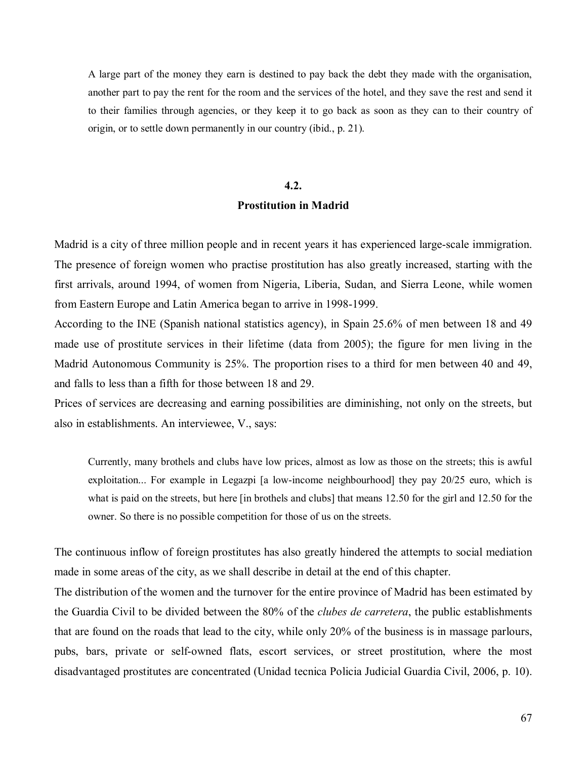A large part of the money they earn is destined to pay back the debt they made with the organisation, another part to pay the rent for the room and the services of the hotel, and they save the rest and send it to their families through agencies, or they keep it to go back as soon as they can to their country of origin, or to settle down permanently in our country (ibid., p. 21).

#### **4.2.**

# **Prostitution in Madrid**

Madrid is a city of three million people and in recent years it has experienced large-scale immigration. The presence of foreign women who practise prostitution has also greatly increased, starting with the first arrivals, around 1994, of women from Nigeria, Liberia, Sudan, and Sierra Leone, while women from Eastern Europe and Latin America began to arrive in 1998-1999.

According to the INE (Spanish national statistics agency), in Spain 25.6% of men between 18 and 49 made use of prostitute services in their lifetime (data from 2005); the figure for men living in the Madrid Autonomous Community is 25%. The proportion rises to a third for men between 40 and 49, and falls to less than a fifth for those between 18 and 29.

Prices of services are decreasing and earning possibilities are diminishing, not only on the streets, but also in establishments. An interviewee, V., says:

Currently, many brothels and clubs have low prices, almost as low as those on the streets; this is awful exploitation... For example in Legazpi [a low-income neighbourhood] they pay 20/25 euro, which is what is paid on the streets, but here [in brothels and clubs] that means 12.50 for the girl and 12.50 for the owner. So there is no possible competition for those of us on the streets.

The continuous inflow of foreign prostitutes has also greatly hindered the attempts to social mediation made in some areas of the city, as we shall describe in detail at the end of this chapter.

The distribution of the women and the turnover for the entire province of Madrid has been estimated by the Guardia Civil to be divided between the 80% of the *clubes de carretera*, the public establishments that are found on the roads that lead to the city, while only 20% of the business is in massage parlours, pubs, bars, private or self-owned flats, escort services, or street prostitution, where the most disadvantaged prostitutes are concentrated (Unidad tecnica Policia Judicial Guardia Civil, 2006, p. 10).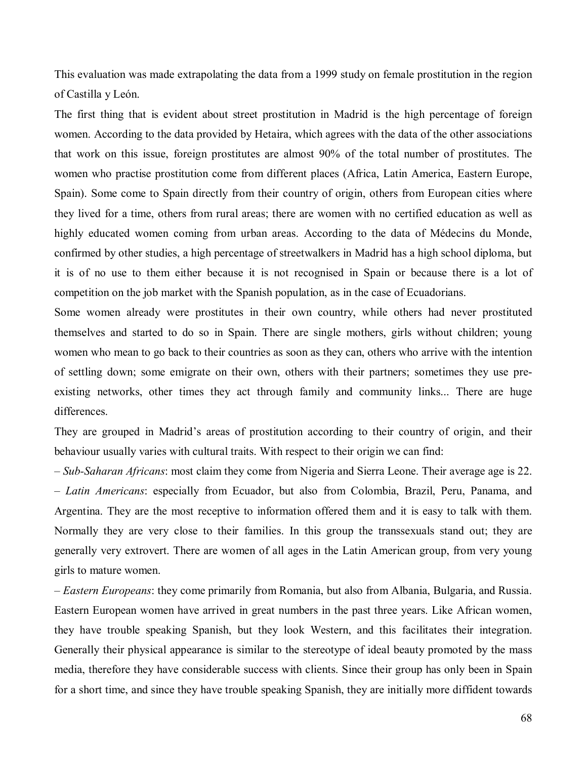This evaluation was made extrapolating the data from a 1999 study on female prostitution in the region of Castilla y León.

The first thing that is evident about street prostitution in Madrid is the high percentage of foreign women. According to the data provided by Hetaira, which agrees with the data of the other associations that work on this issue, foreign prostitutes are almost 90% of the total number of prostitutes. The women who practise prostitution come from different places (Africa, Latin America, Eastern Europe, Spain). Some come to Spain directly from their country of origin, others from European cities where they lived for a time, others from rural areas; there are women with no certified education as well as highly educated women coming from urban areas. According to the data of Médecins du Monde, confirmed by other studies, a high percentage of streetwalkers in Madrid has a high school diploma, but it is of no use to them either because it is not recognised in Spain or because there is a lot of competition on the job market with the Spanish population, as in the case of Ecuadorians.

Some women already were prostitutes in their own country, while others had never prostituted themselves and started to do so in Spain. There are single mothers, girls without children; young women who mean to go back to their countries as soon as they can, others who arrive with the intention of settling down; some emigrate on their own, others with their partners; sometimes they use preexisting networks, other times they act through family and community links... There are huge differences.

They are grouped in Madrid's areas of prostitution according to their country of origin, and their behaviour usually varies with cultural traits. With respect to their origin we can find:

ñ *Sub-Saharan Africans*: most claim they come from Nigeria and Sierra Leone. Their average age is 22. ñ *Latin Americans*: especially from Ecuador, but also from Colombia, Brazil, Peru, Panama, and Argentina. They are the most receptive to information offered them and it is easy to talk with them. Normally they are very close to their families. In this group the transsexuals stand out; they are generally very extrovert. There are women of all ages in the Latin American group, from very young girls to mature women.

ñ *Eastern Europeans*: they come primarily from Romania, but also from Albania, Bulgaria, and Russia. Eastern European women have arrived in great numbers in the past three years. Like African women, they have trouble speaking Spanish, but they look Western, and this facilitates their integration. Generally their physical appearance is similar to the stereotype of ideal beauty promoted by the mass media, therefore they have considerable success with clients. Since their group has only been in Spain for a short time, and since they have trouble speaking Spanish, they are initially more diffident towards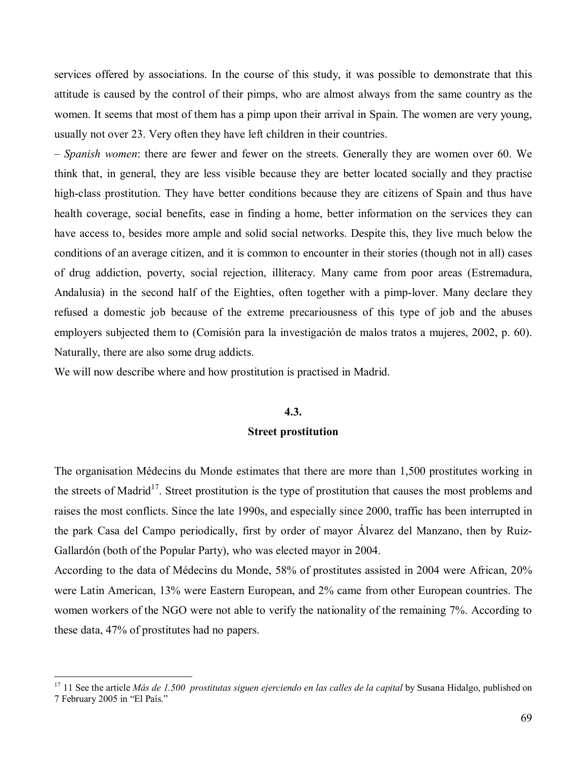services offered by associations. In the course of this study, it was possible to demonstrate that this attitude is caused by the control of their pimps, who are almost always from the same country as the women. It seems that most of them has a pimp upon their arrival in Spain. The women are very young, usually not over 23. Very often they have left children in their countries.

ñ *Spanish women*: there are fewer and fewer on the streets. Generally they are women over 60. We think that, in general, they are less visible because they are better located socially and they practise high-class prostitution. They have better conditions because they are citizens of Spain and thus have health coverage, social benefits, ease in finding a home, better information on the services they can have access to, besides more ample and solid social networks. Despite this, they live much below the conditions of an average citizen, and it is common to encounter in their stories (though not in all) cases of drug addiction, poverty, social rejection, illiteracy. Many came from poor areas (Estremadura, Andalusia) in the second half of the Eighties, often together with a pimp-lover. Many declare they refused a domestic job because of the extreme precariousness of this type of job and the abuses employers subjected them to (Comisión para la investigación de malos tratos a mujeres, 2002, p. 60). Naturally, there are also some drug addicts.

We will now describe where and how prostitution is practised in Madrid.

 $\overline{a}$ 

#### **4.3.**

# **Street prostitution**

The organisation MÈdecins du Monde estimates that there are more than 1,500 prostitutes working in the streets of Madrid<sup>17</sup>. Street prostitution is the type of prostitution that causes the most problems and raises the most conflicts. Since the late 1990s, and especially since 2000, traffic has been interrupted in the park Casa del Campo periodically, first by order of mayor Alvarez del Manzano, then by Ruiz-Gallardón (both of the Popular Party), who was elected mayor in 2004.

According to the data of MÈdecins du Monde, 58% of prostitutes assisted in 2004 were African, 20% were Latin American, 13% were Eastern European, and 2% came from other European countries. The women workers of the NGO were not able to verify the nationality of the remaining 7%. According to these data, 47% of prostitutes had no papers.

<sup>&</sup>lt;sup>17</sup> 11 See the article *Más de 1.500 prostitutas siguen ejerciendo en las calles de la capital* by Susana Hidalgo, published on 7 February 2005 in "El País."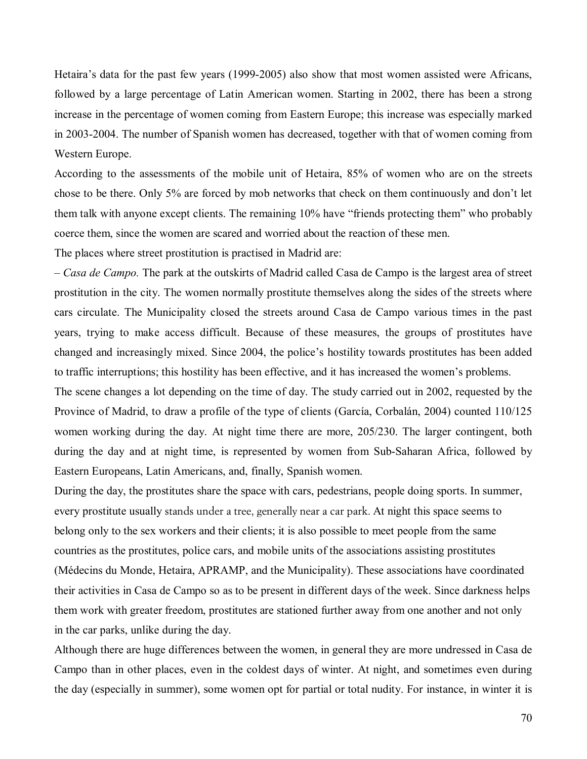Hetaira's data for the past few years (1999-2005) also show that most women assisted were Africans, followed by a large percentage of Latin American women. Starting in 2002, there has been a strong increase in the percentage of women coming from Eastern Europe; this increase was especially marked in 2003-2004. The number of Spanish women has decreased, together with that of women coming from Western Europe.

According to the assessments of the mobile unit of Hetaira, 85% of women who are on the streets chose to be there. Only 5% are forced by mob networks that check on them continuously and don't let them talk with anyone except clients. The remaining 10% have "friends protecting them" who probably coerce them, since the women are scared and worried about the reaction of these men.

The places where street prostitution is practised in Madrid are:

ñ *Casa de Campo.* The park at the outskirts of Madrid called Casa de Campo is the largest area of street prostitution in the city. The women normally prostitute themselves along the sides of the streets where cars circulate. The Municipality closed the streets around Casa de Campo various times in the past years, trying to make access difficult. Because of these measures, the groups of prostitutes have changed and increasingly mixed. Since 2004, the police's hostility towards prostitutes has been added to traffic interruptions; this hostility has been effective, and it has increased the women's problems.

The scene changes a lot depending on the time of day. The study carried out in 2002, requested by the Province of Madrid, to draw a profile of the type of clients (García, Corbalán, 2004) counted 110/125 women working during the day. At night time there are more, 205/230. The larger contingent, both during the day and at night time, is represented by women from Sub-Saharan Africa, followed by Eastern Europeans, Latin Americans, and, finally, Spanish women.

During the day, the prostitutes share the space with cars, pedestrians, people doing sports. In summer, every prostitute usually stands under a tree, generally near a car park. At night this space seems to belong only to the sex workers and their clients; it is also possible to meet people from the same countries as the prostitutes, police cars, and mobile units of the associations assisting prostitutes (MÈdecins du Monde, Hetaira, APRAMP, and the Municipality). These associations have coordinated their activities in Casa de Campo so as to be present in different days of the week. Since darkness helps them work with greater freedom, prostitutes are stationed further away from one another and not only in the car parks, unlike during the day.

Although there are huge differences between the women, in general they are more undressed in Casa de Campo than in other places, even in the coldest days of winter. At night, and sometimes even during the day (especially in summer), some women opt for partial or total nudity. For instance, in winter it is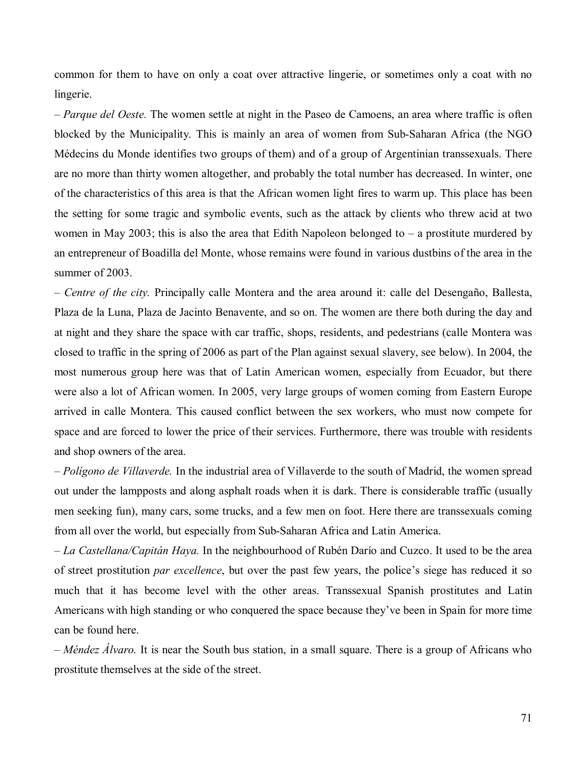common for them to have on only a coat over attractive lingerie, or sometimes only a coat with no lingerie.

*– Parque del Oeste.* The women settle at night in the Paseo de Camoens, an area where traffic is often blocked by the Municipality. This is mainly an area of women from Sub-Saharan Africa (the NGO MÈdecins du Monde identifies two groups of them) and of a group of Argentinian transsexuals. There are no more than thirty women altogether, and probably the total number has decreased. In winter, one of the characteristics of this area is that the African women light fires to warm up. This place has been the setting for some tragic and symbolic events, such as the attack by clients who threw acid at two women in May 2003; this is also the area that Edith Napoleon belonged to  $-$  a prostitute murdered by an entrepreneur of Boadilla del Monte, whose remains were found in various dustbins of the area in the summer of 2003.

– Centre of the city. Principally calle Montera and the area around it: calle del Desengaño, Ballesta, Plaza de la Luna, Plaza de Jacinto Benavente, and so on. The women are there both during the day and at night and they share the space with car traffic, shops, residents, and pedestrians (calle Montera was closed to traffic in the spring of 2006 as part of the Plan against sexual slavery, see below). In 2004, the most numerous group here was that of Latin American women, especially from Ecuador, but there were also a lot of African women. In 2005, very large groups of women coming from Eastern Europe arrived in calle Montera. This caused conflict between the sex workers, who must now compete for space and are forced to lower the price of their services. Furthermore, there was trouble with residents and shop owners of the area.

ñ *PolÌgono de Villaverde.* In the industrial area of Villaverde to the south of Madrid, the women spread out under the lampposts and along asphalt roads when it is dark. There is considerable traffic (usually men seeking fun), many cars, some trucks, and a few men on foot. Here there are transsexuals coming from all over the world, but especially from Sub-Saharan Africa and Latin America.

- La Castellana/Capitán Haya. In the neighbourhood of Rubén Darío and Cuzco. It used to be the area of street prostitution *par excellence*, but over the past few years, the police's siege has reduced it so much that it has become level with the other areas. Transsexual Spanish prostitutes and Latin Americans with high standing or who conquered the space because they've been in Spain for more time can be found here.

ñ *MÈndez £lvaro.* It is near the South bus station, in a small square. There is a group of Africans who prostitute themselves at the side of the street.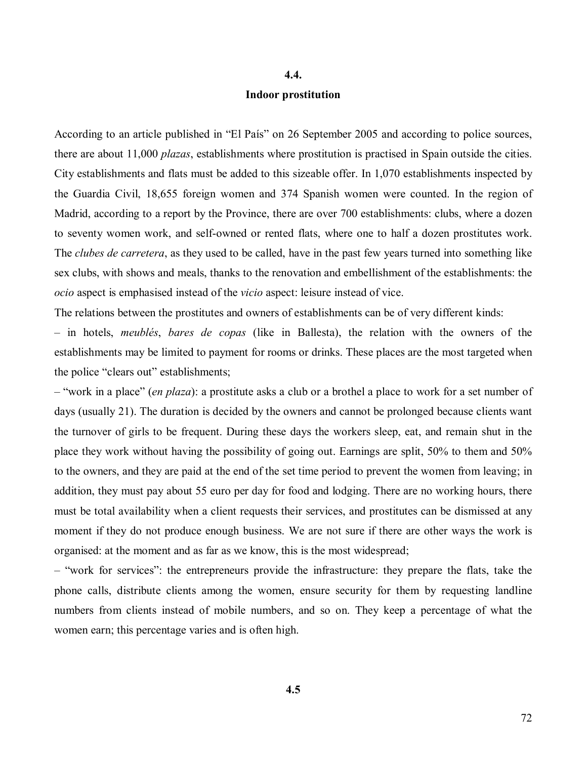#### **4.4.**

### **Indoor prostitution**

According to an article published in "El País" on 26 September 2005 and according to police sources, there are about 11,000 *plazas*, establishments where prostitution is practised in Spain outside the cities. City establishments and flats must be added to this sizeable offer. In 1,070 establishments inspected by the Guardia Civil, 18,655 foreign women and 374 Spanish women were counted. In the region of Madrid, according to a report by the Province, there are over 700 establishments: clubs, where a dozen to seventy women work, and self-owned or rented flats, where one to half a dozen prostitutes work. The *clubes de carretera*, as they used to be called, have in the past few years turned into something like sex clubs, with shows and meals, thanks to the renovation and embellishment of the establishments: the *ocio* aspect is emphasised instead of the *vicio* aspect: leisure instead of vice.

The relations between the prostitutes and owners of establishments can be of very different kinds:

ñ in hotels, *meublÈs*, *bares de copas* (like in Ballesta), the relation with the owners of the establishments may be limited to payment for rooms or drinks. These places are the most targeted when the police "clears out" establishments;

– "work in a place" *(en plaza)*: a prostitute asks a club or a brothel a place to work for a set number of days (usually 21). The duration is decided by the owners and cannot be prolonged because clients want the turnover of girls to be frequent. During these days the workers sleep, eat, and remain shut in the place they work without having the possibility of going out. Earnings are split, 50% to them and 50% to the owners, and they are paid at the end of the set time period to prevent the women from leaving; in addition, they must pay about 55 euro per day for food and lodging. There are no working hours, there must be total availability when a client requests their services, and prostitutes can be dismissed at any moment if they do not produce enough business. We are not sure if there are other ways the work is organised: at the moment and as far as we know, this is the most widespread;

- "work for services": the entrepreneurs provide the infrastructure: they prepare the flats, take the phone calls, distribute clients among the women, ensure security for them by requesting landline numbers from clients instead of mobile numbers, and so on. They keep a percentage of what the women earn; this percentage varies and is often high.

**4.5**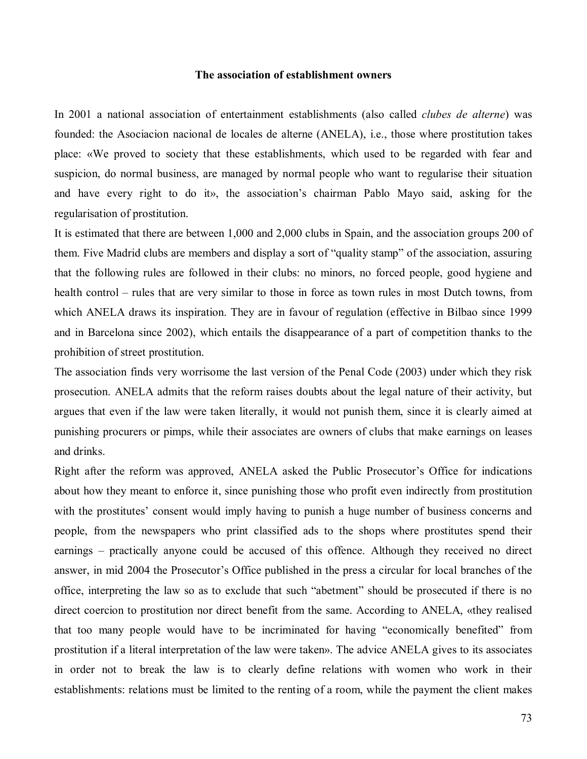#### **The association of establishment owners**

In 2001 a national association of entertainment establishments (also called *clubes de alterne*) was founded: the Asociacion nacional de locales de alterne (ANELA), i.e., those where prostitution takes place: «We proved to society that these establishments, which used to be regarded with fear and suspicion, do normal business, are managed by normal people who want to regularise their situation and have every right to do it», the association's chairman Pablo Mayo said, asking for the regularisation of prostitution.

It is estimated that there are between 1,000 and 2,000 clubs in Spain, and the association groups 200 of them. Five Madrid clubs are members and display a sort of "quality stamp" of the association, assuring that the following rules are followed in their clubs: no minors, no forced people, good hygiene and health control – rules that are very similar to those in force as town rules in most Dutch towns, from which ANELA draws its inspiration. They are in favour of regulation (effective in Bilbao since 1999 and in Barcelona since 2002), which entails the disappearance of a part of competition thanks to the prohibition of street prostitution.

The association finds very worrisome the last version of the Penal Code (2003) under which they risk prosecution. ANELA admits that the reform raises doubts about the legal nature of their activity, but argues that even if the law were taken literally, it would not punish them, since it is clearly aimed at punishing procurers or pimps, while their associates are owners of clubs that make earnings on leases and drinks.

Right after the reform was approved, ANELA asked the Public Prosecutor's Office for indications about how they meant to enforce it, since punishing those who profit even indirectly from prostitution with the prostitutes' consent would imply having to punish a huge number of business concerns and people, from the newspapers who print classified ads to the shops where prostitutes spend their earnings – practically anyone could be accused of this offence. Although they received no direct answer, in mid 2004 the Prosecutor's Office published in the press a circular for local branches of the office, interpreting the law so as to exclude that such "abetment" should be prosecuted if there is no direct coercion to prostitution nor direct benefit from the same. According to ANELA, «they realised that too many people would have to be incriminated for having "economically benefited" from prostitution if a literal interpretation of the law were taken». The advice ANELA gives to its associates in order not to break the law is to clearly define relations with women who work in their establishments: relations must be limited to the renting of a room, while the payment the client makes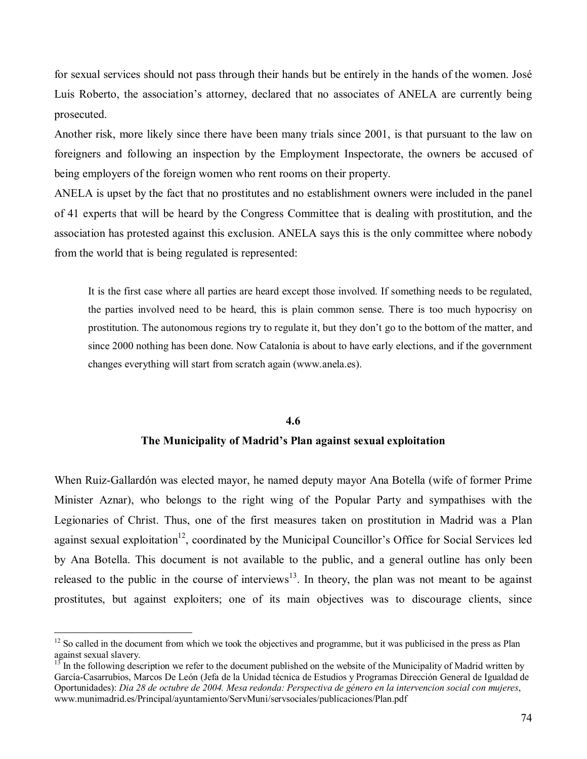for sexual services should not pass through their hands but be entirely in the hands of the women. José Luis Roberto, the association's attorney, declared that no associates of ANELA are currently being prosecuted.

Another risk, more likely since there have been many trials since 2001, is that pursuant to the law on foreigners and following an inspection by the Employment Inspectorate, the owners be accused of being employers of the foreign women who rent rooms on their property.

ANELA is upset by the fact that no prostitutes and no establishment owners were included in the panel of 41 experts that will be heard by the Congress Committee that is dealing with prostitution, and the association has protested against this exclusion. ANELA says this is the only committee where nobody from the world that is being regulated is represented:

It is the first case where all parties are heard except those involved. If something needs to be regulated, the parties involved need to be heard, this is plain common sense. There is too much hypocrisy on prostitution. The autonomous regions try to regulate it, but they don't go to the bottom of the matter, and since 2000 nothing has been done. Now Catalonia is about to have early elections, and if the government changes everything will start from scratch again (www.anela.es).

# **4.6 The Municipality of Madrid's Plan against sexual exploitation**

When Ruiz-Gallardón was elected mayor, he named deputy mayor Ana Botella (wife of former Prime Minister Aznar), who belongs to the right wing of the Popular Party and sympathises with the Legionaries of Christ. Thus, one of the first measures taken on prostitution in Madrid was a Plan against sexual exploitation<sup>12</sup>, coordinated by the Municipal Councillor's Office for Social Services led by Ana Botella. This document is not available to the public, and a general outline has only been released to the public in the course of interviews<sup>13</sup>. In theory, the plan was not meant to be against prostitutes, but against exploiters; one of its main objectives was to discourage clients, since

 $12$  So called in the document from which we took the objectives and programme, but it was publicised in the press as Plan against sexual slavery.

 $13<sup>13</sup>$  In the following description we refer to the document published on the website of the Municipality of Madrid written by García-Casarrubios, Marcos De León (Jefa de la Unidad técnica de Estudios y Programas Dirección General de Igualdad de Oportunidades): *Dia 28 de octubre de 2004. Mesa redonda: Perspectiva de gÈnero en la intervencion social con mujeres*, www.munimadrid.es/Principal/ayuntamiento/ServMuni/servsociales/publicaciones/Plan.pdf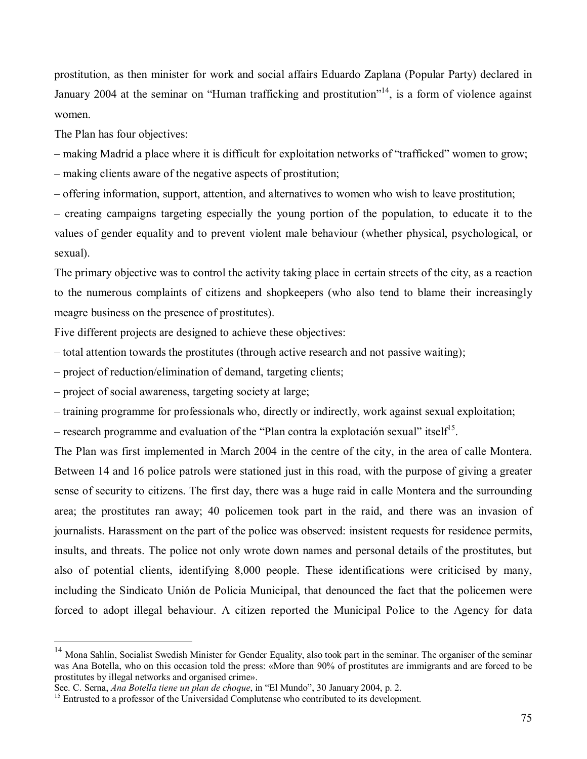prostitution, as then minister for work and social affairs Eduardo Zaplana (Popular Party) declared in January 2004 at the seminar on "Human trafficking and prostitution"<sup>14</sup>, is a form of violence against women.

The Plan has four objectives:

 $\overline{a}$ 

– making Madrid a place where it is difficult for exploitation networks of "trafficked" women to grow;

– making clients aware of the negative aspects of prostitution;

ñ offering information, support, attention, and alternatives to women who wish to leave prostitution;

– creating campaigns targeting especially the young portion of the population, to educate it to the values of gender equality and to prevent violent male behaviour (whether physical, psychological, or sexual).

The primary objective was to control the activity taking place in certain streets of the city, as a reaction to the numerous complaints of citizens and shopkeepers (who also tend to blame their increasingly meagre business on the presence of prostitutes).

Five different projects are designed to achieve these objectives:

*n*  $\alpha$  *n* total attention towards the prostitutes (through active research and not passive waiting);

*n* – project of reduction/elimination of demand, targeting clients;

*n* <u>project</u> of social awareness, targeting society at large;

*ñ* training programme for professionals who, directly or indirectly, work against sexual exploitation;

 $\sim$  research programme and evaluation of the "Plan contra la explotación sexual" itself<sup>15</sup>.

The Plan was first implemented in March 2004 in the centre of the city, in the area of calle Montera. Between 14 and 16 police patrols were stationed just in this road, with the purpose of giving a greater sense of security to citizens. The first day, there was a huge raid in calle Montera and the surrounding area; the prostitutes ran away; 40 policemen took part in the raid, and there was an invasion of journalists. Harassment on the part of the police was observed: insistent requests for residence permits, insults, and threats. The police not only wrote down names and personal details of the prostitutes, but also of potential clients, identifying 8,000 people. These identifications were criticised by many, including the Sindicato Unión de Policia Municipal, that denounced the fact that the policemen were forced to adopt illegal behaviour. A citizen reported the Municipal Police to the Agency for data

<sup>&</sup>lt;sup>14</sup> Mona Sahlin, Socialist Swedish Minister for Gender Equality, also took part in the seminar. The organiser of the seminar was Ana Botella, who on this occasion told the press: «More than 90% of prostitutes are immigrants and are forced to be prostitutes by illegal networks and organised crime».<br>See, C. Serna, *Ana Botella tiene un plan de choque*, in "El Mundo", 30 January 2004, p. 2.

<sup>&</sup>lt;sup>15</sup> Entrusted to a professor of the Universidad Complutense who contributed to its development.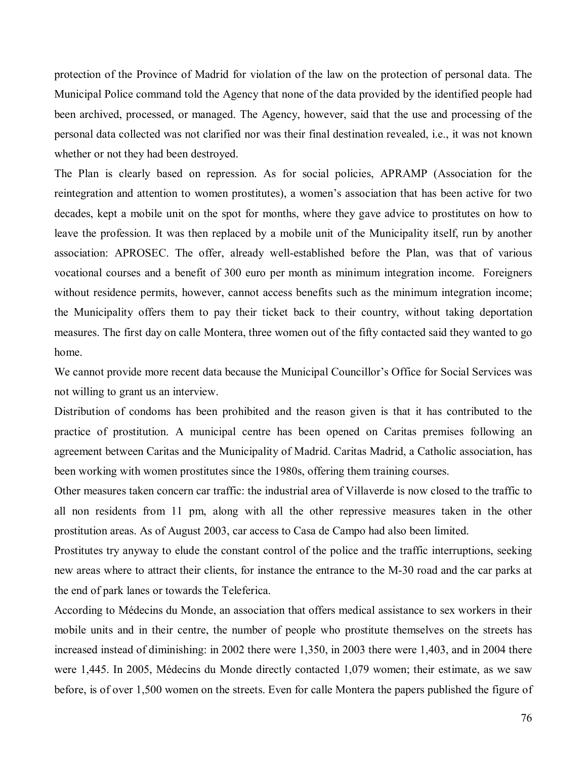protection of the Province of Madrid for violation of the law on the protection of personal data. The Municipal Police command told the Agency that none of the data provided by the identified people had been archived, processed, or managed. The Agency, however, said that the use and processing of the personal data collected was not clarified nor was their final destination revealed, i.e., it was not known whether or not they had been destroyed.

The Plan is clearly based on repression. As for social policies, APRAMP (Association for the reintegration and attention to women prostitutes), a women's association that has been active for two decades, kept a mobile unit on the spot for months, where they gave advice to prostitutes on how to leave the profession. It was then replaced by a mobile unit of the Municipality itself, run by another association: APROSEC. The offer, already well-established before the Plan, was that of various vocational courses and a benefit of 300 euro per month as minimum integration income. Foreigners without residence permits, however, cannot access benefits such as the minimum integration income; the Municipality offers them to pay their ticket back to their country, without taking deportation measures. The first day on calle Montera, three women out of the fifty contacted said they wanted to go home.

We cannot provide more recent data because the Municipal Councillor's Office for Social Services was not willing to grant us an interview.

Distribution of condoms has been prohibited and the reason given is that it has contributed to the practice of prostitution. A municipal centre has been opened on Caritas premises following an agreement between Caritas and the Municipality of Madrid. Caritas Madrid, a Catholic association, has been working with women prostitutes since the 1980s, offering them training courses.

Other measures taken concern car traffic: the industrial area of Villaverde is now closed to the traffic to all non residents from 11 pm, along with all the other repressive measures taken in the other prostitution areas. As of August 2003, car access to Casa de Campo had also been limited.

Prostitutes try anyway to elude the constant control of the police and the traffic interruptions, seeking new areas where to attract their clients, for instance the entrance to the M-30 road and the car parks at the end of park lanes or towards the Teleferica.

According to MÈdecins du Monde, an association that offers medical assistance to sex workers in their mobile units and in their centre, the number of people who prostitute themselves on the streets has increased instead of diminishing: in 2002 there were 1,350, in 2003 there were 1,403, and in 2004 there were 1,445. In 2005, MÈdecins du Monde directly contacted 1,079 women; their estimate, as we saw before, is of over 1,500 women on the streets. Even for calle Montera the papers published the figure of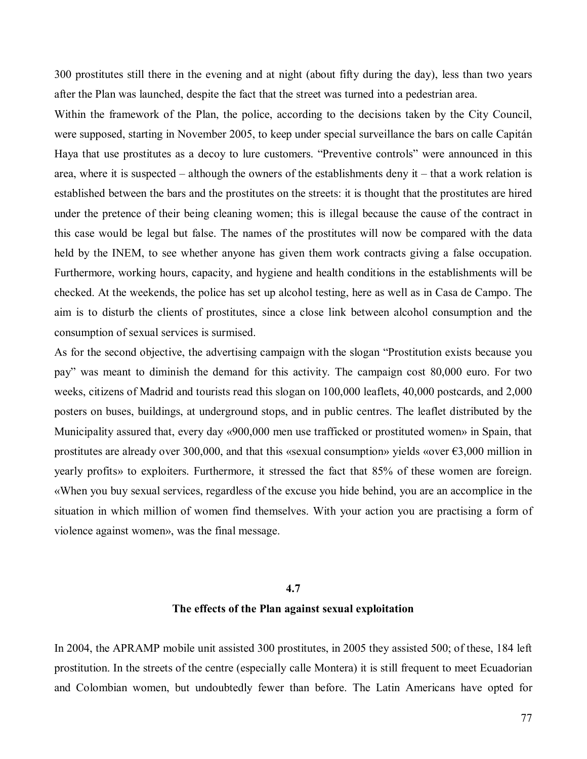300 prostitutes still there in the evening and at night (about fifty during the day), less than two years after the Plan was launched, despite the fact that the street was turned into a pedestrian area.

Within the framework of the Plan, the police, according to the decisions taken by the City Council, were supposed, starting in November 2005, to keep under special surveillance the bars on calle Capitán Haya that use prostitutes as a decoy to lure customers. "Preventive controls" were announced in this area, where it is suspected  $-$  although the owners of the establishments deny it  $-$  that a work relation is established between the bars and the prostitutes on the streets: it is thought that the prostitutes are hired under the pretence of their being cleaning women; this is illegal because the cause of the contract in this case would be legal but false. The names of the prostitutes will now be compared with the data held by the INEM, to see whether anyone has given them work contracts giving a false occupation. Furthermore, working hours, capacity, and hygiene and health conditions in the establishments will be checked. At the weekends, the police has set up alcohol testing, here as well as in Casa de Campo. The aim is to disturb the clients of prostitutes, since a close link between alcohol consumption and the consumption of sexual services is surmised.

As for the second objective, the advertising campaign with the slogan "Prostitution exists because you payî was meant to diminish the demand for this activity. The campaign cost 80,000 euro. For two weeks, citizens of Madrid and tourists read this slogan on 100,000 leaflets, 40,000 postcards, and 2,000 posters on buses, buildings, at underground stops, and in public centres. The leaflet distributed by the Municipality assured that, every day  $\alpha$ 900,000 men use trafficked or prostituted women» in Spain, that prostitutes are already over 300,000, and that this «sexual consumption» yields «over  $\epsilon$ 3,000 million in yearly profits» to exploiters. Furthermore, it stressed the fact that 85% of these women are foreign. ´When you buy sexual services, regardless of the excuse you hide behind, you are an accomplice in the situation in which million of women find themselves. With your action you are practising a form of violence against women», was the final message.

# **4.7 The effects of the Plan against sexual exploitation**

In 2004, the APRAMP mobile unit assisted 300 prostitutes, in 2005 they assisted 500; of these, 184 left prostitution. In the streets of the centre (especially calle Montera) it is still frequent to meet Ecuadorian and Colombian women, but undoubtedly fewer than before. The Latin Americans have opted for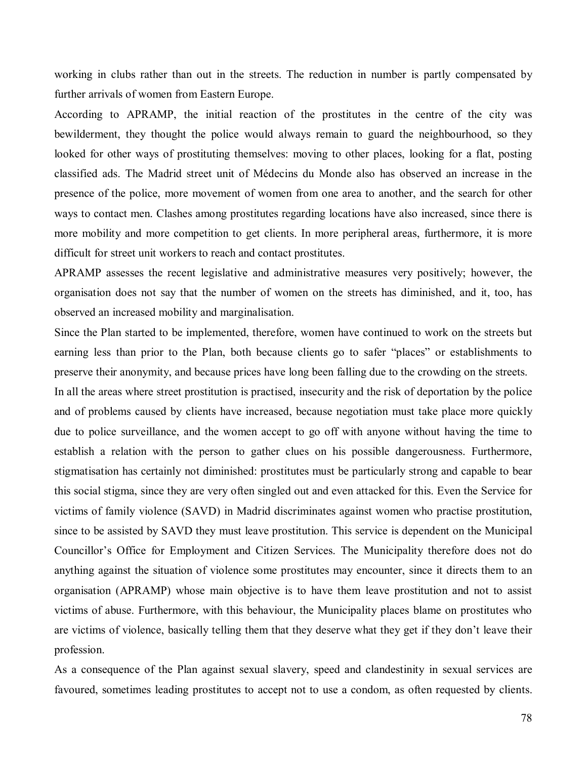working in clubs rather than out in the streets. The reduction in number is partly compensated by further arrivals of women from Eastern Europe.

According to APRAMP, the initial reaction of the prostitutes in the centre of the city was bewilderment, they thought the police would always remain to guard the neighbourhood, so they looked for other ways of prostituting themselves: moving to other places, looking for a flat, posting classified ads. The Madrid street unit of MÈdecins du Monde also has observed an increase in the presence of the police, more movement of women from one area to another, and the search for other ways to contact men. Clashes among prostitutes regarding locations have also increased, since there is more mobility and more competition to get clients. In more peripheral areas, furthermore, it is more difficult for street unit workers to reach and contact prostitutes.

APRAMP assesses the recent legislative and administrative measures very positively; however, the organisation does not say that the number of women on the streets has diminished, and it, too, has observed an increased mobility and marginalisation.

Since the Plan started to be implemented, therefore, women have continued to work on the streets but earning less than prior to the Plan, both because clients go to safer "places" or establishments to preserve their anonymity, and because prices have long been falling due to the crowding on the streets.

In all the areas where street prostitution is practised, insecurity and the risk of deportation by the police and of problems caused by clients have increased, because negotiation must take place more quickly due to police surveillance, and the women accept to go off with anyone without having the time to establish a relation with the person to gather clues on his possible dangerousness. Furthermore, stigmatisation has certainly not diminished: prostitutes must be particularly strong and capable to bear this social stigma, since they are very often singled out and even attacked for this. Even the Service for victims of family violence (SAVD) in Madrid discriminates against women who practise prostitution, since to be assisted by SAVD they must leave prostitution. This service is dependent on the Municipal Councillor's Office for Employment and Citizen Services. The Municipality therefore does not do anything against the situation of violence some prostitutes may encounter, since it directs them to an organisation (APRAMP) whose main objective is to have them leave prostitution and not to assist victims of abuse. Furthermore, with this behaviour, the Municipality places blame on prostitutes who are victims of violence, basically telling them that they deserve what they get if they don't leave their profession.

As a consequence of the Plan against sexual slavery, speed and clandestinity in sexual services are favoured, sometimes leading prostitutes to accept not to use a condom, as often requested by clients.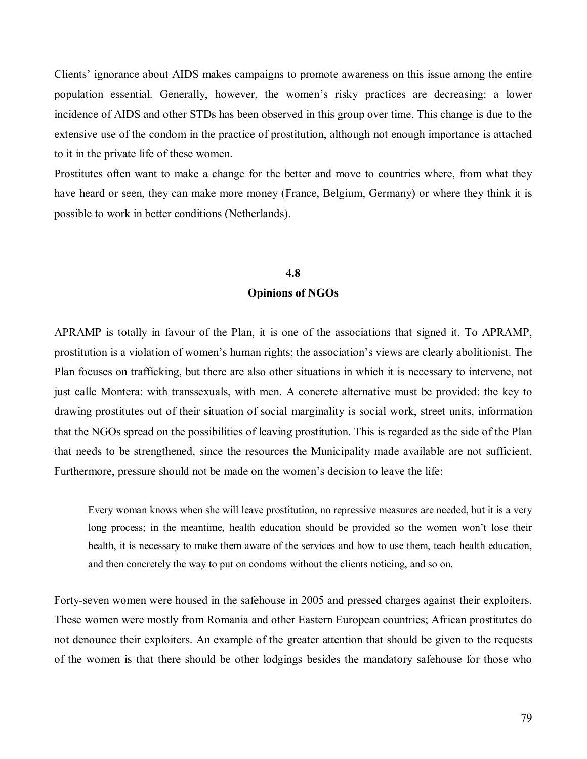Clients' ignorance about AIDS makes campaigns to promote awareness on this issue among the entire population essential. Generally, however, the women's risky practices are decreasing: a lower incidence of AIDS and other STDs has been observed in this group over time. This change is due to the extensive use of the condom in the practice of prostitution, although not enough importance is attached to it in the private life of these women.

Prostitutes often want to make a change for the better and move to countries where, from what they have heard or seen, they can make more money (France, Belgium, Germany) or where they think it is possible to work in better conditions (Netherlands).

#### **4.8**

#### **Opinions of NGOs**

APRAMP is totally in favour of the Plan, it is one of the associations that signed it. To APRAMP, prostitution is a violation of womenís human rights; the associationís views are clearly abolitionist. The Plan focuses on trafficking, but there are also other situations in which it is necessary to intervene, not just calle Montera: with transsexuals, with men. A concrete alternative must be provided: the key to drawing prostitutes out of their situation of social marginality is social work, street units, information that the NGOs spread on the possibilities of leaving prostitution. This is regarded as the side of the Plan that needs to be strengthened, since the resources the Municipality made available are not sufficient. Furthermore, pressure should not be made on the women's decision to leave the life:

Every woman knows when she will leave prostitution, no repressive measures are needed, but it is a very long process; in the meantime, health education should be provided so the women won't lose their health, it is necessary to make them aware of the services and how to use them, teach health education, and then concretely the way to put on condoms without the clients noticing, and so on.

Forty-seven women were housed in the safehouse in 2005 and pressed charges against their exploiters. These women were mostly from Romania and other Eastern European countries; African prostitutes do not denounce their exploiters. An example of the greater attention that should be given to the requests of the women is that there should be other lodgings besides the mandatory safehouse for those who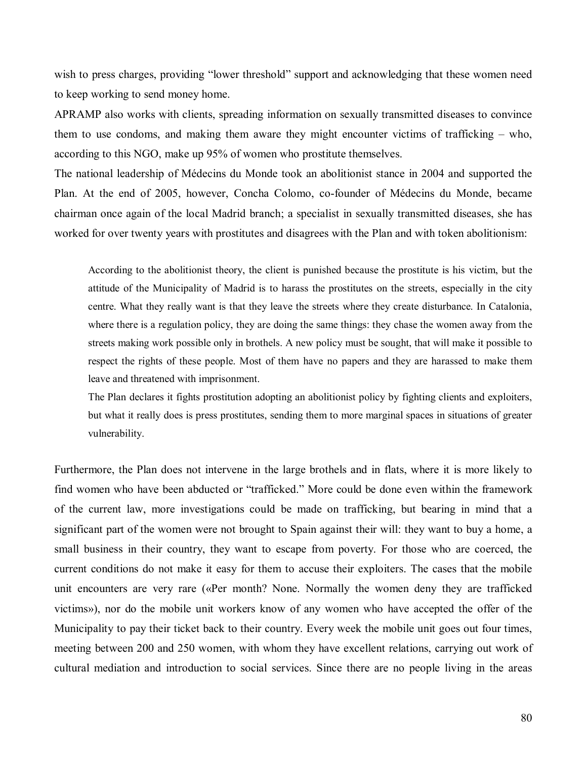wish to press charges, providing "lower threshold" support and acknowledging that these women need to keep working to send money home.

APRAMP also works with clients, spreading information on sexually transmitted diseases to convince them to use condoms, and making them aware they might encounter victims of trafficking  $-$  who, according to this NGO, make up 95% of women who prostitute themselves.

The national leadership of MÈdecins du Monde took an abolitionist stance in 2004 and supported the Plan. At the end of 2005, however, Concha Colomo, co-founder of MÈdecins du Monde, became chairman once again of the local Madrid branch; a specialist in sexually transmitted diseases, she has worked for over twenty years with prostitutes and disagrees with the Plan and with token abolitionism:

According to the abolitionist theory, the client is punished because the prostitute is his victim, but the attitude of the Municipality of Madrid is to harass the prostitutes on the streets, especially in the city centre. What they really want is that they leave the streets where they create disturbance. In Catalonia, where there is a regulation policy, they are doing the same things: they chase the women away from the streets making work possible only in brothels. A new policy must be sought, that will make it possible to respect the rights of these people. Most of them have no papers and they are harassed to make them leave and threatened with imprisonment.

The Plan declares it fights prostitution adopting an abolitionist policy by fighting clients and exploiters, but what it really does is press prostitutes, sending them to more marginal spaces in situations of greater vulnerability.

Furthermore, the Plan does not intervene in the large brothels and in flats, where it is more likely to find women who have been abducted or "trafficked." More could be done even within the framework of the current law, more investigations could be made on trafficking, but bearing in mind that a significant part of the women were not brought to Spain against their will: they want to buy a home, a small business in their country, they want to escape from poverty. For those who are coerced, the current conditions do not make it easy for them to accuse their exploiters. The cases that the mobile unit encounters are very rare («Per month? None. Normally the women deny they are trafficked victims»), nor do the mobile unit workers know of any women who have accepted the offer of the Municipality to pay their ticket back to their country. Every week the mobile unit goes out four times, meeting between 200 and 250 women, with whom they have excellent relations, carrying out work of cultural mediation and introduction to social services. Since there are no people living in the areas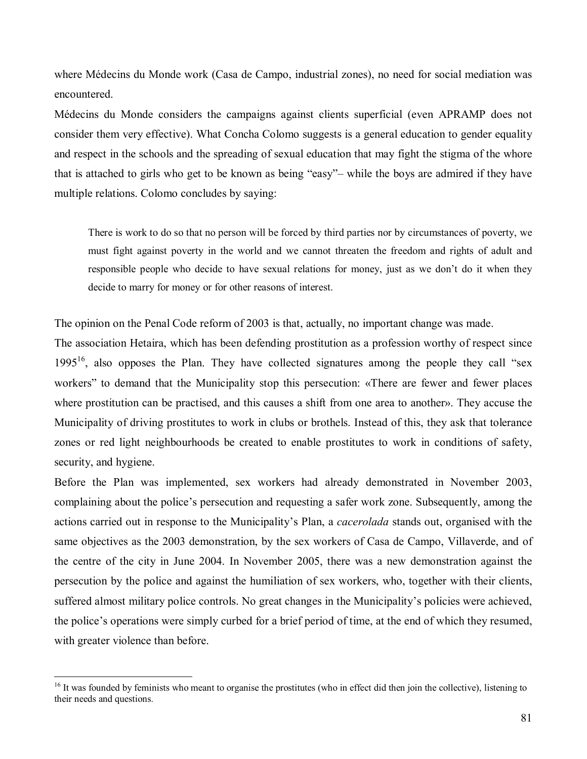where MÈdecins du Monde work (Casa de Campo, industrial zones), no need for social mediation was encountered.

MÈdecins du Monde considers the campaigns against clients superficial (even APRAMP does not consider them very effective). What Concha Colomo suggests is a general education to gender equality and respect in the schools and the spreading of sexual education that may fight the stigma of the whore that is attached to girls who get to be known as being "easy"- while the boys are admired if they have multiple relations. Colomo concludes by saying:

There is work to do so that no person will be forced by third parties nor by circumstances of poverty, we must fight against poverty in the world and we cannot threaten the freedom and rights of adult and responsible people who decide to have sexual relations for money, just as we don't do it when they decide to marry for money or for other reasons of interest.

The opinion on the Penal Code reform of 2003 is that, actually, no important change was made.

The association Hetaira, which has been defending prostitution as a profession worthy of respect since 1995<sup>16</sup>, also opposes the Plan. They have collected signatures among the people they call "sex workers" to demand that the Municipality stop this persecution: «There are fewer and fewer places where prostitution can be practised, and this causes a shift from one area to another». They accuse the Municipality of driving prostitutes to work in clubs or brothels. Instead of this, they ask that tolerance zones or red light neighbourhoods be created to enable prostitutes to work in conditions of safety, security, and hygiene.

Before the Plan was implemented, sex workers had already demonstrated in November 2003, complaining about the police's persecution and requesting a safer work zone. Subsequently, among the actions carried out in response to the Municipality's Plan, a *cacerolada* stands out, organised with the same objectives as the 2003 demonstration, by the sex workers of Casa de Campo, Villaverde, and of the centre of the city in June 2004. In November 2005, there was a new demonstration against the persecution by the police and against the humiliation of sex workers, who, together with their clients, suffered almost military police controls. No great changes in the Municipality's policies were achieved, the police's operations were simply curbed for a brief period of time, at the end of which they resumed, with greater violence than before.

<sup>&</sup>lt;sup>16</sup> It was founded by feminists who meant to organise the prostitutes (who in effect did then join the collective), listening to their needs and questions.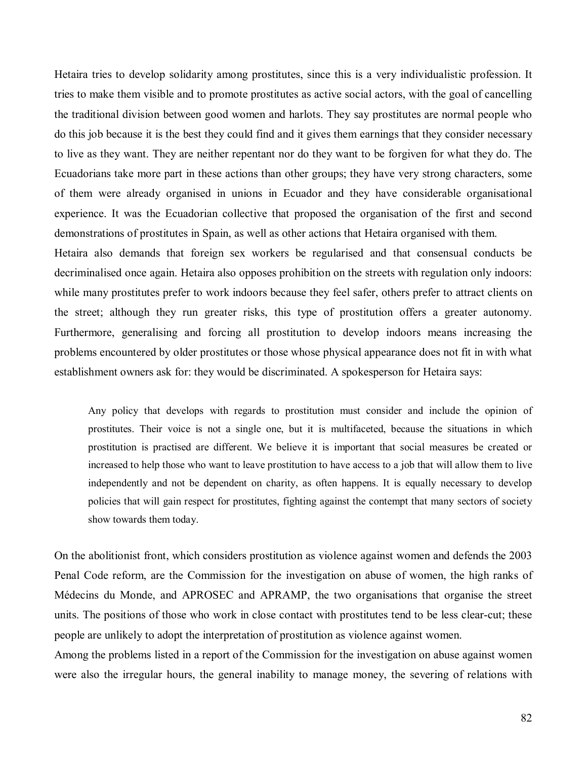Hetaira tries to develop solidarity among prostitutes, since this is a very individualistic profession. It tries to make them visible and to promote prostitutes as active social actors, with the goal of cancelling the traditional division between good women and harlots. They say prostitutes are normal people who do this job because it is the best they could find and it gives them earnings that they consider necessary to live as they want. They are neither repentant nor do they want to be forgiven for what they do. The Ecuadorians take more part in these actions than other groups; they have very strong characters, some of them were already organised in unions in Ecuador and they have considerable organisational experience. It was the Ecuadorian collective that proposed the organisation of the first and second demonstrations of prostitutes in Spain, as well as other actions that Hetaira organised with them.

Hetaira also demands that foreign sex workers be regularised and that consensual conducts be decriminalised once again. Hetaira also opposes prohibition on the streets with regulation only indoors: while many prostitutes prefer to work indoors because they feel safer, others prefer to attract clients on the street; although they run greater risks, this type of prostitution offers a greater autonomy. Furthermore, generalising and forcing all prostitution to develop indoors means increasing the problems encountered by older prostitutes or those whose physical appearance does not fit in with what establishment owners ask for: they would be discriminated. A spokesperson for Hetaira says:

Any policy that develops with regards to prostitution must consider and include the opinion of prostitutes. Their voice is not a single one, but it is multifaceted, because the situations in which prostitution is practised are different. We believe it is important that social measures be created or increased to help those who want to leave prostitution to have access to a job that will allow them to live independently and not be dependent on charity, as often happens. It is equally necessary to develop policies that will gain respect for prostitutes, fighting against the contempt that many sectors of society show towards them today.

On the abolitionist front, which considers prostitution as violence against women and defends the 2003 Penal Code reform, are the Commission for the investigation on abuse of women, the high ranks of MÈdecins du Monde, and APROSEC and APRAMP, the two organisations that organise the street units. The positions of those who work in close contact with prostitutes tend to be less clear-cut; these people are unlikely to adopt the interpretation of prostitution as violence against women.

Among the problems listed in a report of the Commission for the investigation on abuse against women were also the irregular hours, the general inability to manage money, the severing of relations with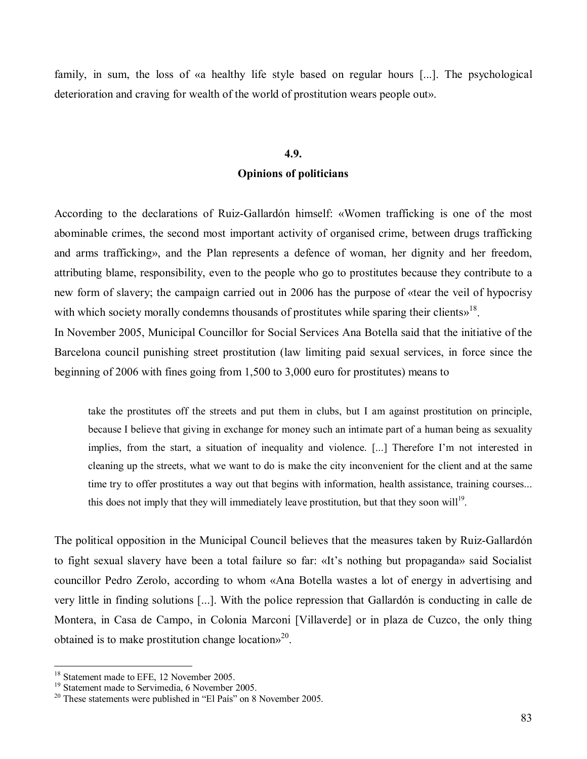family, in sum, the loss of «a healthy life style based on regular hours [...]. The psychological deterioration and craving for wealth of the world of prostitution wears people out».

# **4.9. Opinions of politicians**

According to the declarations of Ruiz-Gallardon himself: «Women trafficking is one of the most abominable crimes, the second most important activity of organised crime, between drugs trafficking and arms trafficking», and the Plan represents a defence of woman, her dignity and her freedom, attributing blame, responsibility, even to the people who go to prostitutes because they contribute to a new form of slavery; the campaign carried out in 2006 has the purpose of «tear the veil of hypocrisy with which society morally condemns thousands of prostitutes while sparing their clients $v^{18}$ .

In November 2005, Municipal Councillor for Social Services Ana Botella said that the initiative of the Barcelona council punishing street prostitution (law limiting paid sexual services, in force since the beginning of 2006 with fines going from 1,500 to 3,000 euro for prostitutes) means to

take the prostitutes off the streets and put them in clubs, but I am against prostitution on principle, because I believe that giving in exchange for money such an intimate part of a human being as sexuality implies, from the start, a situation of inequality and violence. [...] Therefore I'm not interested in cleaning up the streets, what we want to do is make the city inconvenient for the client and at the same time try to offer prostitutes a way out that begins with information, health assistance, training courses... this does not imply that they will immediately leave prostitution, but that they soon will<sup>19</sup>.

The political opposition in the Municipal Council believes that the measures taken by Ruiz-Gallardón to fight sexual slavery have been a total failure so far: «It's nothing but propaganda» said Socialist councillor Pedro Zerolo, according to whom «Ana Botella wastes a lot of energy in advertising and very little in finding solutions [...]. With the police repression that Gallardón is conducting in calle de Montera, in Casa de Campo, in Colonia Marconi [Villaverde] or in plaza de Cuzco, the only thing obtained is to make prostitution change locations<sup>20</sup>.

<sup>&</sup>lt;sup>18</sup> Statement made to EFE, 12 November 2005.

<sup>&</sup>lt;sup>19</sup> Statement made to Servimedia, 6 November 2005.

 $20$  These statements were published in "El País" on 8 November 2005.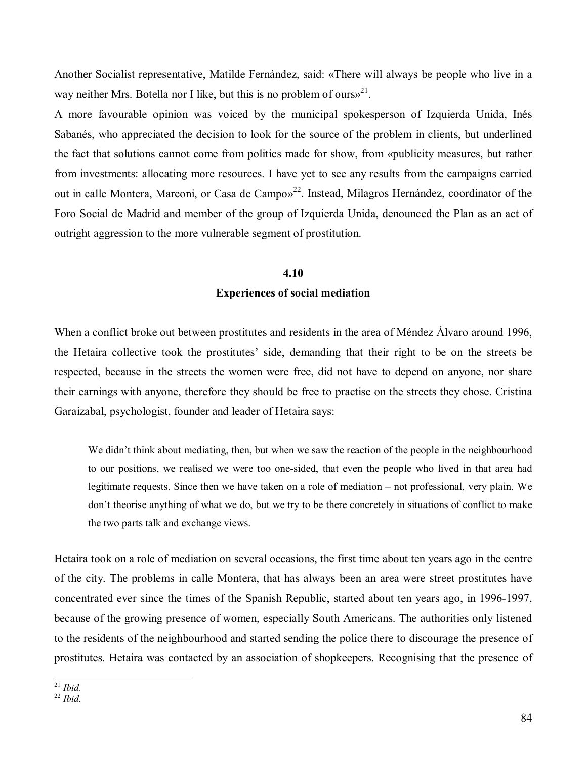Another Socialist representative, Matilde Fernández, said: «There will always be people who live in a way neither Mrs. Botella nor I like, but this is no problem of ours $v^{21}$ .

A more favourable opinion was voiced by the municipal spokesperson of Izquierda Unida, InÈs Sabanés, who appreciated the decision to look for the source of the problem in clients, but underlined the fact that solutions cannot come from politics made for show, from «publicity measures, but rather from investments: allocating more resources. I have yet to see any results from the campaigns carried out in calle Montera, Marconi, or Casa de Campo»<sup>22</sup>. Instead, Milagros Hernández, coordinator of the Foro Social de Madrid and member of the group of Izquierda Unida, denounced the Plan as an act of outright aggression to the more vulnerable segment of prostitution.

#### **4.10**

#### **Experiences of social mediation**

When a conflict broke out between prostitutes and residents in the area of Méndez Álvaro around 1996, the Hetaira collective took the prostitutes' side, demanding that their right to be on the streets be respected, because in the streets the women were free, did not have to depend on anyone, nor share their earnings with anyone, therefore they should be free to practise on the streets they chose. Cristina Garaizabal, psychologist, founder and leader of Hetaira says:

We didn't think about mediating, then, but when we saw the reaction of the people in the neighbourhood to our positions, we realised we were too one-sided, that even the people who lived in that area had legitimate requests. Since then we have taken on a role of mediation – not professional, very plain. We don't theorise anything of what we do, but we try to be there concretely in situations of conflict to make the two parts talk and exchange views.

Hetaira took on a role of mediation on several occasions, the first time about ten years ago in the centre of the city. The problems in calle Montera, that has always been an area were street prostitutes have concentrated ever since the times of the Spanish Republic, started about ten years ago, in 1996-1997, because of the growing presence of women, especially South Americans. The authorities only listened to the residents of the neighbourhood and started sending the police there to discourage the presence of prostitutes. Hetaira was contacted by an association of shopkeepers. Recognising that the presence of

 $^{\mathrm{21}}$  Ibid.

<sup>21</sup> *Ibid.* <sup>22</sup> *Ibid*.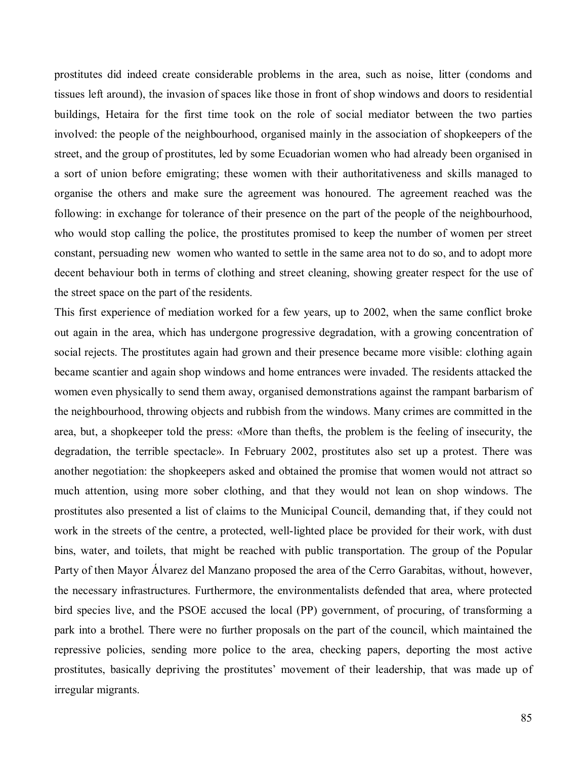prostitutes did indeed create considerable problems in the area, such as noise, litter (condoms and tissues left around), the invasion of spaces like those in front of shop windows and doors to residential buildings, Hetaira for the first time took on the role of social mediator between the two parties involved: the people of the neighbourhood, organised mainly in the association of shopkeepers of the street, and the group of prostitutes, led by some Ecuadorian women who had already been organised in a sort of union before emigrating; these women with their authoritativeness and skills managed to organise the others and make sure the agreement was honoured. The agreement reached was the following: in exchange for tolerance of their presence on the part of the people of the neighbourhood, who would stop calling the police, the prostitutes promised to keep the number of women per street constant, persuading new women who wanted to settle in the same area not to do so, and to adopt more decent behaviour both in terms of clothing and street cleaning, showing greater respect for the use of the street space on the part of the residents.

This first experience of mediation worked for a few years, up to 2002, when the same conflict broke out again in the area, which has undergone progressive degradation, with a growing concentration of social rejects. The prostitutes again had grown and their presence became more visible: clothing again became scantier and again shop windows and home entrances were invaded. The residents attacked the women even physically to send them away, organised demonstrations against the rampant barbarism of the neighbourhood, throwing objects and rubbish from the windows. Many crimes are committed in the area, but, a shopkeeper told the press: «More than thefts, the problem is the feeling of insecurity, the degradation, the terrible spectacle». In February 2002, prostitutes also set up a protest. There was another negotiation: the shopkeepers asked and obtained the promise that women would not attract so much attention, using more sober clothing, and that they would not lean on shop windows. The prostitutes also presented a list of claims to the Municipal Council, demanding that, if they could not work in the streets of the centre, a protected, well-lighted place be provided for their work, with dust bins, water, and toilets, that might be reached with public transportation. The group of the Popular Party of then Mayor Álvarez del Manzano proposed the area of the Cerro Garabitas, without, however, the necessary infrastructures. Furthermore, the environmentalists defended that area, where protected bird species live, and the PSOE accused the local (PP) government, of procuring, of transforming a park into a brothel. There were no further proposals on the part of the council, which maintained the repressive policies, sending more police to the area, checking papers, deporting the most active prostitutes, basically depriving the prostitutes' movement of their leadership, that was made up of irregular migrants.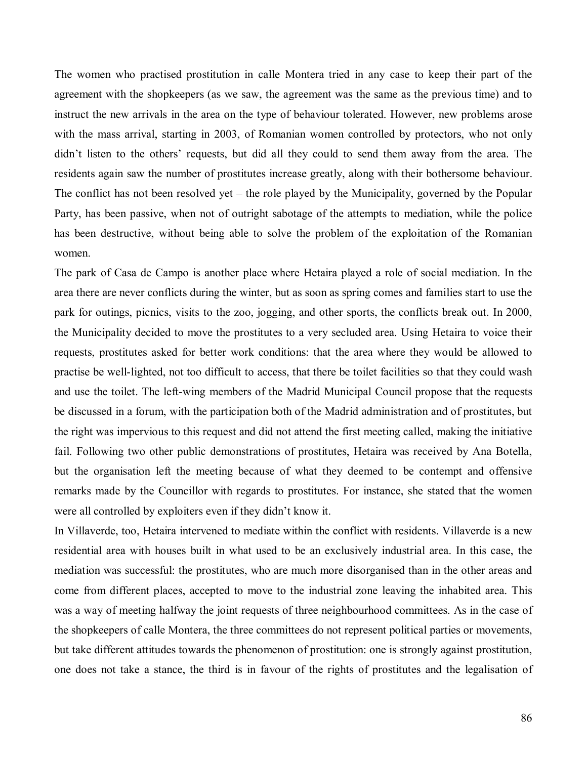The women who practised prostitution in calle Montera tried in any case to keep their part of the agreement with the shopkeepers (as we saw, the agreement was the same as the previous time) and to instruct the new arrivals in the area on the type of behaviour tolerated. However, new problems arose with the mass arrival, starting in 2003, of Romanian women controlled by protectors, who not only didn't listen to the others' requests, but did all they could to send them away from the area. The residents again saw the number of prostitutes increase greatly, along with their bothersome behaviour. The conflict has not been resolved yet  $-$  the role played by the Municipality, governed by the Popular Party, has been passive, when not of outright sabotage of the attempts to mediation, while the police has been destructive, without being able to solve the problem of the exploitation of the Romanian women.

The park of Casa de Campo is another place where Hetaira played a role of social mediation. In the area there are never conflicts during the winter, but as soon as spring comes and families start to use the park for outings, picnics, visits to the zoo, jogging, and other sports, the conflicts break out. In 2000, the Municipality decided to move the prostitutes to a very secluded area. Using Hetaira to voice their requests, prostitutes asked for better work conditions: that the area where they would be allowed to practise be well-lighted, not too difficult to access, that there be toilet facilities so that they could wash and use the toilet. The left-wing members of the Madrid Municipal Council propose that the requests be discussed in a forum, with the participation both of the Madrid administration and of prostitutes, but the right was impervious to this request and did not attend the first meeting called, making the initiative fail. Following two other public demonstrations of prostitutes, Hetaira was received by Ana Botella, but the organisation left the meeting because of what they deemed to be contempt and offensive remarks made by the Councillor with regards to prostitutes. For instance, she stated that the women were all controlled by exploiters even if they didn't know it.

In Villaverde, too, Hetaira intervened to mediate within the conflict with residents. Villaverde is a new residential area with houses built in what used to be an exclusively industrial area. In this case, the mediation was successful: the prostitutes, who are much more disorganised than in the other areas and come from different places, accepted to move to the industrial zone leaving the inhabited area. This was a way of meeting halfway the joint requests of three neighbourhood committees. As in the case of the shopkeepers of calle Montera, the three committees do not represent political parties or movements, but take different attitudes towards the phenomenon of prostitution: one is strongly against prostitution, one does not take a stance, the third is in favour of the rights of prostitutes and the legalisation of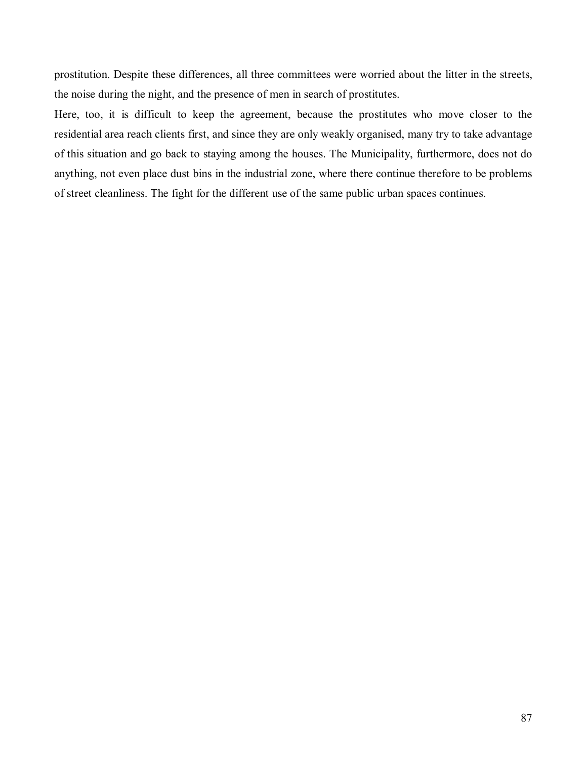prostitution. Despite these differences, all three committees were worried about the litter in the streets, the noise during the night, and the presence of men in search of prostitutes.

Here, too, it is difficult to keep the agreement, because the prostitutes who move closer to the residential area reach clients first, and since they are only weakly organised, many try to take advantage of this situation and go back to staying among the houses. The Municipality, furthermore, does not do anything, not even place dust bins in the industrial zone, where there continue therefore to be problems of street cleanliness. The fight for the different use of the same public urban spaces continues.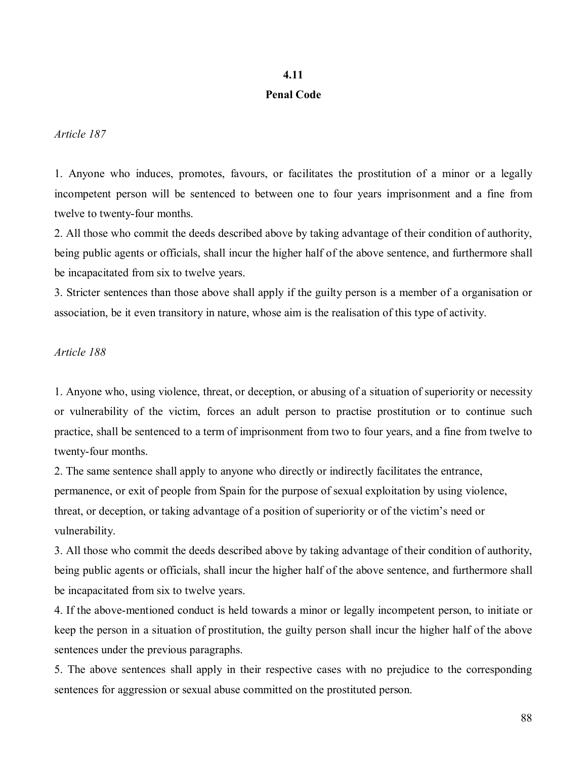### **4.11**

#### **Penal Code**

*Article 187* 

1. Anyone who induces, promotes, favours, or facilitates the prostitution of a minor or a legally incompetent person will be sentenced to between one to four years imprisonment and a fine from twelve to twenty-four months.

2. All those who commit the deeds described above by taking advantage of their condition of authority, being public agents or officials, shall incur the higher half of the above sentence, and furthermore shall be incapacitated from six to twelve years.

3. Stricter sentences than those above shall apply if the guilty person is a member of a organisation or association, be it even transitory in nature, whose aim is the realisation of this type of activity.

#### *Article 188*

1. Anyone who, using violence, threat, or deception, or abusing of a situation of superiority or necessity or vulnerability of the victim, forces an adult person to practise prostitution or to continue such practice, shall be sentenced to a term of imprisonment from two to four years, and a fine from twelve to twenty-four months.

2. The same sentence shall apply to anyone who directly or indirectly facilitates the entrance, permanence, or exit of people from Spain for the purpose of sexual exploitation by using violence, threat, or deception, or taking advantage of a position of superiority or of the victim's need or vulnerability.

3. All those who commit the deeds described above by taking advantage of their condition of authority, being public agents or officials, shall incur the higher half of the above sentence, and furthermore shall be incapacitated from six to twelve years.

4. If the above-mentioned conduct is held towards a minor or legally incompetent person, to initiate or keep the person in a situation of prostitution, the guilty person shall incur the higher half of the above sentences under the previous paragraphs.

5. The above sentences shall apply in their respective cases with no prejudice to the corresponding sentences for aggression or sexual abuse committed on the prostituted person.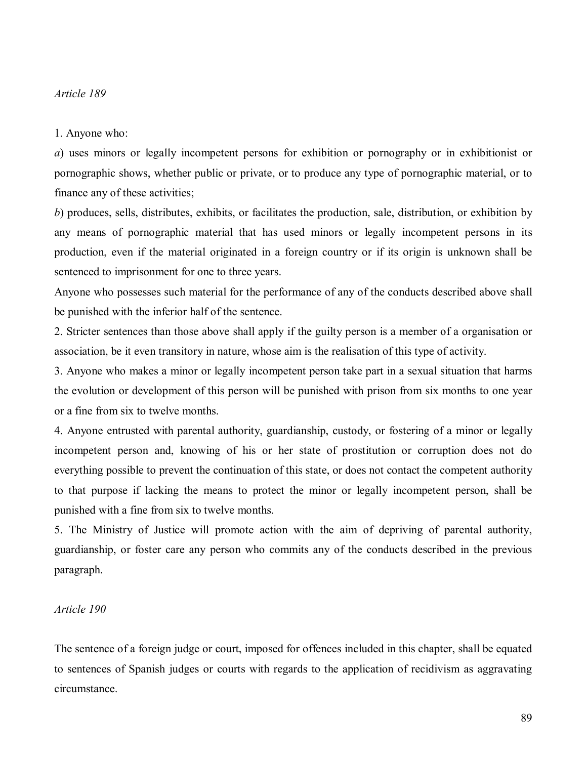#### *Article 189*

#### 1. Anyone who:

*a*) uses minors or legally incompetent persons for exhibition or pornography or in exhibitionist or pornographic shows, whether public or private, or to produce any type of pornographic material, or to finance any of these activities;

*b*) produces, sells, distributes, exhibits, or facilitates the production, sale, distribution, or exhibition by any means of pornographic material that has used minors or legally incompetent persons in its production, even if the material originated in a foreign country or if its origin is unknown shall be sentenced to imprisonment for one to three years.

Anyone who possesses such material for the performance of any of the conducts described above shall be punished with the inferior half of the sentence.

2. Stricter sentences than those above shall apply if the guilty person is a member of a organisation or association, be it even transitory in nature, whose aim is the realisation of this type of activity.

3. Anyone who makes a minor or legally incompetent person take part in a sexual situation that harms the evolution or development of this person will be punished with prison from six months to one year or a fine from six to twelve months.

4. Anyone entrusted with parental authority, guardianship, custody, or fostering of a minor or legally incompetent person and, knowing of his or her state of prostitution or corruption does not do everything possible to prevent the continuation of this state, or does not contact the competent authority to that purpose if lacking the means to protect the minor or legally incompetent person, shall be punished with a fine from six to twelve months.

5. The Ministry of Justice will promote action with the aim of depriving of parental authority, guardianship, or foster care any person who commits any of the conducts described in the previous paragraph.

#### *Article 190*

The sentence of a foreign judge or court, imposed for offences included in this chapter, shall be equated to sentences of Spanish judges or courts with regards to the application of recidivism as aggravating circumstance.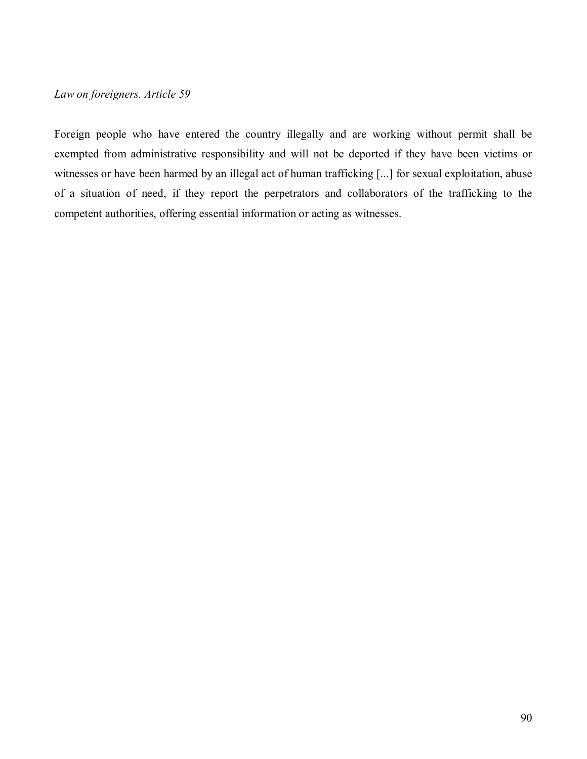### *Law on foreigners. Article 59*

Foreign people who have entered the country illegally and are working without permit shall be exempted from administrative responsibility and will not be deported if they have been victims or witnesses or have been harmed by an illegal act of human trafficking [...] for sexual exploitation, abuse of a situation of need, if they report the perpetrators and collaborators of the trafficking to the competent authorities, offering essential information or acting as witnesses.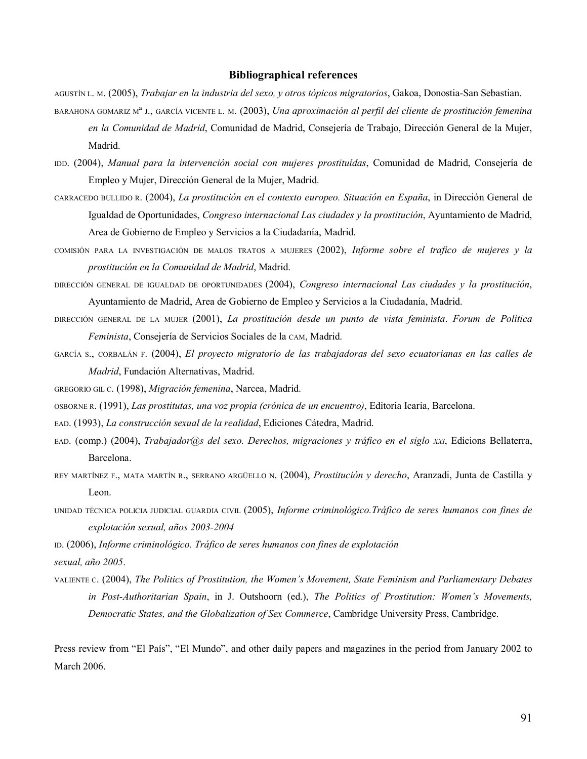#### **Bibliographical references**

AGUSTÍN L. M. (2005), *Trabajar en la industria del sexo, y otros tópicos migratorios*, Gakoa, Donostia-San Sebastian.

- BARAHONA GOMARIZ M<sup>a</sup> J., GARCÍA VICENTE L. M. (2003), *Una aproximación al perfil del cliente de prostitución femenina* en la Comunidad de Madrid, Comunidad de Madrid, Consejería de Trabajo, Dirección General de la Mujer, Madrid.
- IDD. (2004), *Manual para la intervención social con mujeres prostituídas*, Comunidad de Madrid, Consejería de Empleo y Mujer, Dirección General de la Mujer, Madrid.
- CARRACEDO BULLIDO R. (2004), *La prostitución en el contexto europeo. Situación en España*, in Dirección General de Igualdad de Oportunidades, *Congreso internacional Las ciudades y la prostitución*, Ayuntamiento de Madrid, Area de Gobierno de Empleo y Servicios a la Ciudadanía, Madrid.
- COMISIÓN PARA LA INVESTIGACIÓN DE MALOS TRATOS A MUJERES (2002), *Informe sobre el trafico de mujeres y la prostitución en la Comunidad de Madrid*, Madrid.
- DIRECCIÓN GENERAL DE IGUALDAD DE OPORTUNIDADES (2004), *Congreso internacional Las ciudades y la prostitución*, Ayuntamiento de Madrid, Area de Gobierno de Empleo y Servicios a la Ciudadanía, Madrid.
- DIRECCIÓN GENERAL DE LA MUJER (2001), *La prostitución desde un punto de vista feminista. Forum de Política Feminista*, ConsejerÌa de Servicios Sociales de la CAM, Madrid.
- GARCÍA S., CORBALÁN F. (2004), *El proyecto migratorio de las trabajadoras del sexo ecuatorianas en las calles de Madrid*, Fundación Alternativas, Madrid.
- GREGORIO GIL C. (1998), *Migración femenina*, Narcea, Madrid.
- OSBORNE R. (1991), *Las prostitutas, una voz propia (crÛnica de un encuentro)*, Editoria Icaria, Barcelona.
- EAD. (1993), *La construcción sexual de la realidad*, Ediciones Cátedra, Madrid.
- EAD. (comp.) (2004), *Trabajador@s del sexo. Derechos, migraciones y tráfico en el siglo XXI*, Edicions Bellaterra, Barcelona.
- REY MARTÍNEZ F., MATA MARTÍN R., SERRANO ARGÜELLO N. (2004), *Prostitución y derecho*, Aranzadi, Junta de Castilla y Leon.
- UNIDAD TÉCNICA POLICIA JUDICIAL GUARDIA CIVIL (2005), *Informe criminológico.Tráfico de seres humanos con fines de* explotación sexual, años 2003-2004

ID. (2006), *Informe criminológico. Tráfico de seres humanos con fines de explotación* 

sexual, año 2005.

VALIENTE C. (2004), *The Politics of Prostitution, the Womenís Movement, State Feminism and Parliamentary Debates in Post-Authoritarian Spain*, in J. Outshoorn (ed.), *The Politics of Prostitution: Womenís Movements, Democratic States, and the Globalization of Sex Commerce*, Cambridge University Press, Cambridge.

Press review from "El País", "El Mundo", and other daily papers and magazines in the period from January 2002 to March 2006.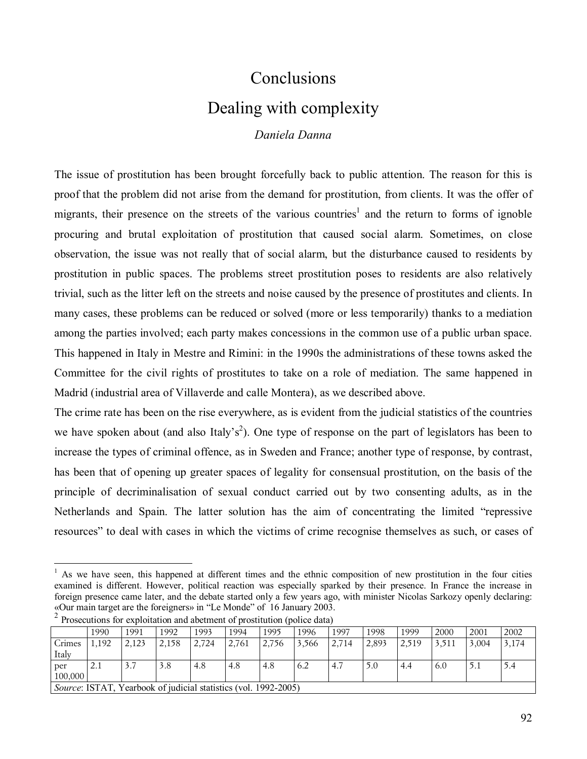# Conclusions Dealing with complexity

*Daniela Danna* 

The issue of prostitution has been brought forcefully back to public attention. The reason for this is proof that the problem did not arise from the demand for prostitution, from clients. It was the offer of migrants, their presence on the streets of the various countries<sup>1</sup> and the return to forms of ignoble procuring and brutal exploitation of prostitution that caused social alarm. Sometimes, on close observation, the issue was not really that of social alarm, but the disturbance caused to residents by prostitution in public spaces. The problems street prostitution poses to residents are also relatively trivial, such as the litter left on the streets and noise caused by the presence of prostitutes and clients. In many cases, these problems can be reduced or solved (more or less temporarily) thanks to a mediation among the parties involved; each party makes concessions in the common use of a public urban space. This happened in Italy in Mestre and Rimini: in the 1990s the administrations of these towns asked the Committee for the civil rights of prostitutes to take on a role of mediation. The same happened in Madrid (industrial area of Villaverde and calle Montera), as we described above.

The crime rate has been on the rise everywhere, as is evident from the judicial statistics of the countries we have spoken about (and also Italy's<sup>2</sup>). One type of response on the part of legislators has been to increase the types of criminal offence, as in Sweden and France; another type of response, by contrast, has been that of opening up greater spaces of legality for consensual prostitution, on the basis of the principle of decriminalisation of sexual conduct carried out by two consenting adults, as in the Netherlands and Spain. The latter solution has the aim of concentrating the limited "repressive" resources" to deal with cases in which the victims of crime recognise themselves as such, or cases of

<sup>1</sup> As we have seen, this happened at different times and the ethnic composition of new prostitution in the four cities examined is different. However, political reaction was especially sparked by their presence. In France the increase in foreign presence came later, and the debate started only a few years ago, with minister Nicolas Sarkozy openly declaring: «Our main target are the foreigners» in "Le Monde" of 16 January 2003.

|                                                                 | 1990 | 1991  | 1992  | 1993  | 1994  | 1995  | 1996  | 1997  | 1998  | 1999  | 2000  | 2001  | 2002  |
|-----------------------------------------------------------------|------|-------|-------|-------|-------|-------|-------|-------|-------|-------|-------|-------|-------|
| Crimes                                                          | ,192 | 2,123 | 2,158 | 2,724 | 2,761 | 2,756 | 3,566 | 2,714 | 2,893 | 2,519 | 3,511 | 3,004 | 3,174 |
| Italy                                                           |      |       |       |       |       |       |       |       |       |       |       |       |       |
| per                                                             | 2.1  | 3.7   | 3.8   | 4.8   | 4.8   | 4.8   | 6.2   | 4.7   | 5.0   | 4.4   | 6.0   | 5.1   | 5.4   |
| 100,000                                                         |      |       |       |       |       |       |       |       |       |       |       |       |       |
| Source: ISTAT, Yearbook of judicial statistics (vol. 1992-2005) |      |       |       |       |       |       |       |       |       |       |       |       |       |

|  | $\overline{z}$ Prosecutions for exploitation and abetment of prostitution (police data) |  |
|--|-----------------------------------------------------------------------------------------|--|
|  |                                                                                         |  |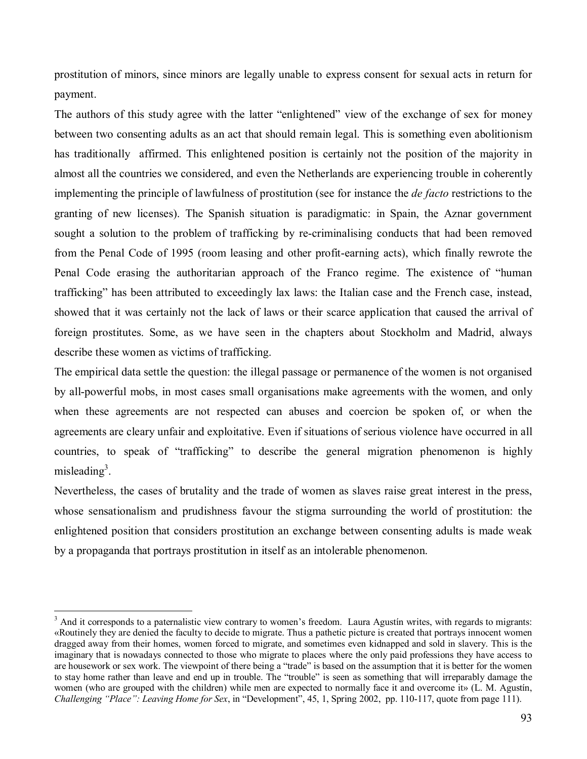prostitution of minors, since minors are legally unable to express consent for sexual acts in return for payment.

The authors of this study agree with the latter "enlightened" view of the exchange of sex for money between two consenting adults as an act that should remain legal. This is something even abolitionism has traditionally affirmed. This enlightened position is certainly not the position of the majority in almost all the countries we considered, and even the Netherlands are experiencing trouble in coherently implementing the principle of lawfulness of prostitution (see for instance the *de facto* restrictions to the granting of new licenses). The Spanish situation is paradigmatic: in Spain, the Aznar government sought a solution to the problem of trafficking by re-criminalising conducts that had been removed from the Penal Code of 1995 (room leasing and other profit-earning acts), which finally rewrote the Penal Code erasing the authoritarian approach of the Franco regime. The existence of "human traffickingî has been attributed to exceedingly lax laws: the Italian case and the French case, instead, showed that it was certainly not the lack of laws or their scarce application that caused the arrival of foreign prostitutes. Some, as we have seen in the chapters about Stockholm and Madrid, always describe these women as victims of trafficking.

The empirical data settle the question: the illegal passage or permanence of the women is not organised by all-powerful mobs, in most cases small organisations make agreements with the women, and only when these agreements are not respected can abuses and coercion be spoken of, or when the agreements are cleary unfair and exploitative. Even if situations of serious violence have occurred in all countries, to speak of "trafficking" to describe the general migration phenomenon is highly misleading<sup>3</sup>.

Nevertheless, the cases of brutality and the trade of women as slaves raise great interest in the press, whose sensationalism and prudishness favour the stigma surrounding the world of prostitution: the enlightened position that considers prostitution an exchange between consenting adults is made weak by a propaganda that portrays prostitution in itself as an intolerable phenomenon.

 $3$  And it corresponds to a paternalistic view contrary to women's freedom. Laura Agustín writes, with regards to migrants: ´Routinely they are denied the faculty to decide to migrate. Thus a pathetic picture is created that portrays innocent women dragged away from their homes, women forced to migrate, and sometimes even kidnapped and sold in slavery. This is the imaginary that is nowadays connected to those who migrate to places where the only paid professions they have access to are housework or sex work. The viewpoint of there being a "trade" is based on the assumption that it is better for the women to stay home rather than leave and end up in trouble. The "trouble" is seen as something that will irreparably damage the women (who are grouped with the children) while men are expected to normally face it and overcome it» (L. M. Agustín, *Challenging "Place": Leaving Home for Sex*, in "Development", 45, 1, Spring 2002, pp. 110-117, quote from page 111).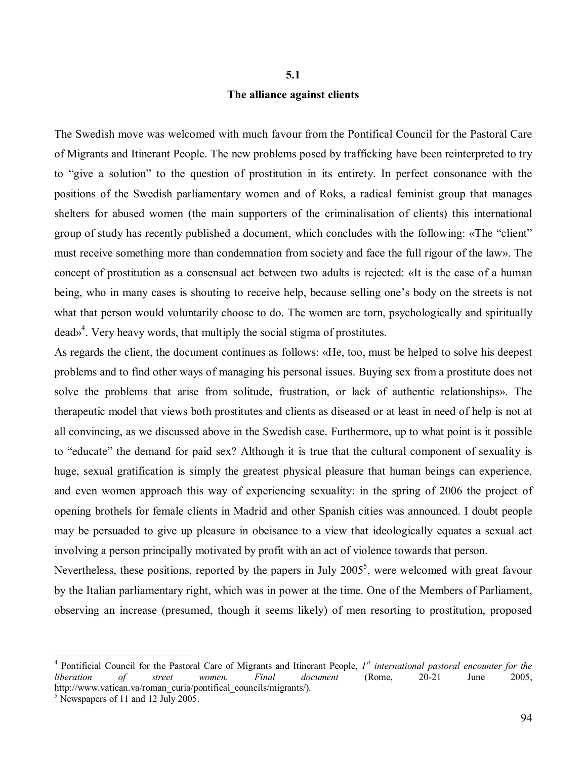# **5.1 The alliance against clients**

The Swedish move was welcomed with much favour from the Pontifical Council for the Pastoral Care of Migrants and Itinerant People. The new problems posed by trafficking have been reinterpreted to try to "give a solution" to the question of prostitution in its entirety. In perfect consonance with the positions of the Swedish parliamentary women and of Roks, a radical feminist group that manages shelters for abused women (the main supporters of the criminalisation of clients) this international group of study has recently published a document, which concludes with the following: «The "client" must receive something more than condemnation from society and face the full rigour of the law». The concept of prostitution as a consensual act between two adults is rejected: «It is the case of a human being, who in many cases is shouting to receive help, because selling one's body on the streets is not what that person would voluntarily choose to do. The women are torn, psychologically and spiritually dead»<sup>4</sup>. Very heavy words, that multiply the social stigma of prostitutes.

As regards the client, the document continues as follows: «He, too, must be helped to solve his deepest problems and to find other ways of managing his personal issues. Buying sex from a prostitute does not solve the problems that arise from solitude, frustration, or lack of authentic relationships». The therapeutic model that views both prostitutes and clients as diseased or at least in need of help is not at all convincing, as we discussed above in the Swedish case. Furthermore, up to what point is it possible to "educate" the demand for paid sex? Although it is true that the cultural component of sexuality is huge, sexual gratification is simply the greatest physical pleasure that human beings can experience, and even women approach this way of experiencing sexuality: in the spring of 2006 the project of opening brothels for female clients in Madrid and other Spanish cities was announced. I doubt people may be persuaded to give up pleasure in obeisance to a view that ideologically equates a sexual act involving a person principally motivated by profit with an act of violence towards that person.

Nevertheless, these positions, reported by the papers in July  $2005^5$ , were welcomed with great favour by the Italian parliamentary right, which was in power at the time. One of the Members of Parliament, observing an increase (presumed, though it seems likely) of men resorting to prostitution, proposed

<sup>&</sup>lt;sup>4</sup> Pontificial Council for the Pastoral Care of Migrants and Itinerant People, *I*<sup>st</sup> international pastoral encounter for the *liberation of street women. Final document* (Rome, 20-21 June 2005, http://www.vatican.va/roman\_curia/pontifical\_councils/migrants/).

 $<sup>5</sup>$  Newspapers of 11 and 12 July 2005.</sup>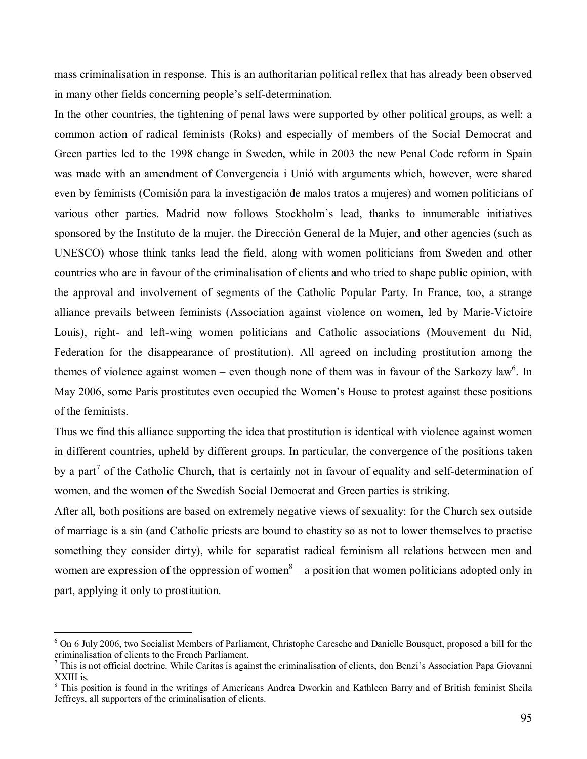mass criminalisation in response. This is an authoritarian political reflex that has already been observed in many other fields concerning people's self-determination.

In the other countries, the tightening of penal laws were supported by other political groups, as well: a common action of radical feminists (Roks) and especially of members of the Social Democrat and Green parties led to the 1998 change in Sweden, while in 2003 the new Penal Code reform in Spain was made with an amendment of Convergencia i Unió with arguments which, however, were shared even by feminists (Comisión para la investigación de malos tratos a mujeres) and women politicians of various other parties. Madrid now follows Stockholm's lead, thanks to innumerable initiatives sponsored by the Instituto de la mujer, the Dirección General de la Mujer, and other agencies (such as UNESCO) whose think tanks lead the field, along with women politicians from Sweden and other countries who are in favour of the criminalisation of clients and who tried to shape public opinion, with the approval and involvement of segments of the Catholic Popular Party. In France, too, a strange alliance prevails between feminists (Association against violence on women, led by Marie-Victoire Louis), right- and left-wing women politicians and Catholic associations (Mouvement du Nid, Federation for the disappearance of prostitution). All agreed on including prostitution among the themes of violence against women – even though none of them was in favour of the Sarkozy law<sup>6</sup>. In May 2006, some Paris prostitutes even occupied the Women's House to protest against these positions of the feminists.

Thus we find this alliance supporting the idea that prostitution is identical with violence against women in different countries, upheld by different groups. In particular, the convergence of the positions taken by a part<sup>7</sup> of the Catholic Church, that is certainly not in favour of equality and self-determination of women, and the women of the Swedish Social Democrat and Green parties is striking.

After all, both positions are based on extremely negative views of sexuality: for the Church sex outside of marriage is a sin (and Catholic priests are bound to chastity so as not to lower themselves to practise something they consider dirty), while for separatist radical feminism all relations between men and women are expression of the oppression of women $8 - a$  position that women politicians adopted only in part, applying it only to prostitution.

<sup>&</sup>lt;sup>6</sup> On 6 July 2006, two Socialist Members of Parliament, Christophe Caresche and Danielle Bousquet, proposed a bill for the criminalisation of clients to the French Parliament.

 $^7$  This is not official doctrine. While Caritas is against the criminalisation of clients, don Benzi's Association Papa Giovanni XXIII is.

<sup>&</sup>lt;sup>8</sup> This position is found in the writings of Americans Andrea Dworkin and Kathleen Barry and of British feminist Sheila Jeffreys, all supporters of the criminalisation of clients.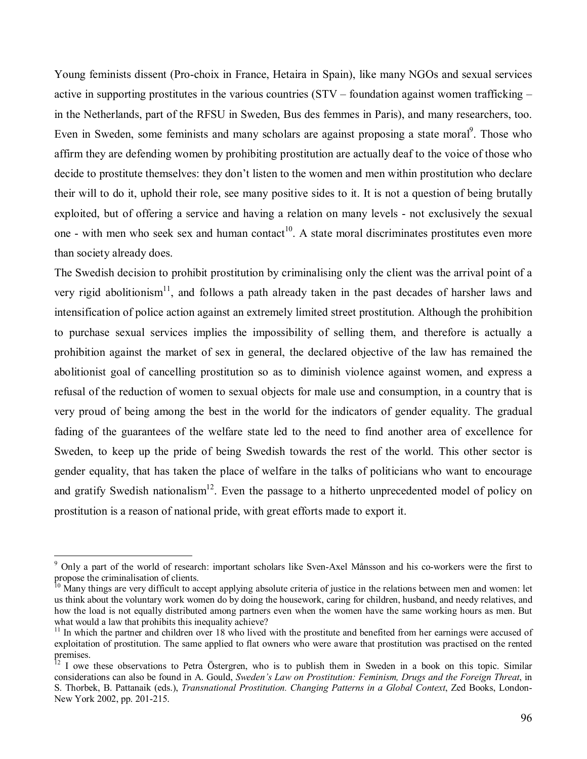Young feminists dissent (Pro-choix in France, Hetaira in Spain), like many NGOs and sexual services active in supporting prostitutes in the various countries ( $STV$  – foundation against women trafficking – in the Netherlands, part of the RFSU in Sweden, Bus des femmes in Paris), and many researchers, too. Even in Sweden, some feminists and many scholars are against proposing a state moral<sup>9</sup>. Those who affirm they are defending women by prohibiting prostitution are actually deaf to the voice of those who decide to prostitute themselves: they don't listen to the women and men within prostitution who declare their will to do it, uphold their role, see many positive sides to it. It is not a question of being brutally exploited, but of offering a service and having a relation on many levels - not exclusively the sexual one - with men who seek sex and human contact<sup>10</sup>. A state moral discriminates prostitutes even more than society already does.

The Swedish decision to prohibit prostitution by criminalising only the client was the arrival point of a very rigid abolitionism<sup>11</sup>, and follows a path already taken in the past decades of harsher laws and intensification of police action against an extremely limited street prostitution. Although the prohibition to purchase sexual services implies the impossibility of selling them, and therefore is actually a prohibition against the market of sex in general, the declared objective of the law has remained the abolitionist goal of cancelling prostitution so as to diminish violence against women, and express a refusal of the reduction of women to sexual objects for male use and consumption, in a country that is very proud of being among the best in the world for the indicators of gender equality. The gradual fading of the guarantees of the welfare state led to the need to find another area of excellence for Sweden, to keep up the pride of being Swedish towards the rest of the world. This other sector is gender equality, that has taken the place of welfare in the talks of politicians who want to encourage and gratify Swedish nationalism<sup>12</sup>. Even the passage to a hitherto unprecedented model of policy on prostitution is a reason of national pride, with great efforts made to export it.

<sup>&</sup>lt;sup>9</sup> Only a part of the world of research: important scholars like Sven-Axel Månsson and his co-workers were the first to propose the criminalisation of clients.

 $10$  Many things are very difficult to accept applying absolute criteria of justice in the relations between men and women: let us think about the voluntary work women do by doing the housework, caring for children, husband, and needy relatives, and how the load is not equally distributed among partners even when the women have the same working hours as men. But what would a law that prohibits this inequality achieve?

 $11$  In which the partner and children over 18 who lived with the prostitute and benefited from her earnings were accused of exploitation of prostitution. The same applied to flat owners who were aware that prostitution was practised on the rented premises.

I owe these observations to Petra Östergren, who is to publish them in Sweden in a book on this topic. Similar considerations can also be found in A. Gould, *Swedenís Law on Prostitution: Feminism, Drugs and the Foreign Threat*, in S. Thorbek, B. Pattanaik (eds.), *Transnational Prostitution. Changing Patterns in a Global Context*, Zed Books, London-New York 2002, pp. 201-215.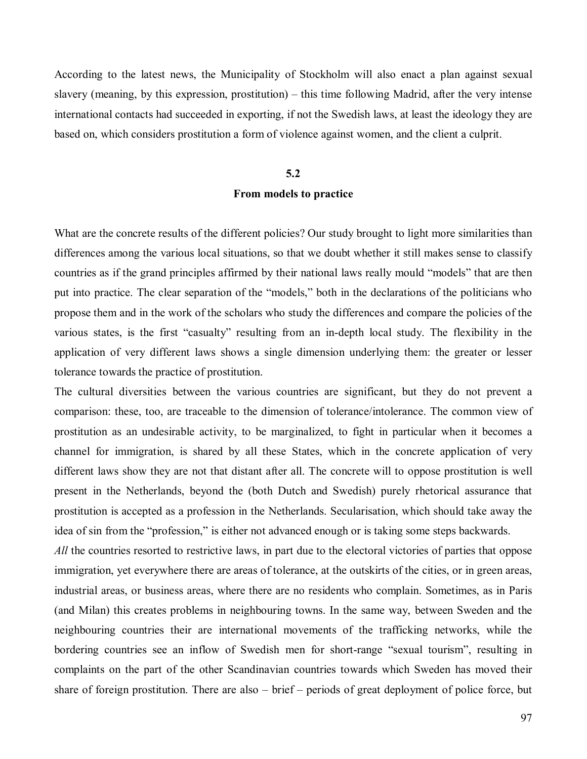According to the latest news, the Municipality of Stockholm will also enact a plan against sexual slavery (meaning, by this expression, prostitution) – this time following Madrid, after the very intense international contacts had succeeded in exporting, if not the Swedish laws, at least the ideology they are based on, which considers prostitution a form of violence against women, and the client a culprit.

#### **5.2**

#### **From models to practice**

What are the concrete results of the different policies? Our study brought to light more similarities than differences among the various local situations, so that we doubt whether it still makes sense to classify countries as if the grand principles affirmed by their national laws really mould "models" that are then put into practice. The clear separation of the "models," both in the declarations of the politicians who propose them and in the work of the scholars who study the differences and compare the policies of the various states, is the first "casualty" resulting from an in-depth local study. The flexibility in the application of very different laws shows a single dimension underlying them: the greater or lesser tolerance towards the practice of prostitution.

The cultural diversities between the various countries are significant, but they do not prevent a comparison: these, too, are traceable to the dimension of tolerance/intolerance. The common view of prostitution as an undesirable activity, to be marginalized, to fight in particular when it becomes a channel for immigration, is shared by all these States, which in the concrete application of very different laws show they are not that distant after all. The concrete will to oppose prostitution is well present in the Netherlands, beyond the (both Dutch and Swedish) purely rhetorical assurance that prostitution is accepted as a profession in the Netherlands. Secularisation, which should take away the idea of sin from the "profession," is either not advanced enough or is taking some steps backwards.

*All* the countries resorted to restrictive laws, in part due to the electoral victories of parties that oppose immigration, yet everywhere there are areas of tolerance, at the outskirts of the cities, or in green areas, industrial areas, or business areas, where there are no residents who complain. Sometimes, as in Paris (and Milan) this creates problems in neighbouring towns. In the same way, between Sweden and the neighbouring countries their are international movements of the trafficking networks, while the bordering countries see an inflow of Swedish men for short-range "sexual tourism", resulting in complaints on the part of the other Scandinavian countries towards which Sweden has moved their share of foreign prostitution. There are also  $-$  brief  $-$  periods of great deployment of police force, but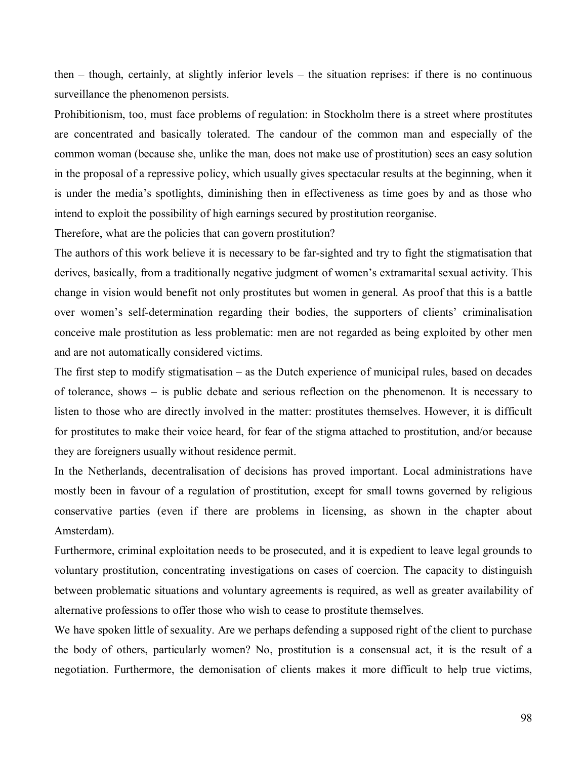then  $-$  though, certainly, at slightly inferior levels  $-$  the situation reprises: if there is no continuous surveillance the phenomenon persists.

Prohibitionism, too, must face problems of regulation: in Stockholm there is a street where prostitutes are concentrated and basically tolerated. The candour of the common man and especially of the common woman (because she, unlike the man, does not make use of prostitution) sees an easy solution in the proposal of a repressive policy, which usually gives spectacular results at the beginning, when it is under the mediaís spotlights, diminishing then in effectiveness as time goes by and as those who intend to exploit the possibility of high earnings secured by prostitution reorganise.

Therefore, what are the policies that can govern prostitution?

The authors of this work believe it is necessary to be far-sighted and try to fight the stigmatisation that derives, basically, from a traditionally negative judgment of women's extramarital sexual activity. This change in vision would benefit not only prostitutes but women in general. As proof that this is a battle over women's self-determination regarding their bodies, the supporters of clients' criminalisation conceive male prostitution as less problematic: men are not regarded as being exploited by other men and are not automatically considered victims.

The first step to modify stigmatisation  $-\infty$  as the Dutch experience of municipal rules, based on decades of tolerance, shows  $-$  is public debate and serious reflection on the phenomenon. It is necessary to listen to those who are directly involved in the matter: prostitutes themselves. However, it is difficult for prostitutes to make their voice heard, for fear of the stigma attached to prostitution, and/or because they are foreigners usually without residence permit.

In the Netherlands, decentralisation of decisions has proved important. Local administrations have mostly been in favour of a regulation of prostitution, except for small towns governed by religious conservative parties (even if there are problems in licensing, as shown in the chapter about Amsterdam).

Furthermore, criminal exploitation needs to be prosecuted, and it is expedient to leave legal grounds to voluntary prostitution, concentrating investigations on cases of coercion. The capacity to distinguish between problematic situations and voluntary agreements is required, as well as greater availability of alternative professions to offer those who wish to cease to prostitute themselves.

We have spoken little of sexuality. Are we perhaps defending a supposed right of the client to purchase the body of others, particularly women? No, prostitution is a consensual act, it is the result of a negotiation. Furthermore, the demonisation of clients makes it more difficult to help true victims,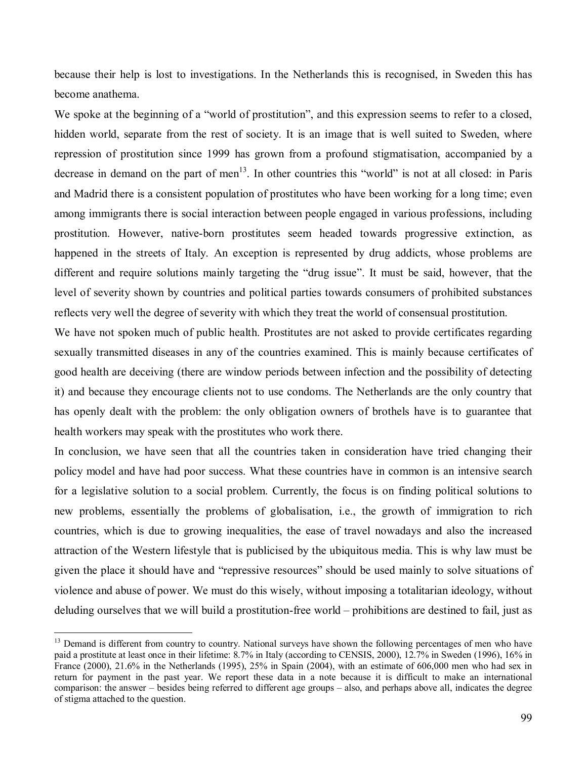because their help is lost to investigations. In the Netherlands this is recognised, in Sweden this has become anathema.

We spoke at the beginning of a "world of prostitution", and this expression seems to refer to a closed, hidden world, separate from the rest of society. It is an image that is well suited to Sweden, where repression of prostitution since 1999 has grown from a profound stigmatisation, accompanied by a decrease in demand on the part of men<sup>13</sup>. In other countries this "world" is not at all closed: in Paris and Madrid there is a consistent population of prostitutes who have been working for a long time; even among immigrants there is social interaction between people engaged in various professions, including prostitution. However, native-born prostitutes seem headed towards progressive extinction, as happened in the streets of Italy. An exception is represented by drug addicts, whose problems are different and require solutions mainly targeting the "drug issue". It must be said, however, that the level of severity shown by countries and political parties towards consumers of prohibited substances reflects very well the degree of severity with which they treat the world of consensual prostitution.

We have not spoken much of public health. Prostitutes are not asked to provide certificates regarding sexually transmitted diseases in any of the countries examined. This is mainly because certificates of good health are deceiving (there are window periods between infection and the possibility of detecting it) and because they encourage clients not to use condoms. The Netherlands are the only country that has openly dealt with the problem: the only obligation owners of brothels have is to guarantee that health workers may speak with the prostitutes who work there.

In conclusion, we have seen that all the countries taken in consideration have tried changing their policy model and have had poor success. What these countries have in common is an intensive search for a legislative solution to a social problem. Currently, the focus is on finding political solutions to new problems, essentially the problems of globalisation, i.e., the growth of immigration to rich countries, which is due to growing inequalities, the ease of travel nowadays and also the increased attraction of the Western lifestyle that is publicised by the ubiquitous media. This is why law must be given the place it should have and "repressive resources" should be used mainly to solve situations of violence and abuse of power. We must do this wisely, without imposing a totalitarian ideology, without deluding ourselves that we will build a prostitution-free world – prohibitions are destined to fail, just as

<sup>&</sup>lt;sup>13</sup> Demand is different from country to country. National surveys have shown the following percentages of men who have paid a prostitute at least once in their lifetime: 8.7% in Italy (according to CENSIS, 2000), 12.7% in Sweden (1996), 16% in France (2000), 21.6% in the Netherlands (1995), 25% in Spain (2004), with an estimate of 606,000 men who had sex in return for payment in the past year. We report these data in a note because it is difficult to make an international comparison: the answer  $-$  besides being referred to different age groups  $-$  also, and perhaps above all, indicates the degree of stigma attached to the question.